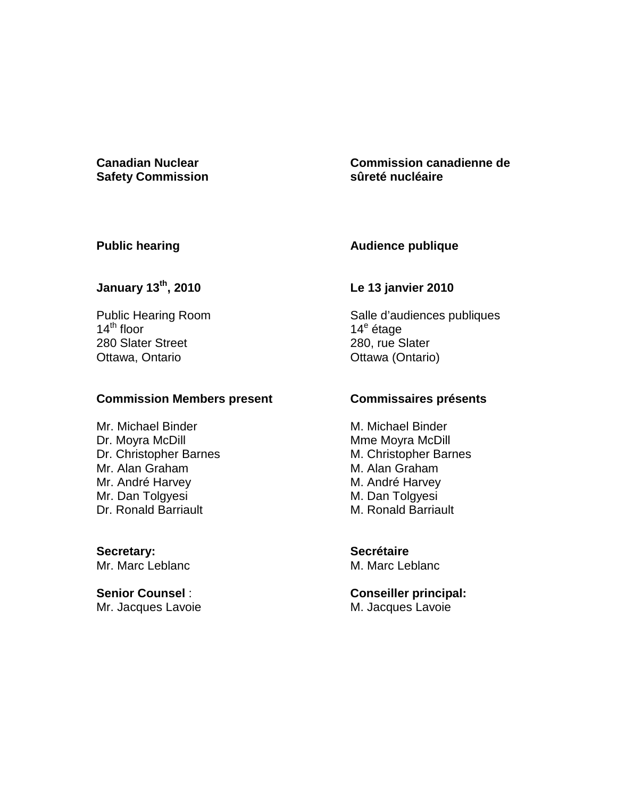### **Canadian Nuclear Safety Commission**

## **Commission canadienne de sûreté nucléaire**

## **Public hearing**

## **Audience publique**

# **January 13th, 2010**

Public Hearing Room  $14^{\text{th}}$  floor 280 Slater Street Ottawa, Ontario

### **Commission Members present**

Mr. Michael Binder Dr. Moyra McDill Dr. Christopher Barnes Mr. Alan Graham Mr. André Harvey Mr. Dan Tolgyesi Dr. Ronald Barriault

**Secretary:**  Mr. Marc Leblanc

**Senior Counsel** : Mr. Jacques Lavoie

## **Le 13 janvier 2010**

Salle d'audiences publiques 14<sup>e</sup> étage 280, rue Slater Ottawa (Ontario)

## **Commissaires présents**

M. Michael Binder Mme Moyra McDill M. Christopher Barnes M. Alan Graham M. André Harvey M. Dan Tolgyesi M. Ronald Barriault

**Secrétaire**  M. Marc Leblanc

**Conseiller principal:**  M. Jacques Lavoie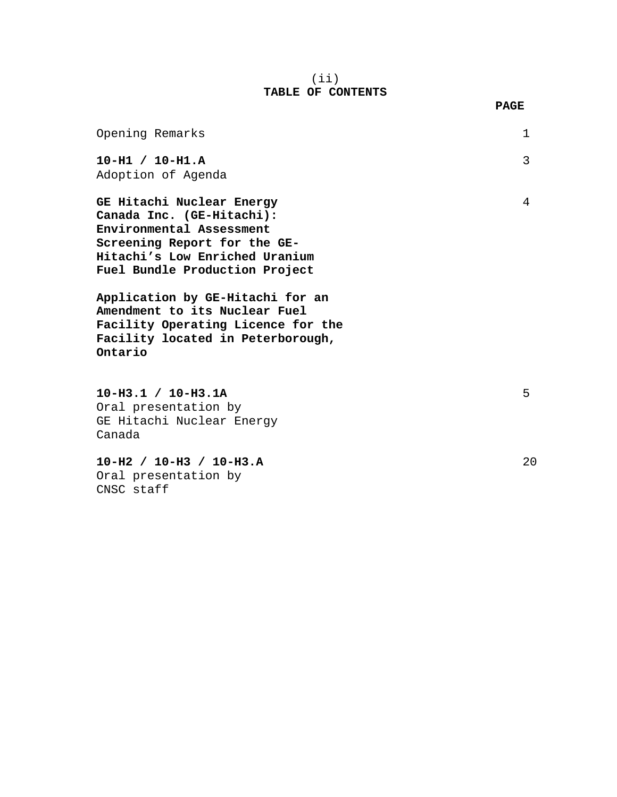### (ii) **TABLE OF CONTENTS**

|                                                                                                                                                                                                                                                                                                                                        | <b>PAGE</b> |
|----------------------------------------------------------------------------------------------------------------------------------------------------------------------------------------------------------------------------------------------------------------------------------------------------------------------------------------|-------------|
| Opening Remarks                                                                                                                                                                                                                                                                                                                        | 1           |
| $10-H1 / 10-H1.A$<br>Adoption of Agenda                                                                                                                                                                                                                                                                                                | 3           |
| GE Hitachi Nuclear Energy<br>Canada Inc. (GE-Hitachi):<br>Environmental Assessment<br>Screening Report for the GE-<br>Hitachi's Low Enriched Uranium<br>Fuel Bundle Production Project<br>Application by GE-Hitachi for an<br>Amendment to its Nuclear Fuel<br>Facility Operating Licence for the<br>Facility located in Peterborough, | 4           |
| Ontario                                                                                                                                                                                                                                                                                                                                |             |
| $10-H3.1 / 10-H3.1A$<br>Oral presentation by<br>GE Hitachi Nuclear Energy<br>Canada                                                                                                                                                                                                                                                    | 5           |
| $10-H2 / 10-H3 / 10-H3.A$<br>Oral presentation by                                                                                                                                                                                                                                                                                      | 20          |

CNSC staff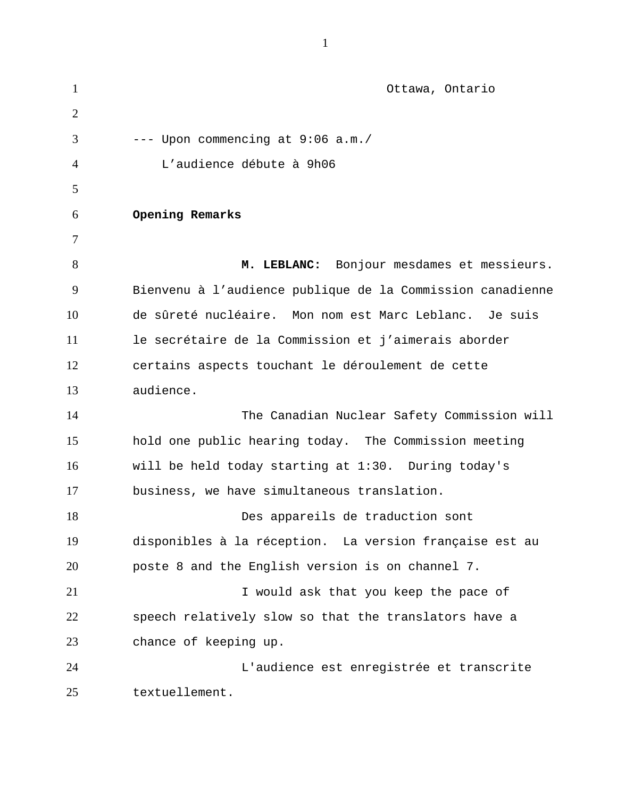| $\mathbf{1}$   | Ottawa, Ontario                                            |
|----------------|------------------------------------------------------------|
| $\overline{2}$ |                                                            |
| 3              | --- Upon commencing at 9:06 a.m./                          |
| 4              | L'audience débute à 9h06                                   |
| 5              |                                                            |
| 6              | Opening Remarks                                            |
| 7              |                                                            |
| 8              | M. LEBLANC: Bonjour mesdames et messieurs.                 |
| 9              | Bienvenu à l'audience publique de la Commission canadienne |
| 10             | de sûreté nucléaire. Mon nom est Marc Leblanc. Je suis     |
| 11             | le secrétaire de la Commission et j'aimerais aborder       |
| 12             | certains aspects touchant le déroulement de cette          |
| 13             | audience.                                                  |
| 14             | The Canadian Nuclear Safety Commission will                |
| 15             | hold one public hearing today. The Commission meeting      |
| 16             | will be held today starting at 1:30. During today's        |
| 17             | business, we have simultaneous translation.                |
| 18             | Des appareils de traduction sont                           |
| 19             | disponibles à la réception. La version française est au    |
| 20             | poste 8 and the English version is on channel 7.           |
| 21             | I would ask that you keep the pace of                      |
| 22             | speech relatively slow so that the translators have a      |
| 23             | chance of keeping up.                                      |
| 24             | L'audience est enregistrée et transcrite                   |
| 25             | textuellement.                                             |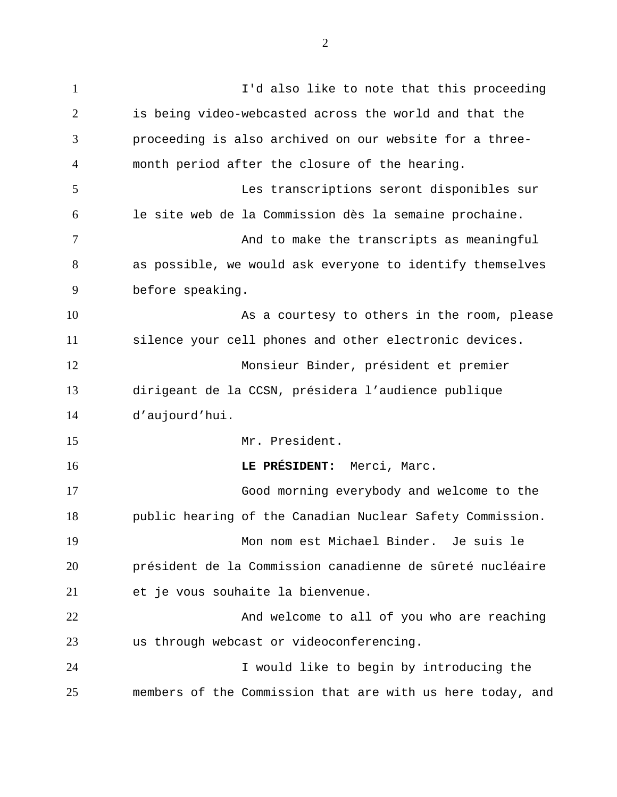1 I'd also like to note that this proceeding 2 3 4 5 6 7 8 9 10 11 12 13 14 15 16 17 18 19 20 21 22 23 24 25 is being video-webcasted across the world and that the proceeding is also archived on our website for a threemonth period after the closure of the hearing. Les transcriptions seront disponibles sur le site web de la Commission dès la semaine prochaine. And to make the transcripts as meaningful as possible, we would ask everyone to identify themselves before speaking. As a courtesy to others in the room, please silence your cell phones and other electronic devices. Monsieur Binder, président et premier dirigeant de la CCSN, présidera l'audience publique d'aujourd'hui. Mr. President. **LE PRÉSIDENT:** Merci, Marc. Good morning everybody and welcome to the public hearing of the Canadian Nuclear Safety Commission. Mon nom est Michael Binder. Je suis le président de la Commission canadienne de sûreté nucléaire et je vous souhaite la bienvenue. And welcome to all of you who are reaching us through webcast or videoconferencing. I would like to begin by introducing the members of the Commission that are with us here today, and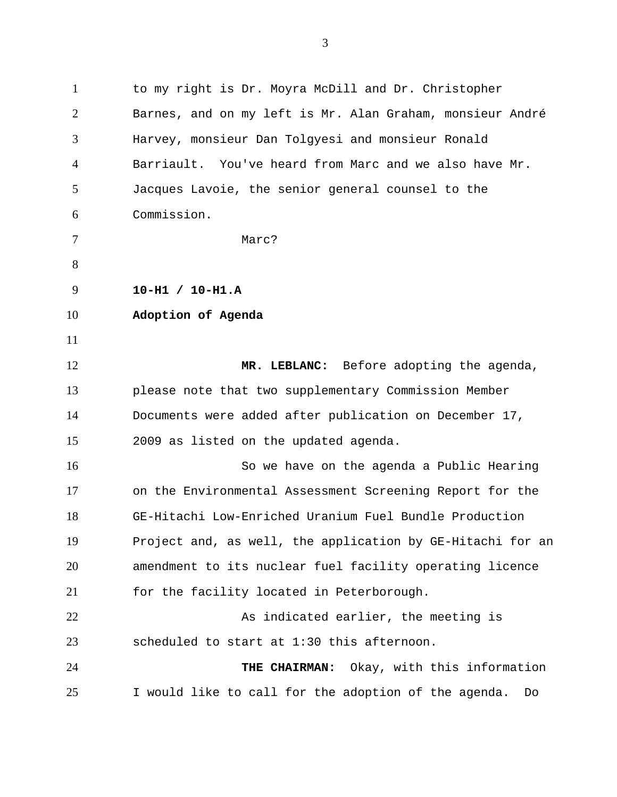1 to my right is Dr. Moyra McDill and Dr. Christopher 2 3 4 5 6 7 8 9 10 11 12 13 14 15 16 17 18 19 Barnes, and on my left is Mr. Alan Graham, monsieur André Harvey, monsieur Dan Tolgyesi and monsieur Ronald Barriault. You've heard from Marc and we also have Mr. Jacques Lavoie, the senior general counsel to the Commission. Marc? **10-H1 / 10-H1.A Adoption of Agenda MR. LEBLANC:** Before adopting the agenda, please note that two supplementary Commission Member Documents were added after publication on December 17, 2009 as listed on the updated agenda. So we have on the agenda a Public Hearing on the Environmental Assessment Screening Report for the GE-Hitachi Low-Enriched Uranium Fuel Bundle Production Project and, as well, the application by GE-Hitachi for an

20 21 amendment to its nuclear fuel facility operating licence for the facility located in Peterborough.

22 23 As indicated earlier, the meeting is scheduled to start at 1:30 this afternoon.

24 25 **THE CHAIRMAN:** Okay, with this information I would like to call for the adoption of the agenda. Do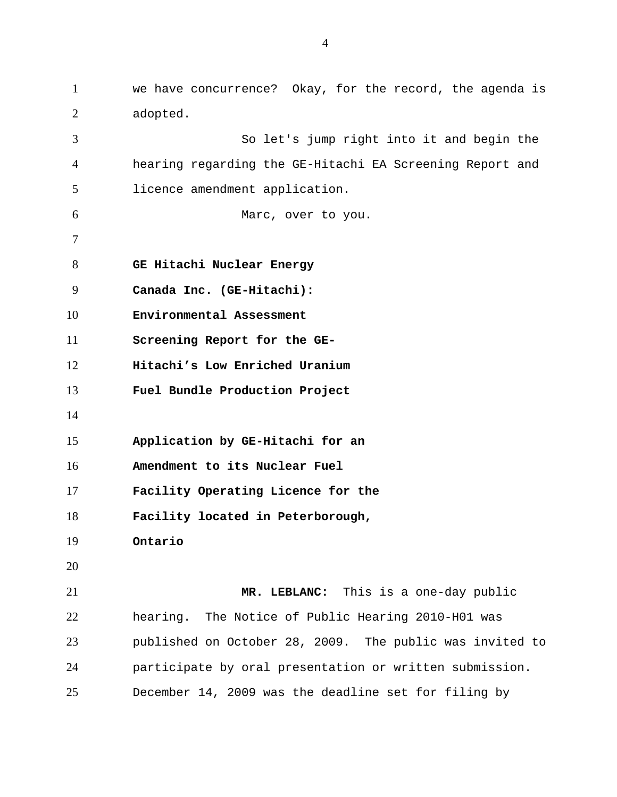1 we have concurrence? Okay, for the record, the agenda is 2 3 4 5 6 7 8 9 10 11 12 13 14 15 16 17 18 19 20 21 22 23 24 25 adopted. So let's jump right into it and begin the hearing regarding the GE-Hitachi EA Screening Report and licence amendment application. Marc, over to you. **GE Hitachi Nuclear Energy Canada Inc. (GE-Hitachi): Environmental Assessment Screening Report for the GE-Hitachi's Low Enriched Uranium Fuel Bundle Production Project Application by GE-Hitachi for an Amendment to its Nuclear Fuel Facility Operating Licence for the Facility located in Peterborough, Ontario MR. LEBLANC:** This is a one-day public hearing. The Notice of Public Hearing 2010-H01 was published on October 28, 2009. The public was invited to participate by oral presentation or written submission. December 14, 2009 was the deadline set for filing by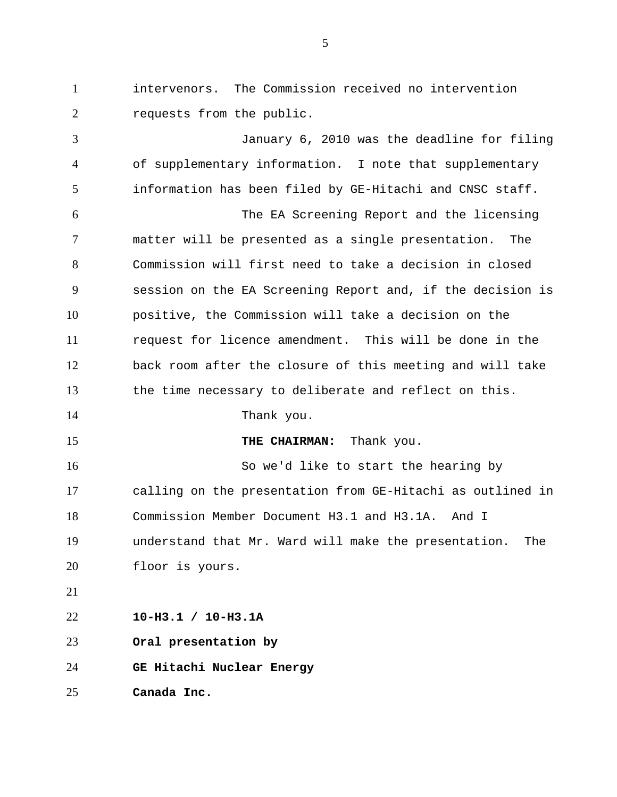1 intervenors. The Commission received no intervention 2 requests from the public.

3 4 5 6 7 8 9 10 11 12 13 14 15 16 17 18 19 20 21 22 23 24 January 6, 2010 was the deadline for filing of supplementary information. I note that supplementary information has been filed by GE-Hitachi and CNSC staff. The EA Screening Report and the licensing matter will be presented as a single presentation. The Commission will first need to take a decision in closed session on the EA Screening Report and, if the decision is positive, the Commission will take a decision on the request for licence amendment. This will be done in the back room after the closure of this meeting and will take the time necessary to deliberate and reflect on this. Thank you. **THE CHAIRMAN:** Thank you. So we'd like to start the hearing by calling on the presentation from GE-Hitachi as outlined in Commission Member Document H3.1 and H3.1A. And I understand that Mr. Ward will make the presentation. The floor is yours. **10-H3.1 / 10-H3.1A Oral presentation by GE Hitachi Nuclear Energy** 

25 **Canada Inc.**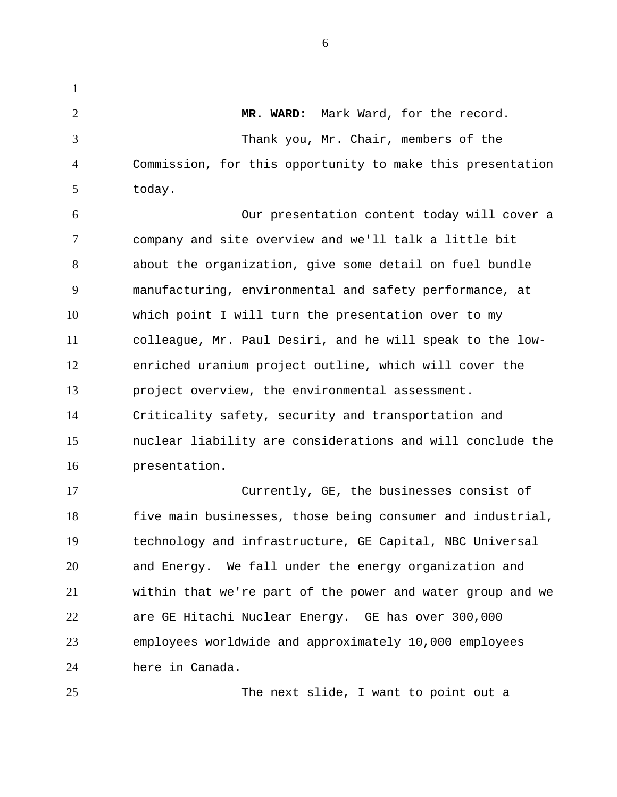**MR. WARD:** Mark Ward, for the record. Thank you, Mr. Chair, members of the

1

2

3

4

5

25

Commission, for this opportunity to make this presentation today.

6 7 8 9 10 11 12 13 14 15 16 Our presentation content today will cover a company and site overview and we'll talk a little bit about the organization, give some detail on fuel bundle manufacturing, environmental and safety performance, at which point I will turn the presentation over to my colleague, Mr. Paul Desiri, and he will speak to the lowenriched uranium project outline, which will cover the project overview, the environmental assessment. Criticality safety, security and transportation and nuclear liability are considerations and will conclude the presentation.

17 18 19 20 21 22 23 24 Currently, GE, the businesses consist of five main businesses, those being consumer and industrial, technology and infrastructure, GE Capital, NBC Universal and Energy. We fall under the energy organization and within that we're part of the power and water group and we are GE Hitachi Nuclear Energy. GE has over 300,000 employees worldwide and approximately 10,000 employees here in Canada.

The next slide, I want to point out a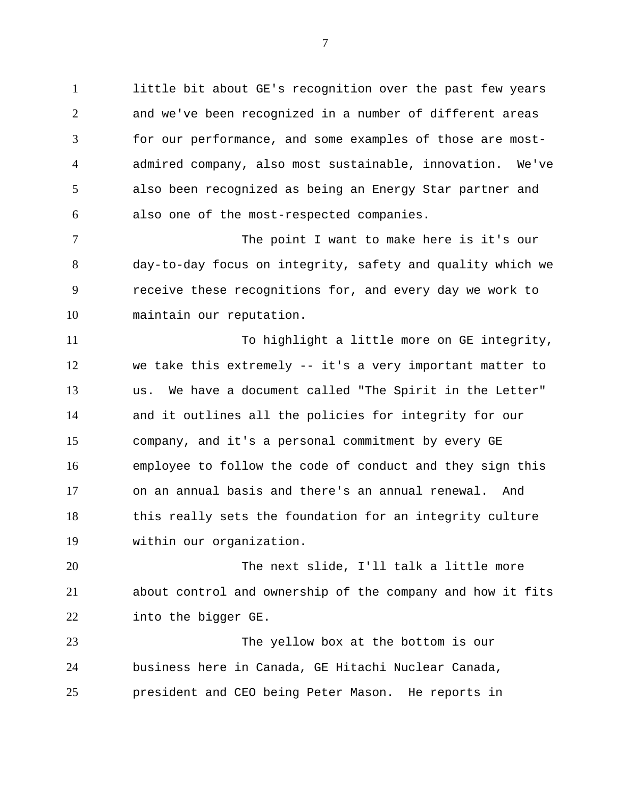1 little bit about GE's recognition over the past few years 2 3 4 5 6 and we've been recognized in a number of different areas for our performance, and some examples of those are mostadmired company, also most sustainable, innovation. We've also been recognized as being an Energy Star partner and also one of the most-respected companies.

7 8 9 10 The point I want to make here is it's our day-to-day focus on integrity, safety and quality which we receive these recognitions for, and every day we work to maintain our reputation.

11 12 13 14 15 16 17 18 19 To highlight a little more on GE integrity, we take this extremely -- it's a very important matter to us. We have a document called "The Spirit in the Letter" and it outlines all the policies for integrity for our company, and it's a personal commitment by every GE employee to follow the code of conduct and they sign this on an annual basis and there's an annual renewal. And this really sets the foundation for an integrity culture within our organization.

20 21 22 The next slide, I'll talk a little more about control and ownership of the company and how it fits into the bigger GE.

23 24 25 The yellow box at the bottom is our business here in Canada, GE Hitachi Nuclear Canada, president and CEO being Peter Mason. He reports in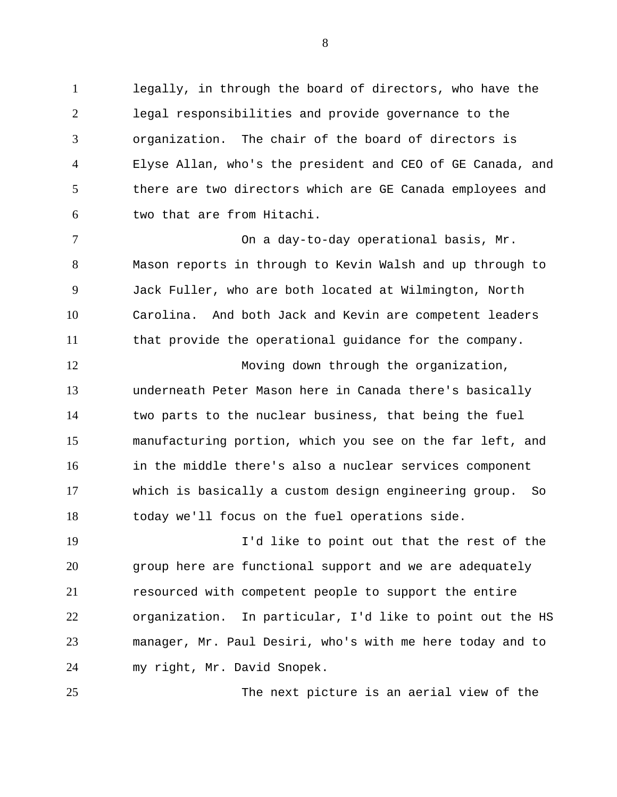1 legally, in through the board of directors, who have the 2 3 4 5 6 legal responsibilities and provide governance to the organization. The chair of the board of directors is Elyse Allan, who's the president and CEO of GE Canada, and there are two directors which are GE Canada employees and two that are from Hitachi.

7 8 9 10 11 On a day-to-day operational basis, Mr. Mason reports in through to Kevin Walsh and up through to Jack Fuller, who are both located at Wilmington, North Carolina. And both Jack and Kevin are competent leaders that provide the operational guidance for the company.

12 13 14 15 16 17 18 Moving down through the organization, underneath Peter Mason here in Canada there's basically two parts to the nuclear business, that being the fuel manufacturing portion, which you see on the far left, and in the middle there's also a nuclear services component which is basically a custom design engineering group. So today we'll focus on the fuel operations side.

19 20 21 22 23 24 I'd like to point out that the rest of the group here are functional support and we are adequately resourced with competent people to support the entire organization. In particular, I'd like to point out the HS manager, Mr. Paul Desiri, who's with me here today and to my right, Mr. David Snopek.

25

The next picture is an aerial view of the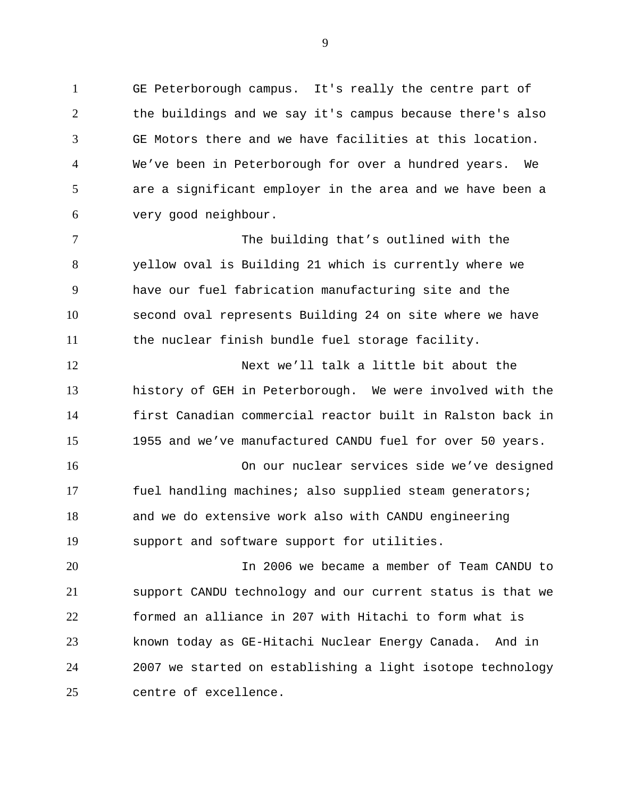1 GE Peterborough campus. It's really the centre part of 2 3 4 5 6 the buildings and we say it's campus because there's also GE Motors there and we have facilities at this location. We've been in Peterborough for over a hundred years. We are a significant employer in the area and we have been a very good neighbour.

7 8 9 10 11 The building that's outlined with the yellow oval is Building 21 which is currently where we have our fuel fabrication manufacturing site and the second oval represents Building 24 on site where we have the nuclear finish bundle fuel storage facility.

12 13 14 15 Next we'll talk a little bit about the history of GEH in Peterborough. We were involved with the first Canadian commercial reactor built in Ralston back in 1955 and we've manufactured CANDU fuel for over 50 years.

16 17 18 19 On our nuclear services side we've designed fuel handling machines; also supplied steam generators; and we do extensive work also with CANDU engineering support and software support for utilities.

20 21 22 23 24 25 In 2006 we became a member of Team CANDU to support CANDU technology and our current status is that we formed an alliance in 207 with Hitachi to form what is known today as GE-Hitachi Nuclear Energy Canada. And in 2007 we started on establishing a light isotope technology centre of excellence.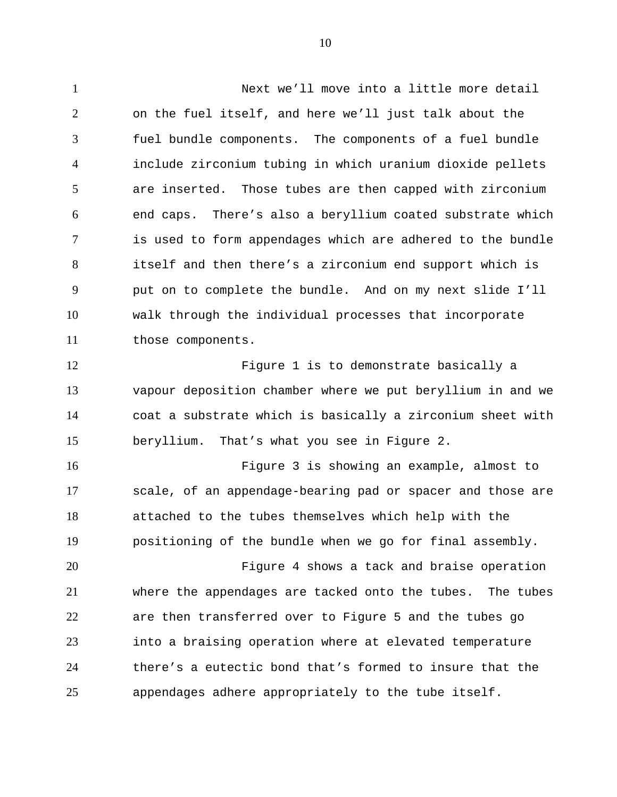1 Next we'll move into a little more detail 2 3 4 5 6 7 8 9 10 11 on the fuel itself, and here we'll just talk about the fuel bundle components. The components of a fuel bundle include zirconium tubing in which uranium dioxide pellets are inserted. Those tubes are then capped with zirconium end caps. There's also a beryllium coated substrate which is used to form appendages which are adhered to the bundle itself and then there's a zirconium end support which is put on to complete the bundle. And on my next slide I'll walk through the individual processes that incorporate those components.

12 13 14 15 Figure 1 is to demonstrate basically a vapour deposition chamber where we put beryllium in and we coat a substrate which is basically a zirconium sheet with beryllium. That's what you see in Figure 2.

16 17 18 19 Figure 3 is showing an example, almost to scale, of an appendage-bearing pad or spacer and those are attached to the tubes themselves which help with the positioning of the bundle when we go for final assembly.

20 21 22 23 24 25 Figure 4 shows a tack and braise operation where the appendages are tacked onto the tubes. The tubes are then transferred over to Figure 5 and the tubes go into a braising operation where at elevated temperature there's a eutectic bond that's formed to insure that the appendages adhere appropriately to the tube itself.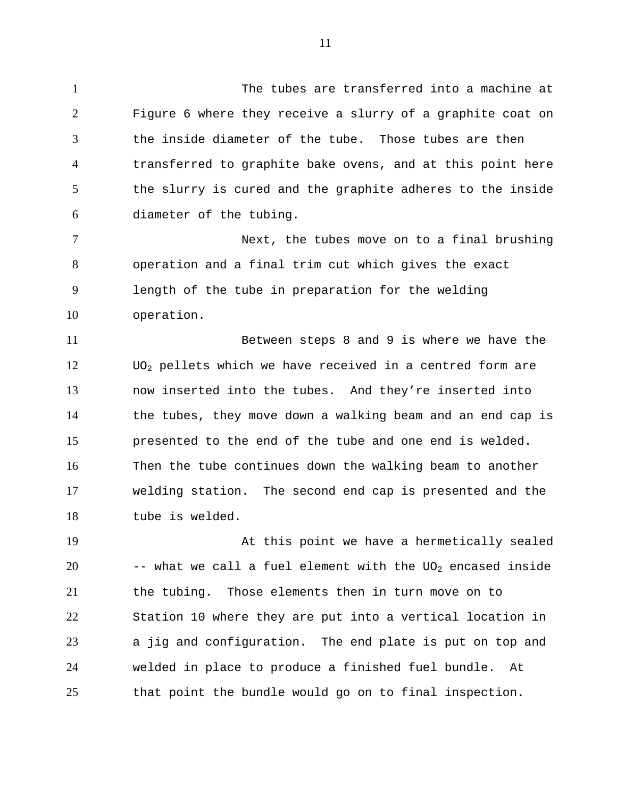1 The tubes are transferred into a machine at Figure 6 where they receive a slurry of a graphite coat on the inside diameter of the tube. Those tubes are then transferred to graphite bake ovens, and at this point here

2

3

4 5 6 the slurry is cured and the graphite adheres to the inside diameter of the tubing.

7 8 9 10 Next, the tubes move on to a final brushing operation and a final trim cut which gives the exact length of the tube in preparation for the welding operation.

11 12 13 14 15 16 17 18 Between steps 8 and 9 is where we have the UO2 pellets which we have received in a centred form are now inserted into the tubes. And they're inserted into the tubes, they move down a walking beam and an end cap is presented to the end of the tube and one end is welded. Then the tube continues down the walking beam to another welding station. The second end cap is presented and the tube is welded.

19 20 21 22 23 24 25 At this point we have a hermetically sealed  $-$ - what we call a fuel element with the UO<sub>2</sub> encased inside the tubing. Those elements then in turn move on to Station 10 where they are put into a vertical location in a jig and configuration. The end plate is put on top and welded in place to produce a finished fuel bundle. At that point the bundle would go on to final inspection.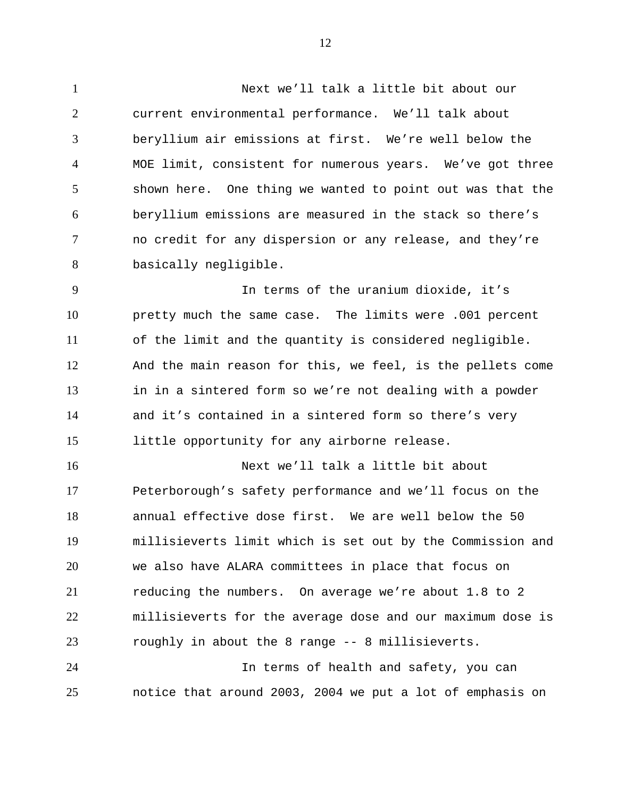1 Next we'll talk a little bit about our 2 3 4 5 6 7 8 current environmental performance. We'll talk about beryllium air emissions at first. We're well below the MOE limit, consistent for numerous years. We've got three shown here. One thing we wanted to point out was that the beryllium emissions are measured in the stack so there's no credit for any dispersion or any release, and they're basically negligible.

9 10 11 12 13 14 15 In terms of the uranium dioxide, it's pretty much the same case. The limits were .001 percent of the limit and the quantity is considered negligible. And the main reason for this, we feel, is the pellets come in in a sintered form so we're not dealing with a powder and it's contained in a sintered form so there's very little opportunity for any airborne release.

16 17 18 19 20 21 22 23 24 Next we'll talk a little bit about Peterborough's safety performance and we'll focus on the annual effective dose first. We are well below the 50 millisieverts limit which is set out by the Commission and we also have ALARA committees in place that focus on reducing the numbers. On average we're about 1.8 to 2 millisieverts for the average dose and our maximum dose is roughly in about the 8 range -- 8 millisieverts.

25 In terms of health and safety, you can notice that around 2003, 2004 we put a lot of emphasis on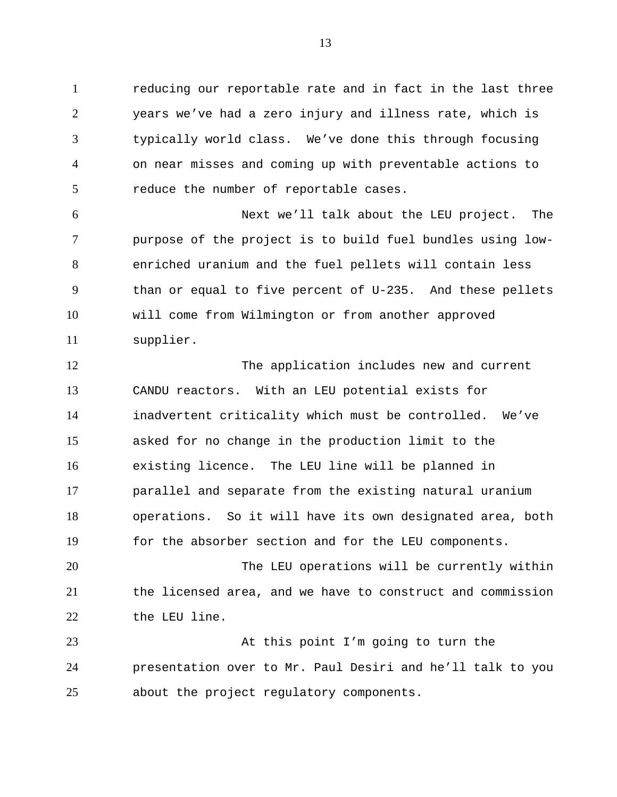1 reducing our reportable rate and in fact in the last three 2 3 4 5 years we've had a zero injury and illness rate, which is typically world class. We've done this through focusing on near misses and coming up with preventable actions to reduce the number of reportable cases.

6 7 8 9 10 11 Next we'll talk about the LEU project. The purpose of the project is to build fuel bundles using lowenriched uranium and the fuel pellets will contain less than or equal to five percent of U-235. And these pellets will come from Wilmington or from another approved supplier.

12 13 14 15 16 17 18 19 The application includes new and current CANDU reactors. With an LEU potential exists for inadvertent criticality which must be controlled. We've asked for no change in the production limit to the existing licence. The LEU line will be planned in parallel and separate from the existing natural uranium operations. So it will have its own designated area, both for the absorber section and for the LEU components.

20 21 22 The LEU operations will be currently within the licensed area, and we have to construct and commission the LEU line.

23 24 25 At this point I'm going to turn the presentation over to Mr. Paul Desiri and he'll talk to you about the project regulatory components.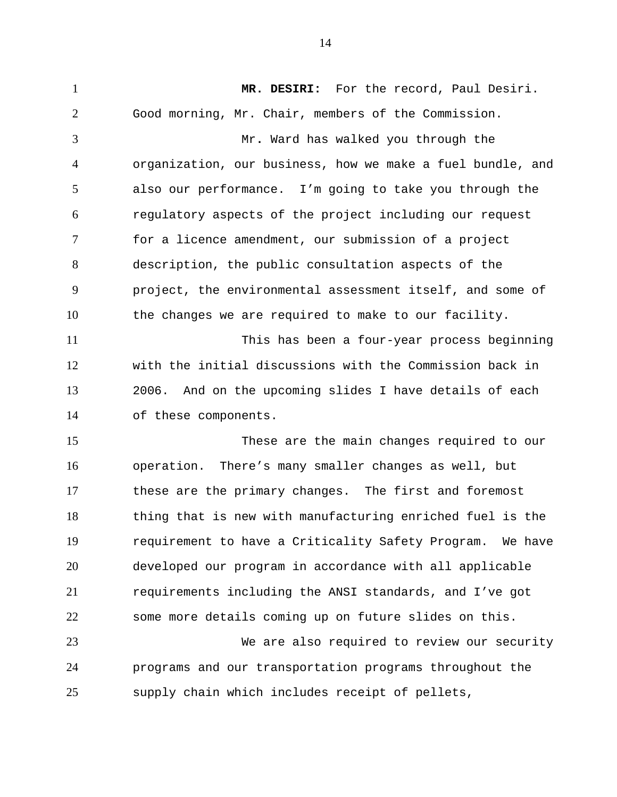1 **MR. DESIRI:** For the record, Paul Desiri. 2 3 4 5 6 7 8 9 10 11 12 13 14 15 16 17 18 19 20 21 22 23 24 25 Good morning, Mr. Chair, members of the Commission. Mr**.** Ward has walked you through the organization, our business, how we make a fuel bundle, and also our performance. I'm going to take you through the regulatory aspects of the project including our request for a licence amendment, our submission of a project description, the public consultation aspects of the project, the environmental assessment itself, and some of the changes we are required to make to our facility. This has been a four-year process beginning with the initial discussions with the Commission back in 2006. And on the upcoming slides I have details of each of these components. These are the main changes required to our operation. There's many smaller changes as well, but these are the primary changes. The first and foremost thing that is new with manufacturing enriched fuel is the requirement to have a Criticality Safety Program. We have developed our program in accordance with all applicable requirements including the ANSI standards, and I've got some more details coming up on future slides on this. We are also required to review our security programs and our transportation programs throughout the supply chain which includes receipt of pellets,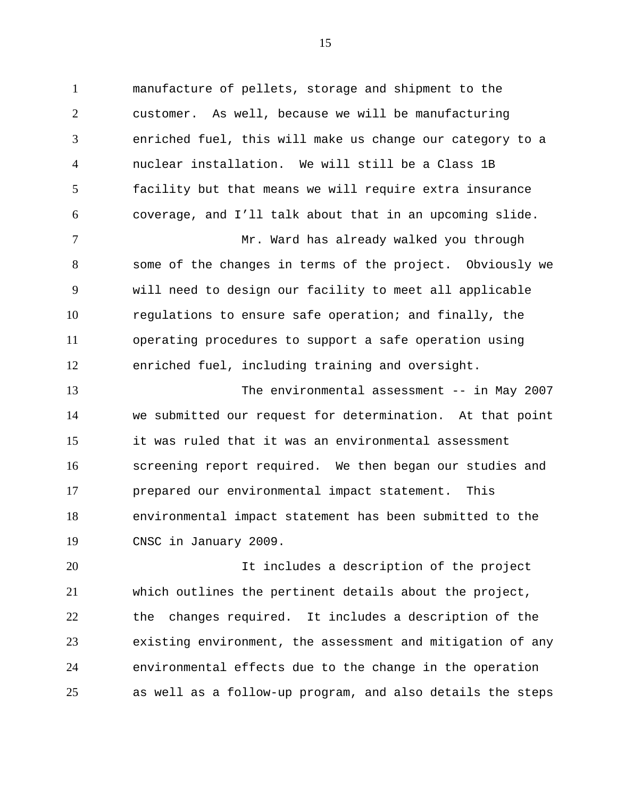1 manufacture of pellets, storage and shipment to the 2 3 4 5 6 customer. As well, because we will be manufacturing enriched fuel, this will make us change our category to a nuclear installation. We will still be a Class 1B facility but that means we will require extra insurance coverage, and I'll talk about that in an upcoming slide.

7 8 9 10 11 12 Mr. Ward has already walked you through some of the changes in terms of the project. Obviously we will need to design our facility to meet all applicable regulations to ensure safe operation; and finally, the operating procedures to support a safe operation using enriched fuel, including training and oversight.

13 14 15 16 17 18 19 The environmental assessment -- in May 2007 we submitted our request for determination. At that point it was ruled that it was an environmental assessment screening report required. We then began our studies and prepared our environmental impact statement. This environmental impact statement has been submitted to the CNSC in January 2009.

20 21 22 23 24 25 It includes a description of the project which outlines the pertinent details about the project, the changes required. It includes a description of the existing environment, the assessment and mitigation of any environmental effects due to the change in the operation as well as a follow-up program, and also details the steps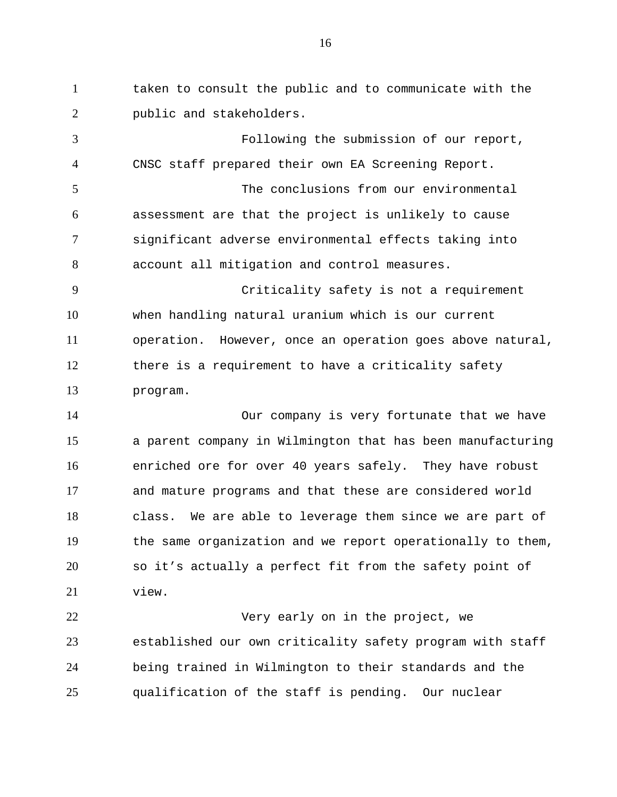1 taken to consult the public and to communicate with the 2 public and stakeholders.

3 4 5 6 7 8 9 10 11 12 13 14 Following the submission of our report, CNSC staff prepared their own EA Screening Report. The conclusions from our environmental assessment are that the project is unlikely to cause significant adverse environmental effects taking into account all mitigation and control measures. Criticality safety is not a requirement when handling natural uranium which is our current operation. However, once an operation goes above natural, there is a requirement to have a criticality safety program. Our company is very fortunate that we have

15 16 17 18 19 20 21 a parent company in Wilmington that has been manufacturing enriched ore for over 40 years safely. They have robust and mature programs and that these are considered world class. We are able to leverage them since we are part of the same organization and we report operationally to them, so it's actually a perfect fit from the safety point of view.

22 23 24 25 Very early on in the project, we established our own criticality safety program with staff being trained in Wilmington to their standards and the qualification of the staff is pending. Our nuclear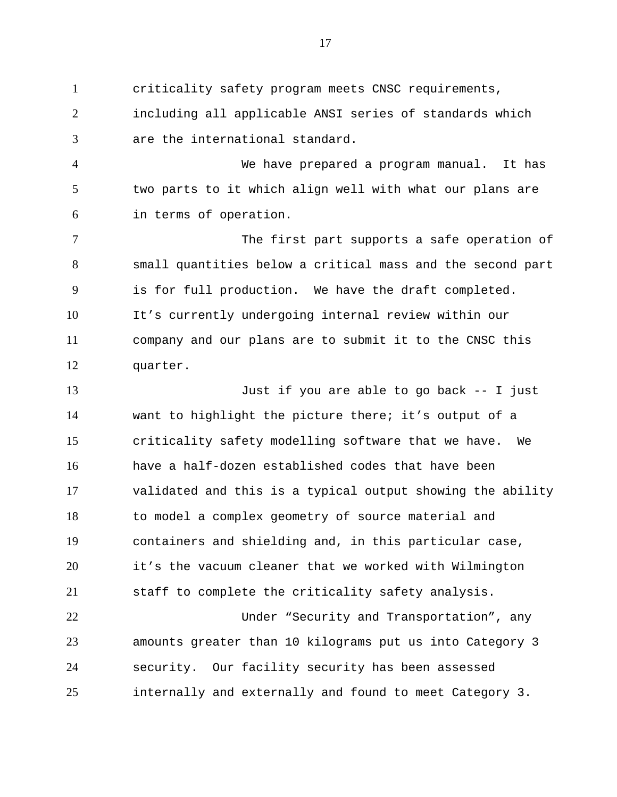1 criticality safety program meets CNSC requirements, 2 3 including all applicable ANSI series of standards which are the international standard.

4 5 6 We have prepared a program manual. It has two parts to it which align well with what our plans are in terms of operation.

7 8 9 10 11 12 The first part supports a safe operation of small quantities below a critical mass and the second part is for full production. We have the draft completed. It's currently undergoing internal review within our company and our plans are to submit it to the CNSC this quarter.

13 14 15 16 17 18 19 20 21 Just if you are able to go back -- I just want to highlight the picture there; it's output of a criticality safety modelling software that we have. We have a half-dozen established codes that have been validated and this is a typical output showing the ability to model a complex geometry of source material and containers and shielding and, in this particular case, it's the vacuum cleaner that we worked with Wilmington staff to complete the criticality safety analysis.

22 23 24 25 Under "Security and Transportation", any amounts greater than 10 kilograms put us into Category 3 security. Our facility security has been assessed internally and externally and found to meet Category 3.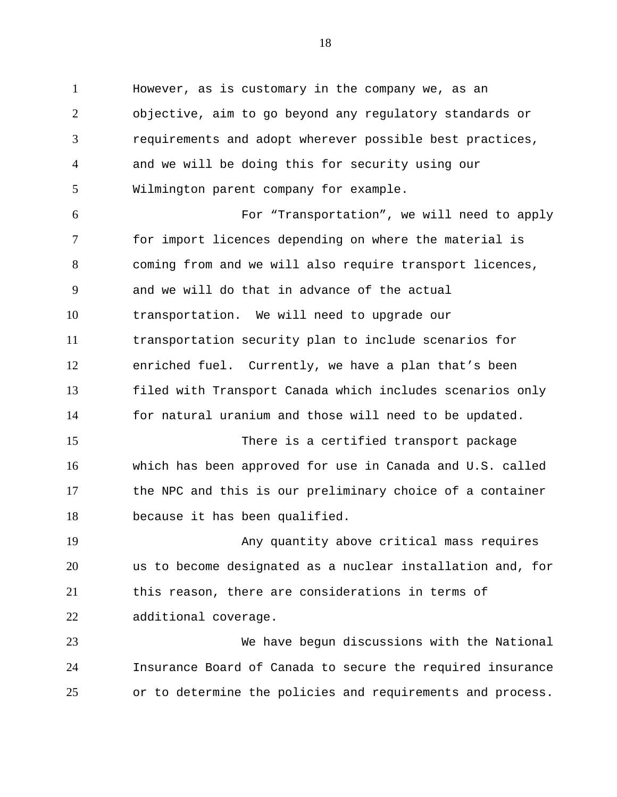1 However, as is customary in the company we, as an 2 3 4 5 6 7 8 9 10 11 12 13 14 15 16 17 18 19 20 21 22 23 24 objective, aim to go beyond any regulatory standards or requirements and adopt wherever possible best practices, and we will be doing this for security using our Wilmington parent company for example. For "Transportation", we will need to apply for import licences depending on where the material is coming from and we will also require transport licences, and we will do that in advance of the actual transportation. We will need to upgrade our transportation security plan to include scenarios for enriched fuel. Currently, we have a plan that's been filed with Transport Canada which includes scenarios only for natural uranium and those will need to be updated. There is a certified transport package which has been approved for use in Canada and U.S. called the NPC and this is our preliminary choice of a container because it has been qualified. Any quantity above critical mass requires us to become designated as a nuclear installation and, for this reason, there are considerations in terms of additional coverage. We have begun discussions with the National Insurance Board of Canada to secure the required insurance

25 or to determine the policies and requirements and process.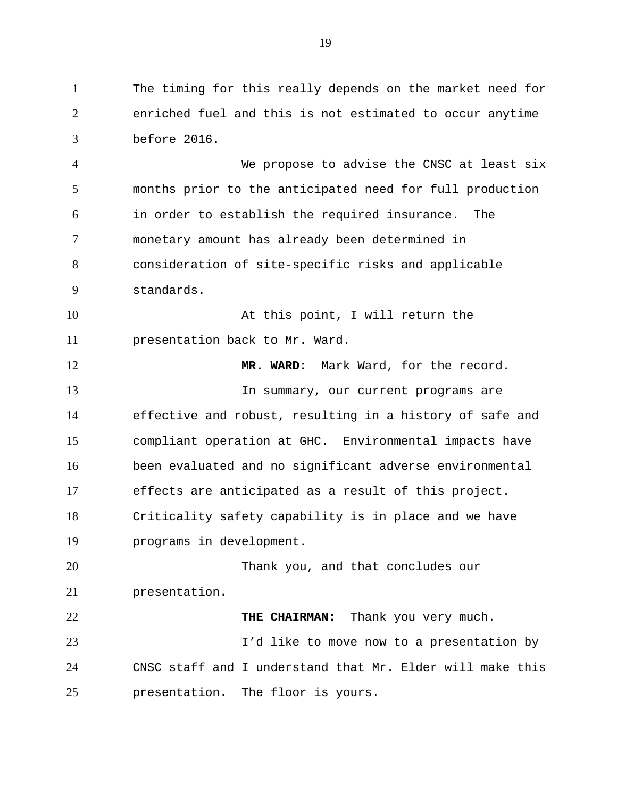1 The timing for this really depends on the market need for 2 3 enriched fuel and this is not estimated to occur anytime before 2016.

4 5 6 7 8 9 We propose to advise the CNSC at least six months prior to the anticipated need for full production in order to establish the required insurance. The monetary amount has already been determined in consideration of site-specific risks and applicable standards.

10 11 At this point, I will return the presentation back to Mr. Ward.

12 13 14 15 16 17 18 19 20 21 22 **MR. WARD:** Mark Ward, for the record. In summary, our current programs are effective and robust, resulting in a history of safe and compliant operation at GHC. Environmental impacts have been evaluated and no significant adverse environmental effects are anticipated as a result of this project. Criticality safety capability is in place and we have programs in development. Thank you, and that concludes our presentation. **THE CHAIRMAN:** Thank you very much.

23 24 25 I'd like to move now to a presentation by CNSC staff and I understand that Mr. Elder will make this presentation. The floor is yours.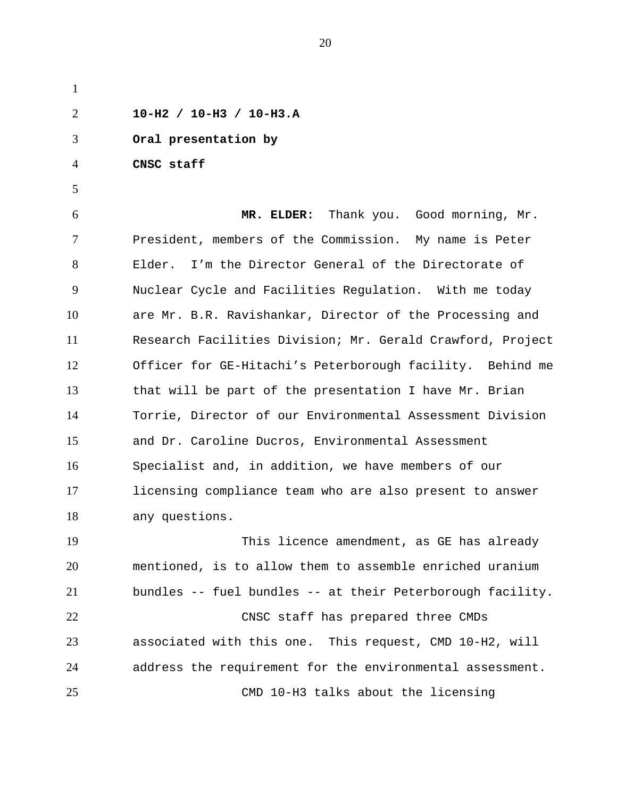1 2 3 4 5 6 7 8 9 10 11 12 13 14 15 16 17 18 19 20 21 22 23 24 25 **10-H2 / 10-H3 / 10-H3.A Oral presentation by CNSC staff MR. ELDER:** Thank you. Good morning, Mr. President, members of the Commission. My name is Peter Elder. I'm the Director General of the Directorate of Nuclear Cycle and Facilities Regulation. With me today are Mr. B.R. Ravishankar, Director of the Processing and Research Facilities Division; Mr. Gerald Crawford, Project Officer for GE-Hitachi's Peterborough facility. Behind me that will be part of the presentation I have Mr. Brian Torrie, Director of our Environmental Assessment Division and Dr. Caroline Ducros, Environmental Assessment Specialist and, in addition, we have members of our licensing compliance team who are also present to answer any questions. This licence amendment, as GE has already mentioned, is to allow them to assemble enriched uranium bundles -- fuel bundles -- at their Peterborough facility. CNSC staff has prepared three CMDs associated with this one. This request, CMD 10-H2, will address the requirement for the environmental assessment. CMD 10-H3 talks about the licensing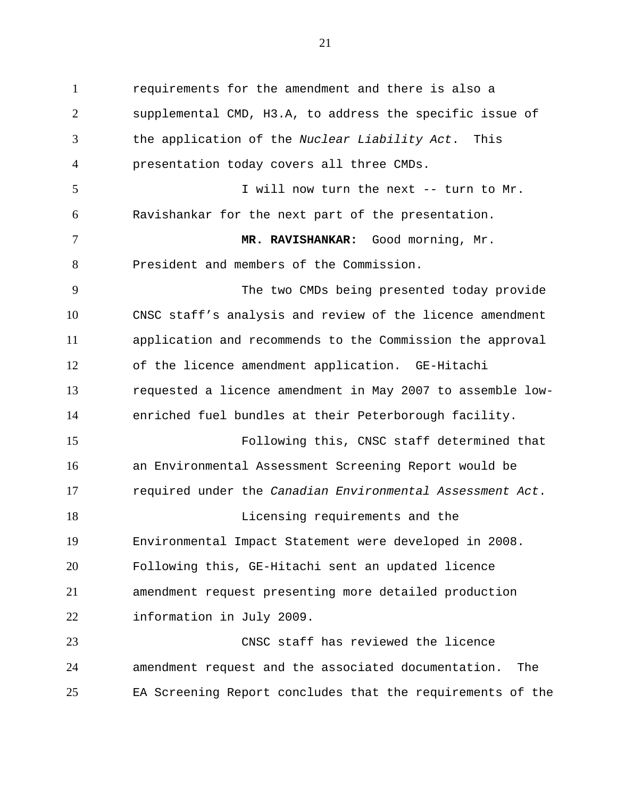1 requirements for the amendment and there is also a 2 3 4 5 6 7 8 9 10 11 12 13 14 15 16 17 18 19 20 21 22 23 24 supplemental CMD, H3.A, to address the specific issue of the application of the *Nuclear Liability Act*. This presentation today covers all three CMDs. I will now turn the next -- turn to Mr. Ravishankar for the next part of the presentation. **MR. RAVISHANKAR:** Good morning, Mr. President and members of the Commission. The two CMDs being presented today provide CNSC staff's analysis and review of the licence amendment application and recommends to the Commission the approval of the licence amendment application. GE-Hitachi requested a licence amendment in May 2007 to assemble lowenriched fuel bundles at their Peterborough facility. Following this, CNSC staff determined that an Environmental Assessment Screening Report would be required under the *Canadian Environmental Assessment Act*. Licensing requirements and the Environmental Impact Statement were developed in 2008. Following this, GE-Hitachi sent an updated licence amendment request presenting more detailed production information in July 2009. CNSC staff has reviewed the licence amendment request and the associated documentation. The

EA Screening Report concludes that the requirements of the

25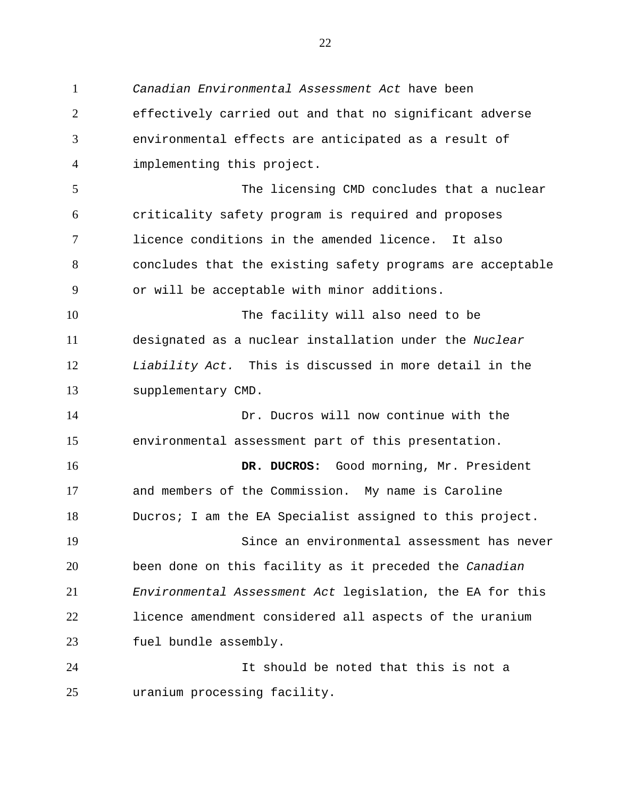1 *Canadian Environmental Assessment Act* have been 2 3 4 5 6 7 8 9 10 11 12 13 14 15 16 17 18 19 20 21 22 23 24 25 effectively carried out and that no significant adverse environmental effects are anticipated as a result of implementing this project. The licensing CMD concludes that a nuclear criticality safety program is required and proposes licence conditions in the amended licence. It also concludes that the existing safety programs are acceptable or will be acceptable with minor additions. The facility will also need to be designated as a nuclear installation under the *Nuclear Liability Act.* This is discussed in more detail in the supplementary CMD. Dr. Ducros will now continue with the environmental assessment part of this presentation. **DR. DUCROS:** Good morning, Mr. President and members of the Commission. My name is Caroline Ducros; I am the EA Specialist assigned to this project. Since an environmental assessment has never been done on this facility as it preceded the *Canadian Environmental Assessment Act* legislation, the EA for this licence amendment considered all aspects of the uranium fuel bundle assembly. It should be noted that this is not a uranium processing facility.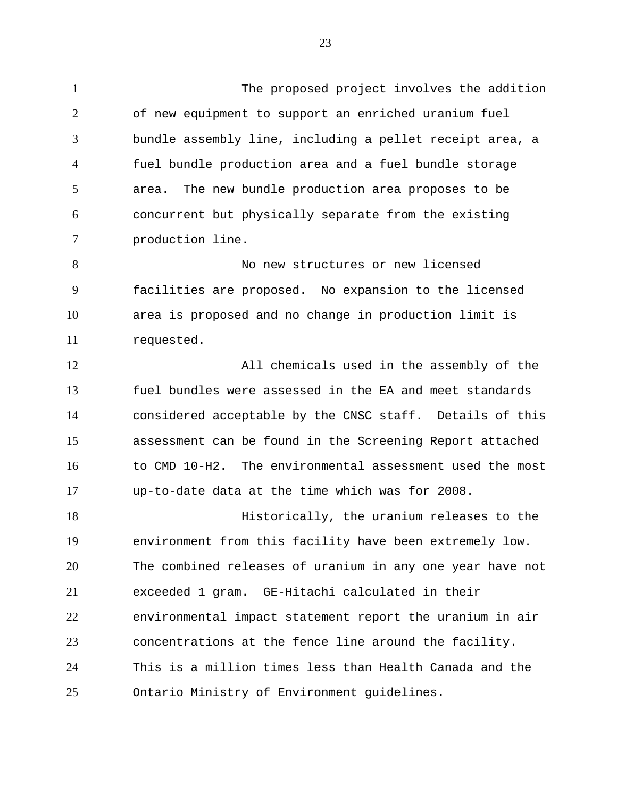1 The proposed project involves the addition 2 3 4 5 6 7 of new equipment to support an enriched uranium fuel bundle assembly line, including a pellet receipt area, a fuel bundle production area and a fuel bundle storage area. The new bundle production area proposes to be concurrent but physically separate from the existing production line.

8 9 10 11 No new structures or new licensed facilities are proposed. No expansion to the licensed area is proposed and no change in production limit is requested.

12 13 14 15 16 17 All chemicals used in the assembly of the fuel bundles were assessed in the EA and meet standards considered acceptable by the CNSC staff. Details of this assessment can be found in the Screening Report attached to CMD 10-H2. The environmental assessment used the most up-to-date data at the time which was for 2008.

18 19 20 21 22 23 24 25 Historically, the uranium releases to the environment from this facility have been extremely low. The combined releases of uranium in any one year have not exceeded 1 gram. GE-Hitachi calculated in their environmental impact statement report the uranium in air concentrations at the fence line around the facility. This is a million times less than Health Canada and the Ontario Ministry of Environment guidelines.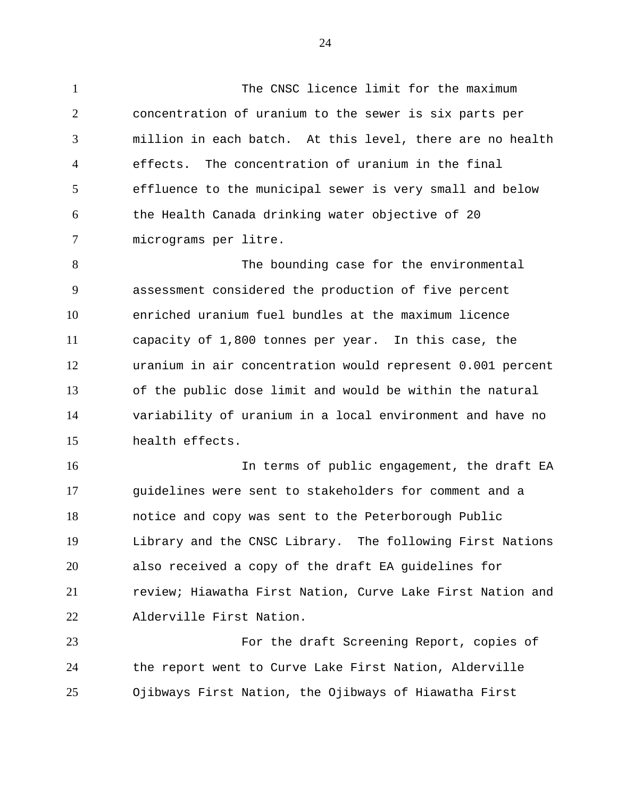1 The CNSC licence limit for the maximum 2 3 4 5 6 7 concentration of uranium to the sewer is six parts per million in each batch. At this level, there are no health effects. The concentration of uranium in the final effluence to the municipal sewer is very small and below the Health Canada drinking water objective of 20 micrograms per litre.

8 9 10 11 12 13 14 15 The bounding case for the environmental assessment considered the production of five percent enriched uranium fuel bundles at the maximum licence capacity of 1,800 tonnes per year. In this case, the uranium in air concentration would represent 0.001 percent of the public dose limit and would be within the natural variability of uranium in a local environment and have no health effects.

16 17 18 19 20 21 22 In terms of public engagement, the draft EA guidelines were sent to stakeholders for comment and a notice and copy was sent to the Peterborough Public Library and the CNSC Library. The following First Nations also received a copy of the draft EA guidelines for review; Hiawatha First Nation, Curve Lake First Nation and Alderville First Nation.

23 24 25 For the draft Screening Report, copies of the report went to Curve Lake First Nation, Alderville Ojibways First Nation, the Ojibways of Hiawatha First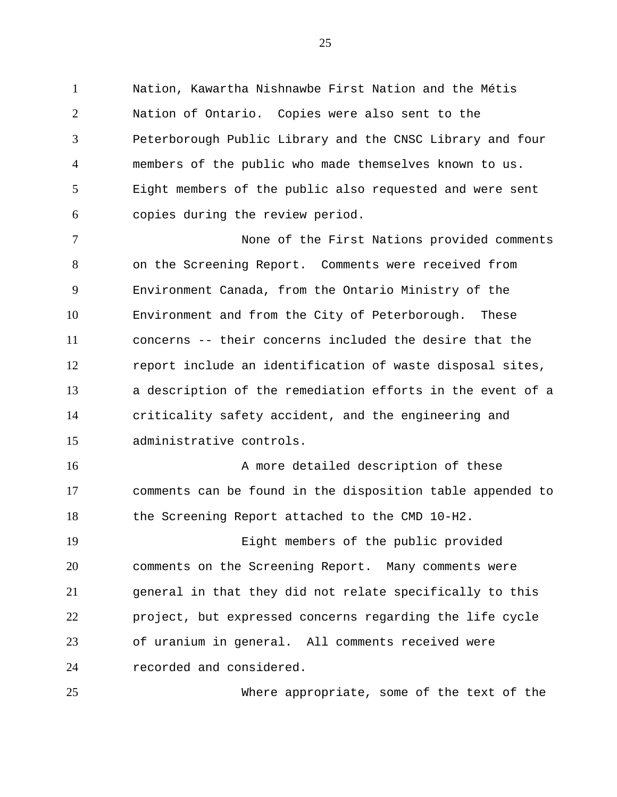1 Nation, Kawartha Nishnawbe First Nation and the Métis 2 3 4 5 6 Nation of Ontario. Copies were also sent to the Peterborough Public Library and the CNSC Library and four members of the public who made themselves known to us. Eight members of the public also requested and were sent copies during the review period.

7 8 9 10 11 12 13 14 15 None of the First Nations provided comments on the Screening Report. Comments were received from Environment Canada, from the Ontario Ministry of the Environment and from the City of Peterborough. These concerns -- their concerns included the desire that the report include an identification of waste disposal sites, a description of the remediation efforts in the event of a criticality safety accident, and the engineering and administrative controls.

16 17 18 A more detailed description of these comments can be found in the disposition table appended to the Screening Report attached to the CMD 10-H2.

19 20 21 22 23 24 Eight members of the public provided comments on the Screening Report. Many comments were general in that they did not relate specifically to this project, but expressed concerns regarding the life cycle of uranium in general. All comments received were recorded and considered.

25

Where appropriate, some of the text of the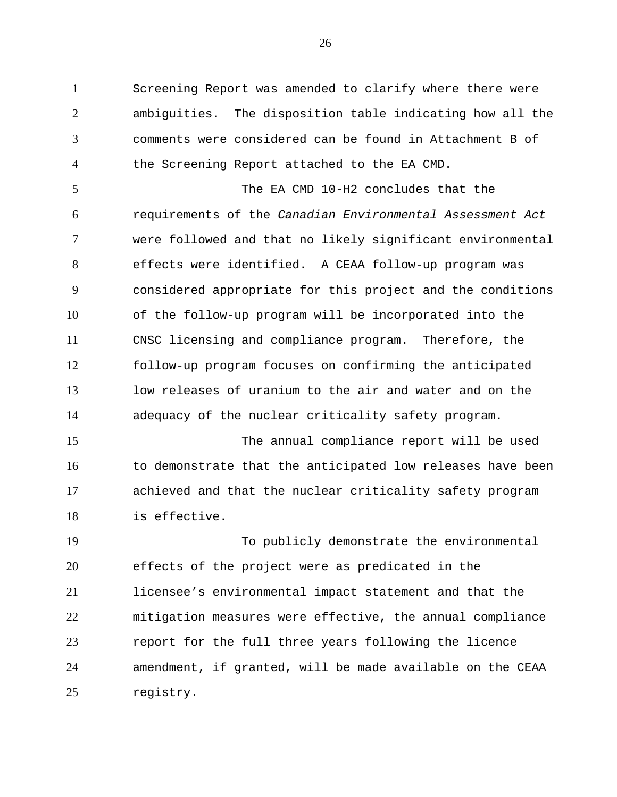1 Screening Report was amended to clarify where there were 2 3 4 ambiguities. The disposition table indicating how all the comments were considered can be found in Attachment B of the Screening Report attached to the EA CMD.

5 6 7 8 9 10 11 12 13 14 The EA CMD 10-H2 concludes that the requirements of the *Canadian Environmental Assessment Act*  were followed and that no likely significant environmental effects were identified. A CEAA follow-up program was considered appropriate for this project and the conditions of the follow-up program will be incorporated into the CNSC licensing and compliance program. Therefore, the follow-up program focuses on confirming the anticipated low releases of uranium to the air and water and on the adequacy of the nuclear criticality safety program.

15 16 17 18 The annual compliance report will be used to demonstrate that the anticipated low releases have been achieved and that the nuclear criticality safety program is effective.

19 20 21 22 23 24 25 To publicly demonstrate the environmental effects of the project were as predicated in the licensee's environmental impact statement and that the mitigation measures were effective, the annual compliance report for the full three years following the licence amendment, if granted, will be made available on the CEAA registry.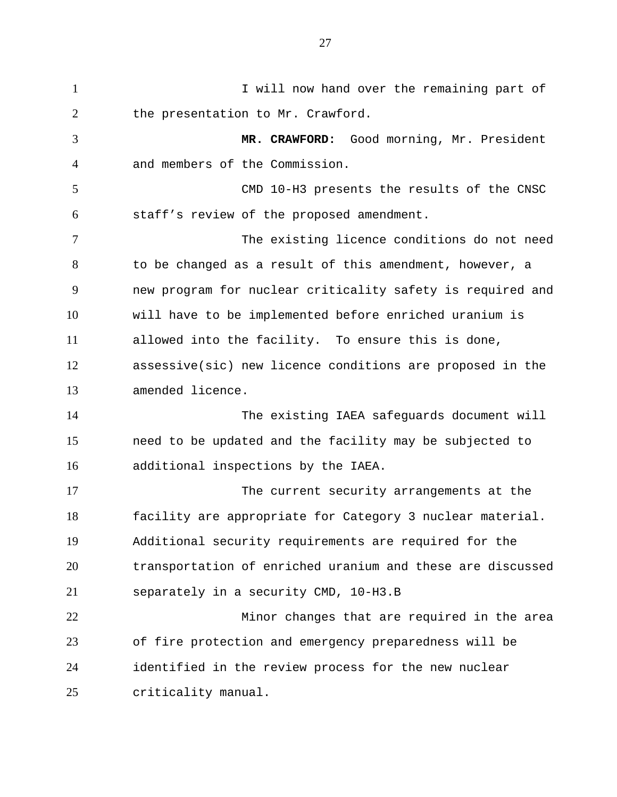1 I will now hand over the remaining part of 2 3 4 5 6 7 8 9 10 11 12 13 14 15 16 17 18 19 20 21 22 23 24 25 the presentation to Mr. Crawford. **MR. CRAWFORD:** Good morning, Mr. President and members of the Commission. CMD 10-H3 presents the results of the CNSC staff's review of the proposed amendment. The existing licence conditions do not need to be changed as a result of this amendment, however, a new program for nuclear criticality safety is required and will have to be implemented before enriched uranium is allowed into the facility. To ensure this is done, assessive(sic) new licence conditions are proposed in the amended licence. The existing IAEA safeguards document will need to be updated and the facility may be subjected to additional inspections by the IAEA. The current security arrangements at the facility are appropriate for Category 3 nuclear material. Additional security requirements are required for the transportation of enriched uranium and these are discussed separately in a security CMD, 10-H3.B Minor changes that are required in the area of fire protection and emergency preparedness will be identified in the review process for the new nuclear criticality manual.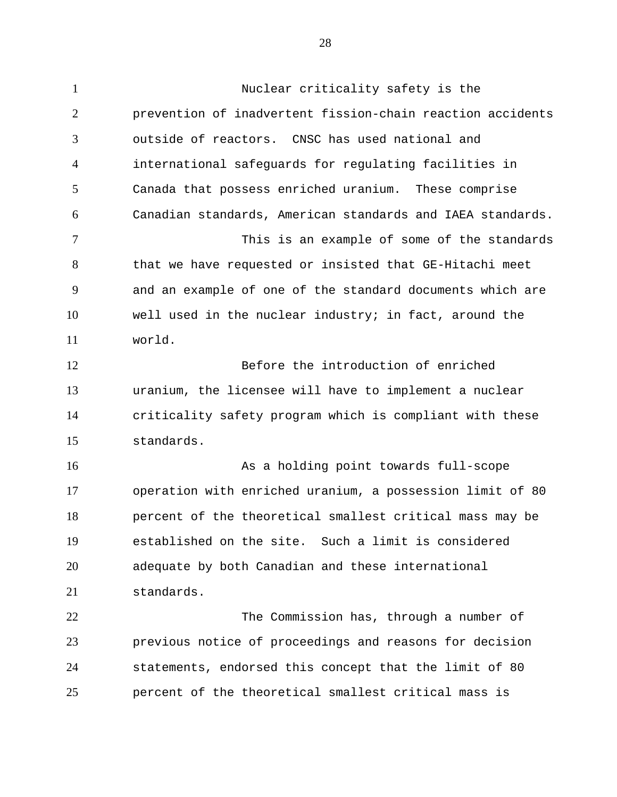1 Nuclear criticality safety is the 2 3 4 5 6 7 8 9 10 11 12 13 14 15 16 17 18 prevention of inadvertent fission-chain reaction accidents outside of reactors. CNSC has used national and international safeguards for regulating facilities in Canada that possess enriched uranium. These comprise Canadian standards, American standards and IAEA standards. This is an example of some of the standards that we have requested or insisted that GE-Hitachi meet and an example of one of the standard documents which are well used in the nuclear industry; in fact, around the world. Before the introduction of enriched uranium, the licensee will have to implement a nuclear criticality safety program which is compliant with these standards. As a holding point towards full-scope operation with enriched uranium, a possession limit of 80 percent of the theoretical smallest critical mass may be

19 20 21 established on the site. Such a limit is considered adequate by both Canadian and these international standards.

22 23 24 25 The Commission has, through a number of previous notice of proceedings and reasons for decision statements, endorsed this concept that the limit of 80 percent of the theoretical smallest critical mass is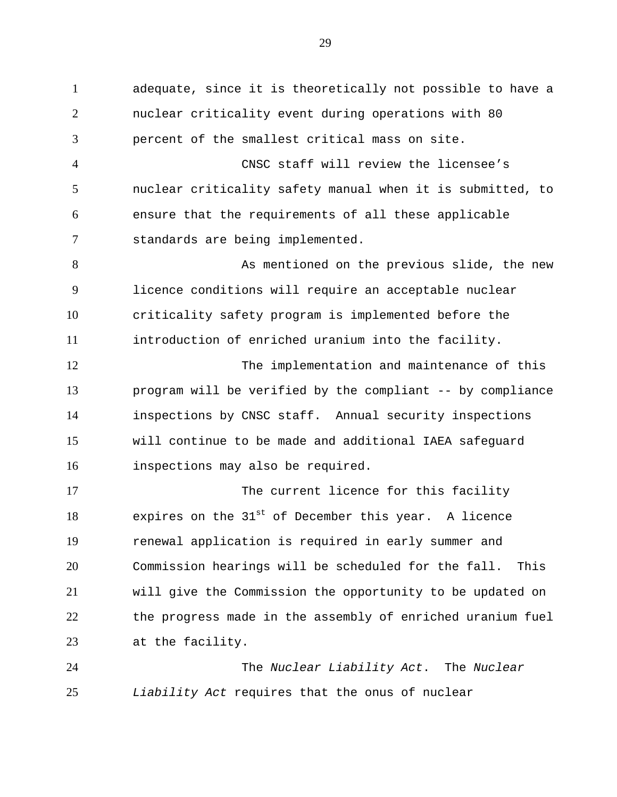1 adequate, since it is theoretically not possible to have a 2 3 4 5 6 7 8 9 10 11 12 13 14 15 16 17 18 19 20 21 22 23 24 nuclear criticality event during operations with 80 percent of the smallest critical mass on site. CNSC staff will review the licensee's nuclear criticality safety manual when it is submitted, to ensure that the requirements of all these applicable standards are being implemented. As mentioned on the previous slide, the new licence conditions will require an acceptable nuclear criticality safety program is implemented before the introduction of enriched uranium into the facility. The implementation and maintenance of this program will be verified by the compliant -- by compliance inspections by CNSC staff. Annual security inspections will continue to be made and additional IAEA safeguard inspections may also be required. The current licence for this facility expires on the  $31<sup>st</sup>$  of December this year. A licence renewal application is required in early summer and Commission hearings will be scheduled for the fall. This will give the Commission the opportunity to be updated on the progress made in the assembly of enriched uranium fuel at the facility. The *Nuclear Liability Act*. The *Nuclear* 

29

25

*Liability Act* requires that the onus of nuclear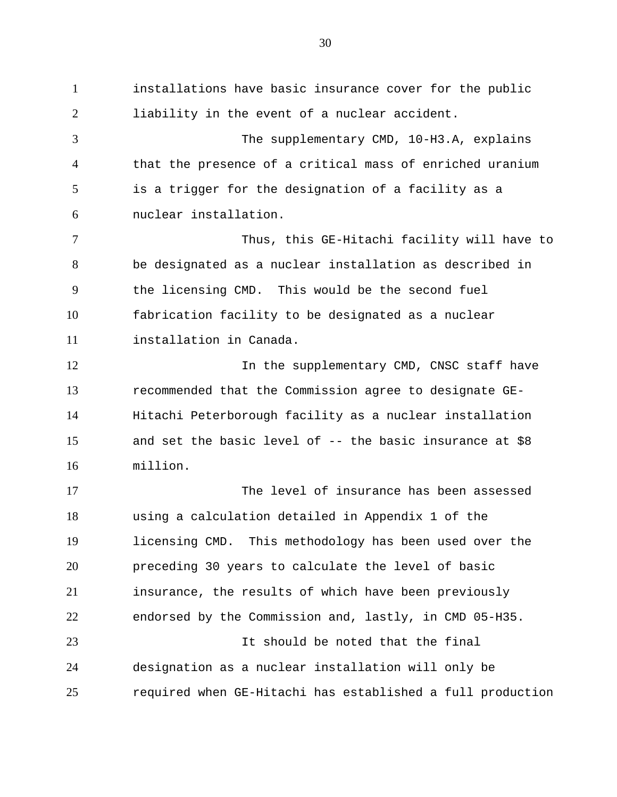1 installations have basic insurance cover for the public 2 3 4 5 6 7 8 9 10 11 12 13 14 15 16 17 18 19 20 21 22 23 24 25 liability in the event of a nuclear accident. The supplementary CMD, 10-H3.A, explains that the presence of a critical mass of enriched uranium is a trigger for the designation of a facility as a nuclear installation. Thus, this GE-Hitachi facility will have to be designated as a nuclear installation as described in the licensing CMD. This would be the second fuel fabrication facility to be designated as a nuclear installation in Canada. In the supplementary CMD, CNSC staff have recommended that the Commission agree to designate GE-Hitachi Peterborough facility as a nuclear installation and set the basic level of  $-$ - the basic insurance at \$8 million. The level of insurance has been assessed using a calculation detailed in Appendix 1 of the licensing CMD. This methodology has been used over the preceding 30 years to calculate the level of basic insurance, the results of which have been previously endorsed by the Commission and, lastly, in CMD 05-H35. It should be noted that the final designation as a nuclear installation will only be required when GE-Hitachi has established a full production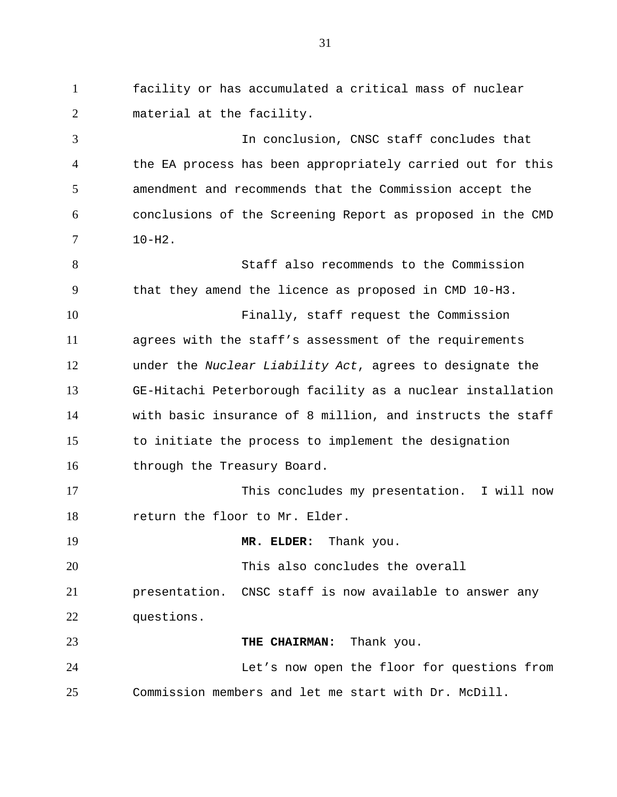1 facility or has accumulated a critical mass of nuclear 2 material at the facility.

3 4 5 6 7 In conclusion, CNSC staff concludes that the EA process has been appropriately carried out for this amendment and recommends that the Commission accept the conclusions of the Screening Report as proposed in the CMD  $10 - H2$ .

8 9 10 11 12 13 14 15 16 Staff also recommends to the Commission that they amend the licence as proposed in CMD 10-H3. Finally, staff request the Commission agrees with the staff's assessment of the requirements under the *Nuclear Liability Act*, agrees to designate the GE-Hitachi Peterborough facility as a nuclear installation with basic insurance of 8 million, and instructs the staff to initiate the process to implement the designation through the Treasury Board.

17 18 This concludes my presentation. I will now return the floor to Mr. Elder.

19 **MR. ELDER:** Thank you.

20 This also concludes the overall

21 22 presentation. CNSC staff is now available to answer any questions.

23 **THE CHAIRMAN:** Thank you.

24 25 Let's now open the floor for questions from Commission members and let me start with Dr. McDill.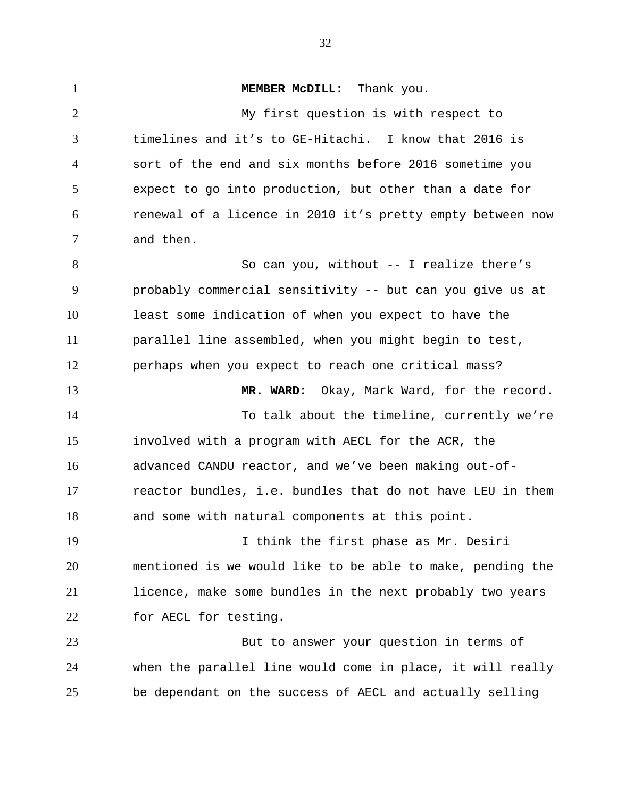1 **MEMBER MCDILL:** Thank you. 2 3 4 5 6 7 8 9 10 11 12 13 14 15 16 17 18 19 20 21 22 23 24 25 My first question is with respect to timelines and it's to GE-Hitachi. I know that 2016 is sort of the end and six months before 2016 sometime you expect to go into production, but other than a date for renewal of a licence in 2010 it's pretty empty between now and then. So can you, without -- I realize there's probably commercial sensitivity -- but can you give us at least some indication of when you expect to have the parallel line assembled, when you might begin to test, perhaps when you expect to reach one critical mass? **MR. WARD:** Okay, Mark Ward, for the record. To talk about the timeline, currently we're involved with a program with AECL for the ACR, the advanced CANDU reactor, and we've been making out-ofreactor bundles, i.e. bundles that do not have LEU in them and some with natural components at this point. I think the first phase as Mr. Desiri mentioned is we would like to be able to make, pending the licence, make some bundles in the next probably two years for AECL for testing. But to answer your question in terms of when the parallel line would come in place, it will really be dependant on the success of AECL and actually selling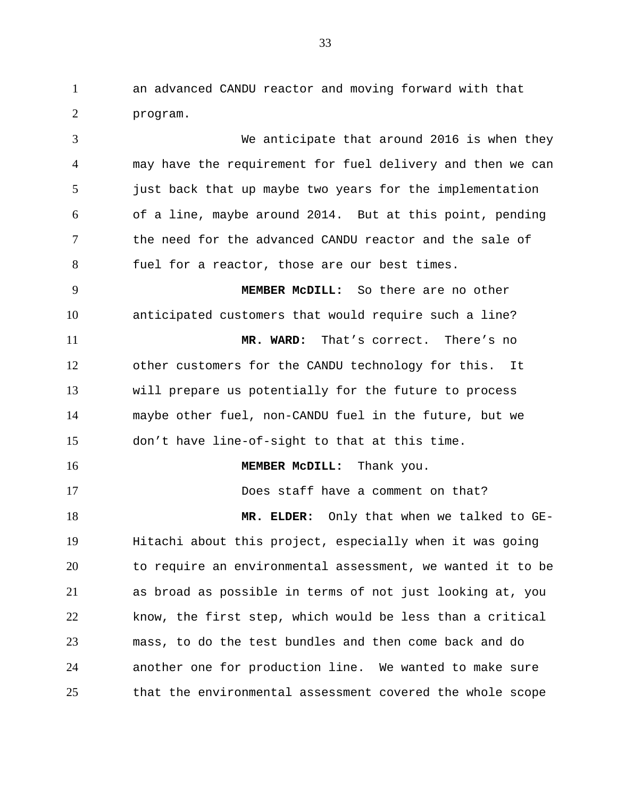1 an advanced CANDU reactor and moving forward with that 2 program.

3 4 5 6 7 8 9 10 11 12 13 14 15 16 17 We anticipate that around 2016 is when they may have the requirement for fuel delivery and then we can just back that up maybe two years for the implementation of a line, maybe around 2014. But at this point, pending the need for the advanced CANDU reactor and the sale of fuel for a reactor, those are our best times. **MEMBER McDILL:** So there are no other anticipated customers that would require such a line? **MR. WARD:** That's correct. There's no other customers for the CANDU technology for this. It will prepare us potentially for the future to process maybe other fuel, non-CANDU fuel in the future, but we don't have line-of-sight to that at this time. **MEMBER McDILL:** Thank you. Does staff have a comment on that?

18 19 20 21 22 23 24 25 **MR. ELDER:** Only that when we talked to GE-Hitachi about this project, especially when it was going to require an environmental assessment, we wanted it to be as broad as possible in terms of not just looking at, you know, the first step, which would be less than a critical mass, to do the test bundles and then come back and do another one for production line. We wanted to make sure that the environmental assessment covered the whole scope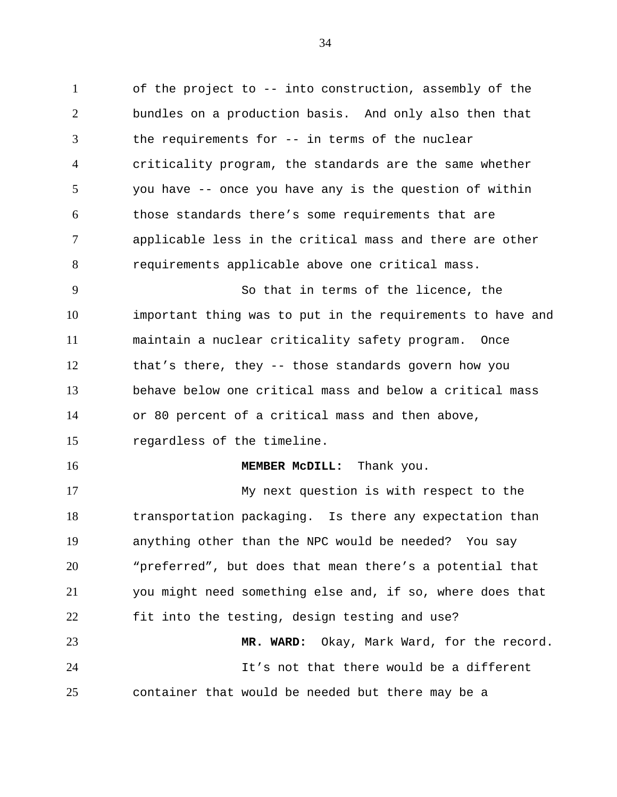1 of the project to -- into construction, assembly of the 2 3 4 5 6 7 8 9 10 11 12 13 14 15 16 17 18 19 20 21 22 23 24 25 bundles on a production basis. And only also then that the requirements for -- in terms of the nuclear criticality program, the standards are the same whether you have -- once you have any is the question of within those standards there's some requirements that are applicable less in the critical mass and there are other requirements applicable above one critical mass. So that in terms of the licence, the important thing was to put in the requirements to have and maintain a nuclear criticality safety program. Once that's there, they -- those standards govern how you behave below one critical mass and below a critical mass or 80 percent of a critical mass and then above, regardless of the timeline. **MEMBER McDILL:** Thank you. My next question is with respect to the transportation packaging. Is there any expectation than anything other than the NPC would be needed? You say "preferred", but does that mean there's a potential that you might need something else and, if so, where does that fit into the testing, design testing and use? **MR. WARD:** Okay, Mark Ward, for the record. It's not that there would be a different container that would be needed but there may be a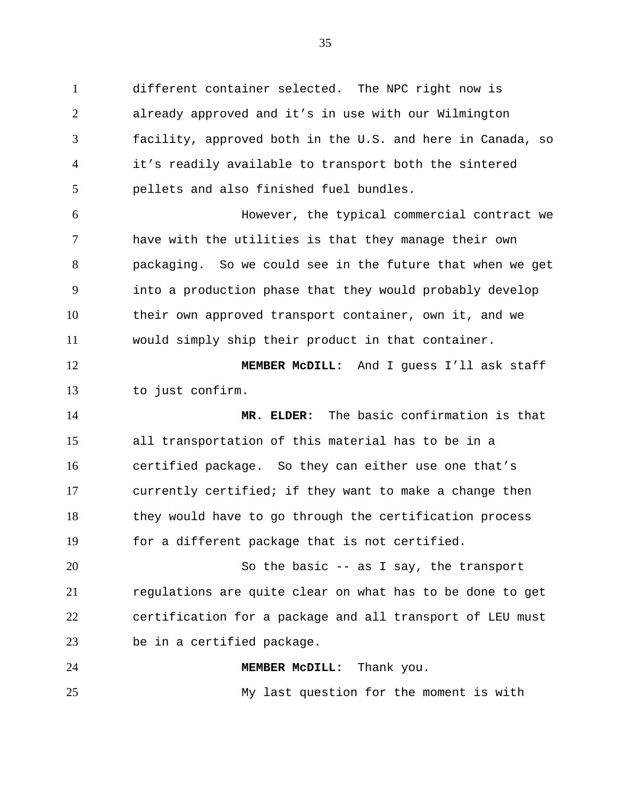1 different container selected. The NPC right now is 2 3 4 5 6 7 8 9 already approved and it's in use with our Wilmington facility, approved both in the U.S. and here in Canada, so it's readily available to transport both the sintered pellets and also finished fuel bundles. However, the typical commercial contract we have with the utilities is that they manage their own packaging. So we could see in the future that when we get into a production phase that they would probably develop

10 11 their own approved transport container, own it, and we would simply ship their product in that container.

12 13 **MEMBER McDILL:** And I guess I'll ask staff to just confirm.

14 15 16 17 18 19 **MR. ELDER:** The basic confirmation is that all transportation of this material has to be in a certified package. So they can either use one that's currently certified; if they want to make a change then they would have to go through the certification process for a different package that is not certified.

20 21 22 23 So the basic -- as I say, the transport regulations are quite clear on what has to be done to get certification for a package and all transport of LEU must be in a certified package.

**MEMBER McDILL:** Thank you.

24

25

My last question for the moment is with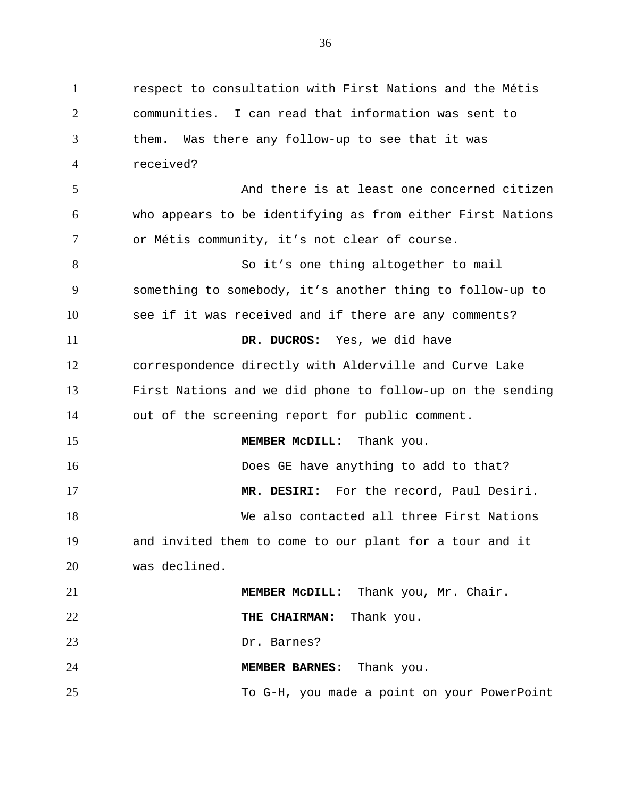1 respect to consultation with First Nations and the Métis 2 3 4 5 6 7 8 9 10 11 12 13 14 15 16 17 18 19 20 21 22 23 24 25 communities. I can read that information was sent to them. Was there any follow-up to see that it was received? And there is at least one concerned citizen who appears to be identifying as from either First Nations or Métis community, it's not clear of course. So it's one thing altogether to mail something to somebody, it's another thing to follow-up to see if it was received and if there are any comments? **DR. DUCROS:** Yes, we did have correspondence directly with Alderville and Curve Lake First Nations and we did phone to follow-up on the sending out of the screening report for public comment. **MEMBER McDILL:** Thank you. Does GE have anything to add to that? **MR. DESIRI:** For the record, Paul Desiri. We also contacted all three First Nations and invited them to come to our plant for a tour and it was declined. **MEMBER McDILL:** Thank you, Mr. Chair. **THE CHAIRMAN:** Thank you. Dr. Barnes? **MEMBER BARNES:** Thank you. To G-H, you made a point on your PowerPoint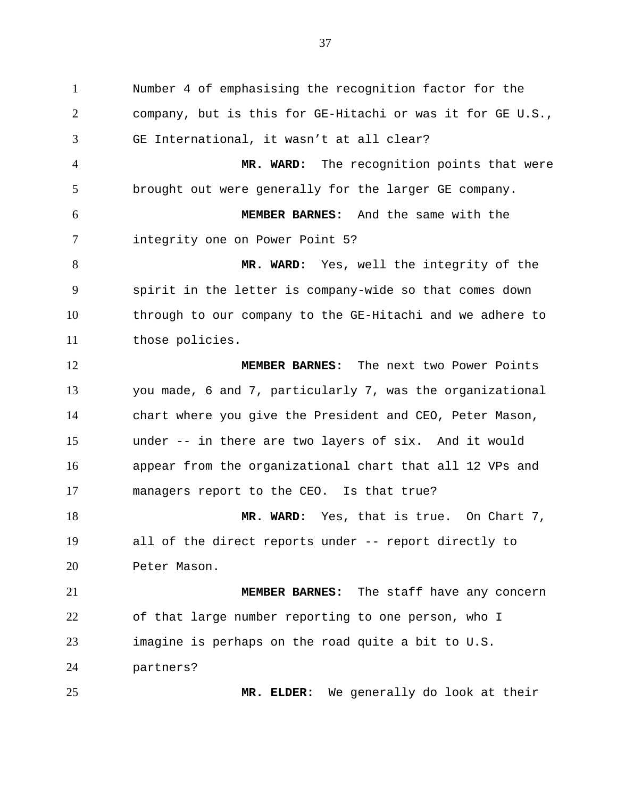1 Number 4 of emphasising the recognition factor for the 2 3 4 5 6 7 8 9 10 11 12 13 14 15 16 17 18 19 20 21 22 23 company, but is this for GE-Hitachi or was it for GE U.S., GE International, it wasn't at all clear? **MR. WARD:** The recognition points that were brought out were generally for the larger GE company. **MEMBER BARNES:** And the same with the integrity one on Power Point 5? **MR. WARD:** Yes, well the integrity of the spirit in the letter is company-wide so that comes down through to our company to the GE-Hitachi and we adhere to those policies. **MEMBER BARNES:** The next two Power Points you made, 6 and 7, particularly 7, was the organizational chart where you give the President and CEO, Peter Mason, under -- in there are two layers of six. And it would appear from the organizational chart that all 12 VPs and managers report to the CEO. Is that true? **MR. WARD:** Yes, that is true. On Chart 7, all of the direct reports under -- report directly to Peter Mason. **MEMBER BARNES:** The staff have any concern of that large number reporting to one person, who I imagine is perhaps on the road quite a bit to U.S.

24

partners?

25

**MR. ELDER:** We generally do look at their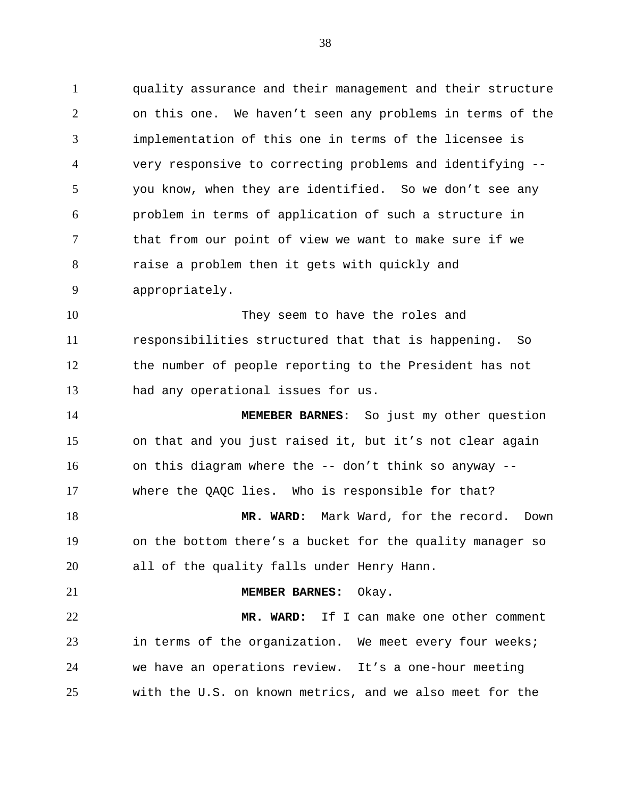1 quality assurance and their management and their structure 2 3 4 5 6 7 8 9 on this one. We haven't seen any problems in terms of the implementation of this one in terms of the licensee is very responsive to correcting problems and identifying - you know, when they are identified. So we don't see any problem in terms of application of such a structure in that from our point of view we want to make sure if we raise a problem then it gets with quickly and appropriately.

10 11 12 13 They seem to have the roles and responsibilities structured that that is happening. So the number of people reporting to the President has not had any operational issues for us.

14 15 16 17 **MEMEBER BARNES:** So just my other question on that and you just raised it, but it's not clear again on this diagram where the -- don't think so anyway - where the QAQC lies. Who is responsible for that?

18 19 20 **MR. WARD:** Mark Ward, for the record. Down on the bottom there's a bucket for the quality manager so all of the quality falls under Henry Hann.

21 22 23 24 25 **MEMBER BARNES:** Okay. **MR. WARD:** If I can make one other comment in terms of the organization. We meet every four weeks; we have an operations review. It's a one-hour meeting with the U.S. on known metrics, and we also meet for the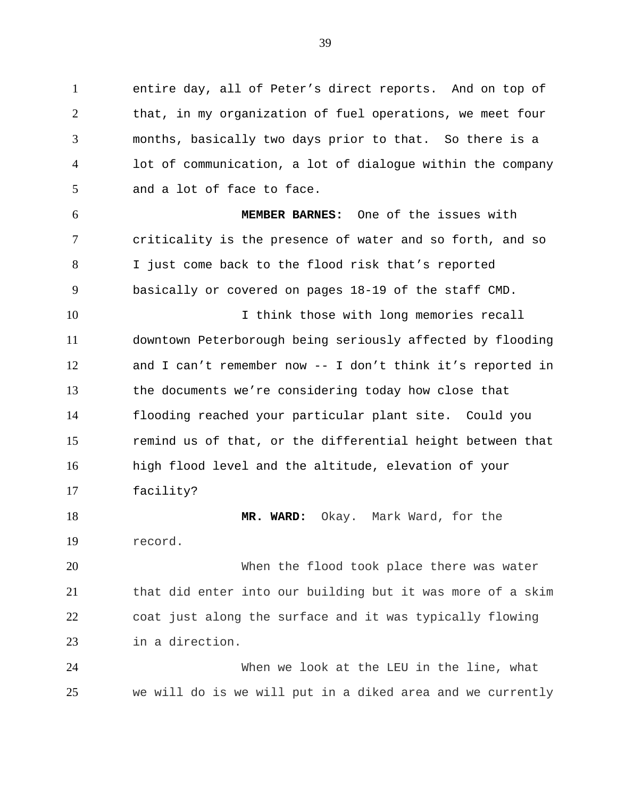1 entire day, all of Peter's direct reports. And on top of 2 3 4 5 that, in my organization of fuel operations, we meet four months, basically two days prior to that. So there is a lot of communication, a lot of dialogue within the company and a lot of face to face.

6 7 8 9 **MEMBER BARNES:** One of the issues with criticality is the presence of water and so forth, and so I just come back to the flood risk that's reported basically or covered on pages 18-19 of the staff CMD.

10 11 12 13 14 15 16 17 I think those with long memories recall downtown Peterborough being seriously affected by flooding and I can't remember now -- I don't think it's reported in the documents we're considering today how close that flooding reached your particular plant site. Could you remind us of that, or the differential height between that high flood level and the altitude, elevation of your facility?

18 19 **MR. WARD:** Okay. Mark Ward, for the record.

20 21 22 23 When the flood took place there was water that did enter into our building but it was more of a skim coat just along the surface and it was typically flowing in a direction.

24 25 When we look at the LEU in the line, what we will do is we will put in a diked area and we currently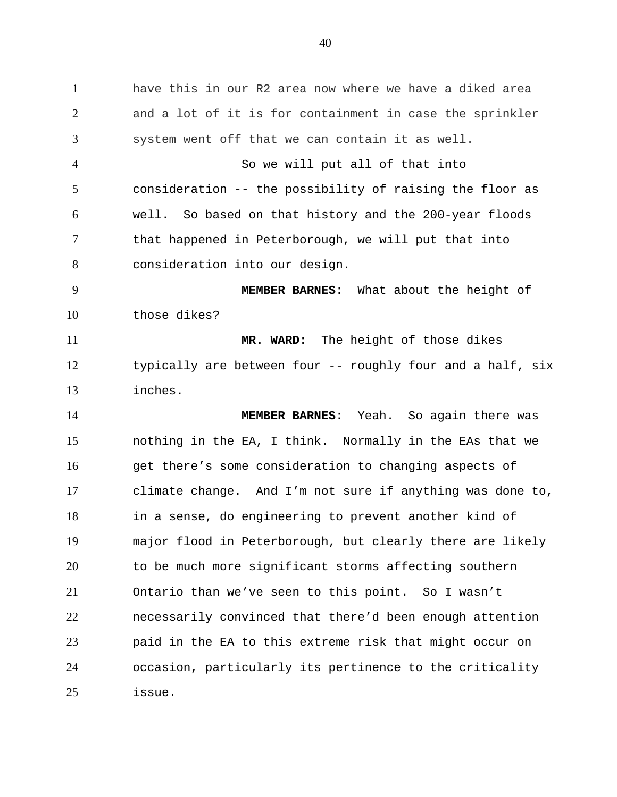1 have this in our R2 area now where we have a diked area 2 3 4 5 6 7 8 9 10 11 12 13 14 15 16 17 18 19 20 21 22 23 24 25 and a lot of it is for containment in case the sprinkler system went off that we can contain it as well. So we will put all of that into consideration -- the possibility of raising the floor as well. So based on that history and the 200-year floods that happened in Peterborough, we will put that into consideration into our design. **MEMBER BARNES:** What about the height of those dikes? **MR. WARD:** The height of those dikes typically are between four -- roughly four and a half, six inches. **MEMBER BARNES:** Yeah. So again there was nothing in the EA, I think. Normally in the EAs that we get there's some consideration to changing aspects of climate change. And I'm not sure if anything was done to, in a sense, do engineering to prevent another kind of major flood in Peterborough, but clearly there are likely to be much more significant storms affecting southern Ontario than we've seen to this point. So I wasn't necessarily convinced that there'd been enough attention paid in the EA to this extreme risk that might occur on occasion, particularly its pertinence to the criticality issue.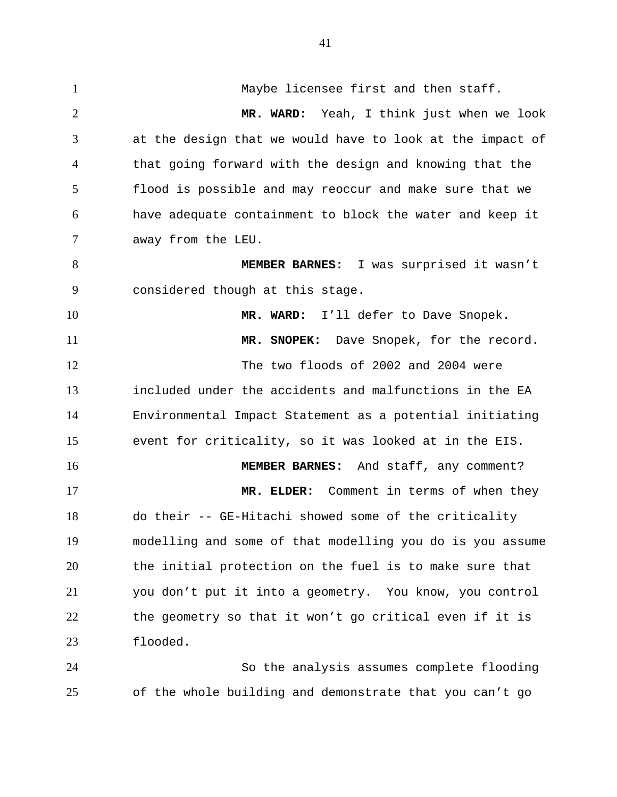1 Maybe licensee first and then staff. 2 3 4 5 6 7 8 9 10 11 12 13 14 15 16 17 18 19 20 21 22 23 **MR. WARD:** Yeah, I think just when we look at the design that we would have to look at the impact of that going forward with the design and knowing that the flood is possible and may reoccur and make sure that we have adequate containment to block the water and keep it away from the LEU. **MEMBER BARNES:** I was surprised it wasn't considered though at this stage. **MR. WARD:** I'll defer to Dave Snopek. **MR. SNOPEK:** Dave Snopek, for the record. The two floods of 2002 and 2004 were included under the accidents and malfunctions in the EA Environmental Impact Statement as a potential initiating event for criticality, so it was looked at in the EIS. **MEMBER BARNES:** And staff, any comment? **MR. ELDER:** Comment in terms of when they do their -- GE-Hitachi showed some of the criticality modelling and some of that modelling you do is you assume the initial protection on the fuel is to make sure that you don't put it into a geometry. You know, you control the geometry so that it won't go critical even if it is flooded.

24 25 So the analysis assumes complete flooding of the whole building and demonstrate that you can't go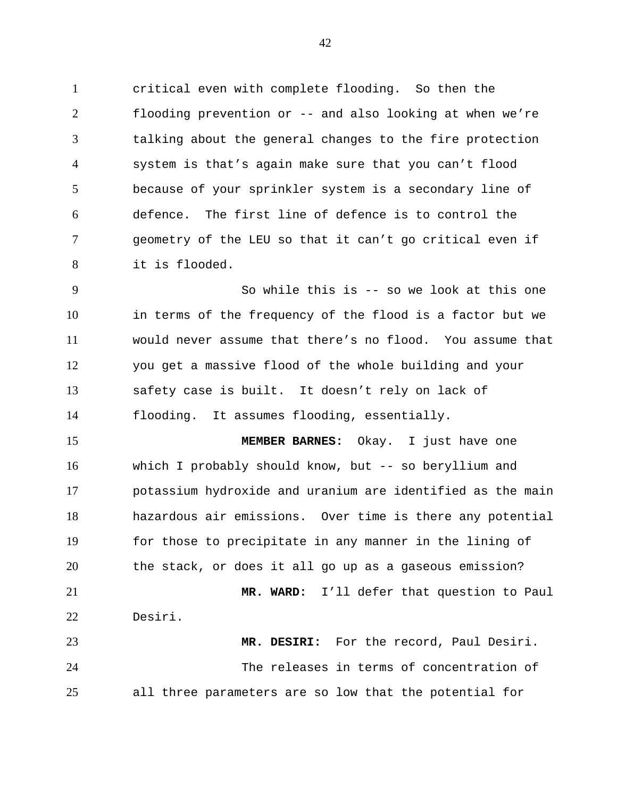1 critical even with complete flooding. So then the 2 3 4 5 6 7 8 flooding prevention or -- and also looking at when we're talking about the general changes to the fire protection system is that's again make sure that you can't flood because of your sprinkler system is a secondary line of defence. The first line of defence is to control the geometry of the LEU so that it can't go critical even if it is flooded.

9 10 11 12 13 14 So while this is -- so we look at this one in terms of the frequency of the flood is a factor but we would never assume that there's no flood. You assume that you get a massive flood of the whole building and your safety case is built. It doesn't rely on lack of flooding. It assumes flooding, essentially.

15 16 17 18 19 20 21 **MEMBER BARNES:** Okay. I just have one which I probably should know, but -- so beryllium and potassium hydroxide and uranium are identified as the main hazardous air emissions. Over time is there any potential for those to precipitate in any manner in the lining of the stack, or does it all go up as a gaseous emission? **MR. WARD:** I'll defer that question to Paul

22 23 Desiri. **MR. DESIRI:** For the record, Paul Desiri.

24 25 The releases in terms of concentration of all three parameters are so low that the potential for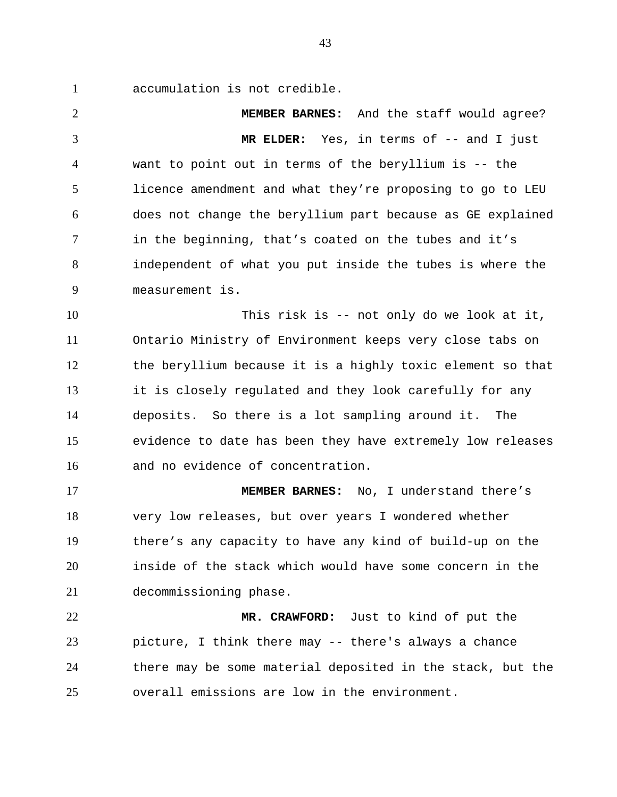1 accumulation is not credible.

2 3 4 5 6 7 8 9 **MEMBER BARNES:** And the staff would agree? **MR ELDER:** Yes, in terms of -- and I just want to point out in terms of the beryllium is -- the licence amendment and what they're proposing to go to LEU does not change the beryllium part because as GE explained in the beginning, that's coated on the tubes and it's independent of what you put inside the tubes is where the measurement is.

10 11 12 13 14 15 16 This risk is -- not only do we look at it, Ontario Ministry of Environment keeps very close tabs on the beryllium because it is a highly toxic element so that it is closely regulated and they look carefully for any deposits. So there is a lot sampling around it. The evidence to date has been they have extremely low releases and no evidence of concentration.

17 18 19 20 21 **MEMBER BARNES:** No, I understand there's very low releases, but over years I wondered whether there's any capacity to have any kind of build-up on the inside of the stack which would have some concern in the decommissioning phase.

22 23 24 25 **MR. CRAWFORD:** Just to kind of put the picture, I think there may -- there's always a chance there may be some material deposited in the stack, but the overall emissions are low in the environment.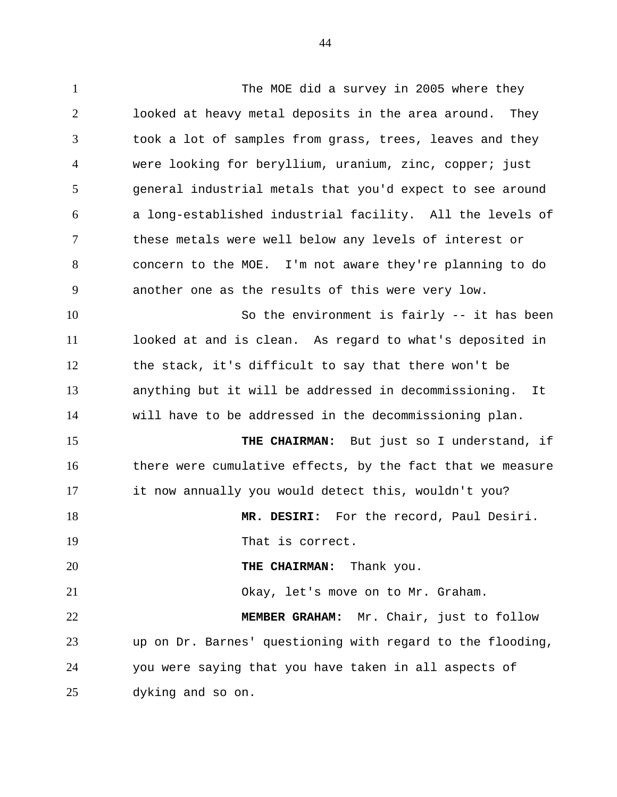1 The MOE did a survey in 2005 where they 2 3 4 5 6 7 8 9 10 11 12 13 14 15 16 17 18 19 20 21 22 23 24 25 looked at heavy metal deposits in the area around. They took a lot of samples from grass, trees, leaves and they were looking for beryllium, uranium, zinc, copper; just general industrial metals that you'd expect to see around a long-established industrial facility. All the levels of these metals were well below any levels of interest or concern to the MOE. I'm not aware they're planning to do another one as the results of this were very low. So the environment is fairly -- it has been looked at and is clean. As regard to what's deposited in the stack, it's difficult to say that there won't be anything but it will be addressed in decommissioning. It will have to be addressed in the decommissioning plan. **THE CHAIRMAN:** But just so I understand, if there were cumulative effects, by the fact that we measure it now annually you would detect this, wouldn't you? **MR. DESIRI:** For the record, Paul Desiri. That is correct. **THE CHAIRMAN:** Thank you. Okay, let's move on to Mr. Graham. **MEMBER GRAHAM:** Mr. Chair, just to follow up on Dr. Barnes' questioning with regard to the flooding, you were saying that you have taken in all aspects of dyking and so on.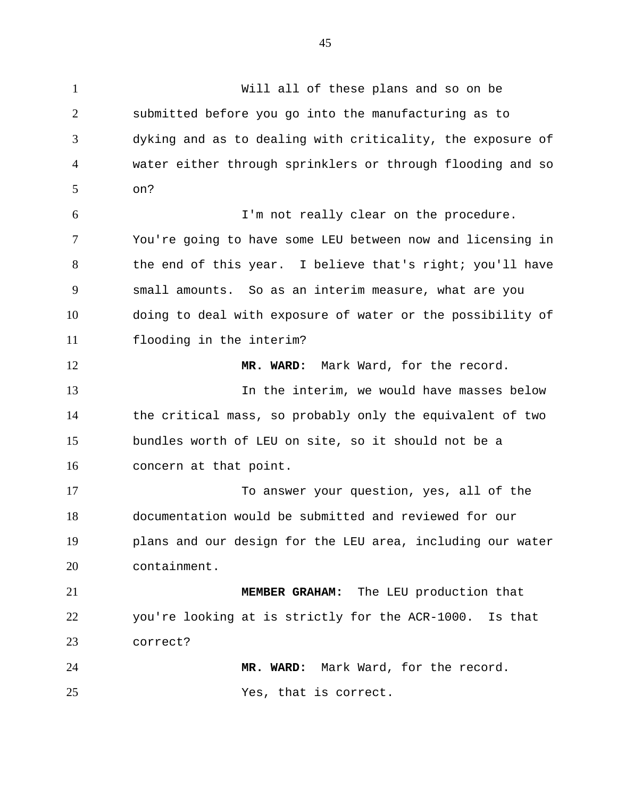1 Will all of these plans and so on be 2 3 4 5 6 7 8 9 10 11 12 13 14 15 16 17 18 19 20 21 22 23 24 25 submitted before you go into the manufacturing as to dyking and as to dealing with criticality, the exposure of water either through sprinklers or through flooding and so on? I'm not really clear on the procedure. You're going to have some LEU between now and licensing in the end of this year. I believe that's right; you'll have small amounts. So as an interim measure, what are you doing to deal with exposure of water or the possibility of flooding in the interim? **MR. WARD:** Mark Ward, for the record. In the interim, we would have masses below the critical mass, so probably only the equivalent of two bundles worth of LEU on site, so it should not be a concern at that point. To answer your question, yes, all of the documentation would be submitted and reviewed for our plans and our design for the LEU area, including our water containment. **MEMBER GRAHAM:** The LEU production that you're looking at is strictly for the ACR-1000. Is that correct? **MR. WARD:** Mark Ward, for the record. Yes, that is correct.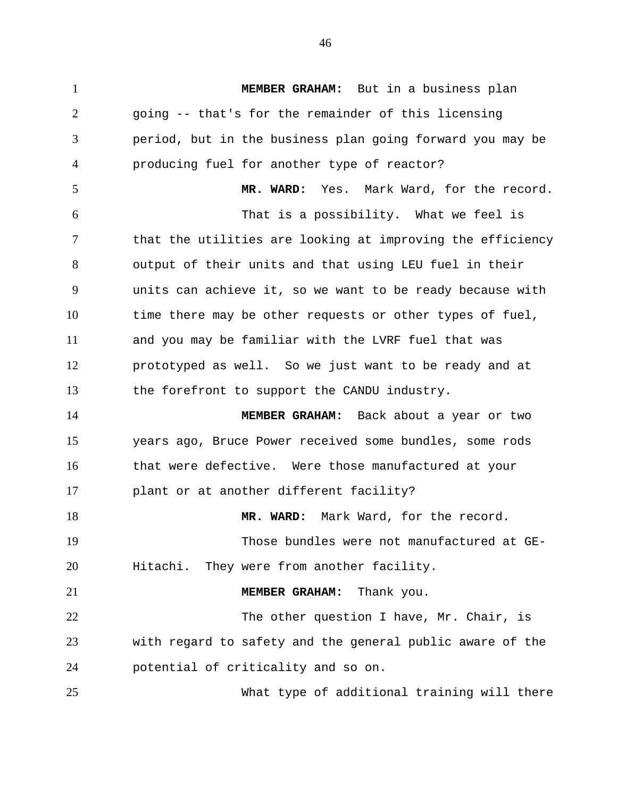1 **MEMBER GRAHAM:** But in a business plan 2 3 4 5 6 7 8 9 10 11 12 13 14 15 16 17 18 19 20 21 22 23 24 25 going -- that's for the remainder of this licensing period, but in the business plan going forward you may be producing fuel for another type of reactor? **MR. WARD:** Yes. Mark Ward, for the record. That is a possibility. What we feel is that the utilities are looking at improving the efficiency output of their units and that using LEU fuel in their units can achieve it, so we want to be ready because with time there may be other requests or other types of fuel, and you may be familiar with the LVRF fuel that was prototyped as well. So we just want to be ready and at the forefront to support the CANDU industry. **MEMBER GRAHAM:** Back about a year or two years ago, Bruce Power received some bundles, some rods that were defective. Were those manufactured at your plant or at another different facility? **MR. WARD:** Mark Ward, for the record. Those bundles were not manufactured at GE-Hitachi. They were from another facility. **MEMBER GRAHAM:** Thank you. The other question I have, Mr. Chair, is with regard to safety and the general public aware of the potential of criticality and so on. What type of additional training will there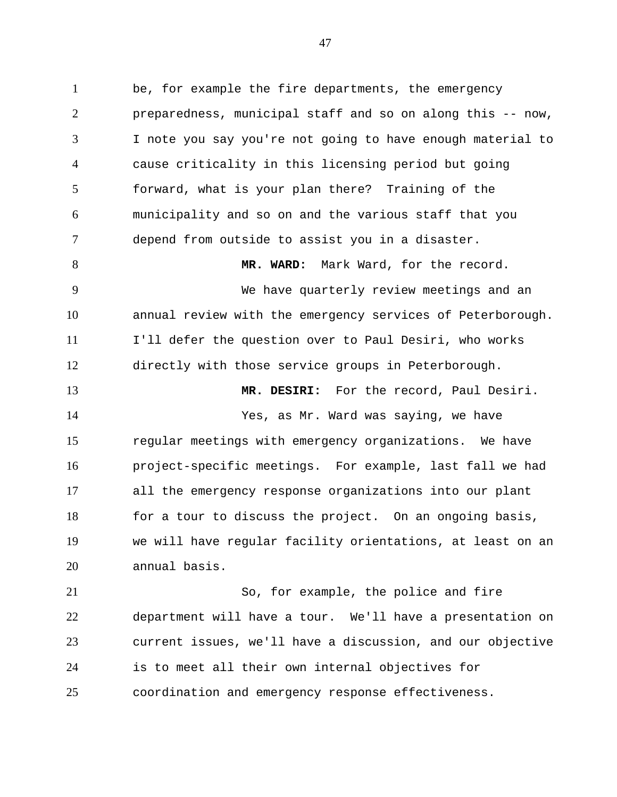1 be, for example the fire departments, the emergency 2 3 4 5 6 7 preparedness, municipal staff and so on along this -- now, I note you say you're not going to have enough material to cause criticality in this licensing period but going forward, what is your plan there? Training of the municipality and so on and the various staff that you depend from outside to assist you in a disaster.

8 9 10 11 12 **MR. WARD:** Mark Ward, for the record. We have quarterly review meetings and an annual review with the emergency services of Peterborough. I'll defer the question over to Paul Desiri, who works directly with those service groups in Peterborough.

13 14 15 16 17 18 19 20 **MR. DESIRI:** For the record, Paul Desiri. Yes, as Mr. Ward was saying, we have regular meetings with emergency organizations. We have project-specific meetings. For example, last fall we had all the emergency response organizations into our plant for a tour to discuss the project. On an ongoing basis, we will have regular facility orientations, at least on an annual basis.

21 22 23 24 25 So, for example, the police and fire department will have a tour. We'll have a presentation on current issues, we'll have a discussion, and our objective is to meet all their own internal objectives for coordination and emergency response effectiveness.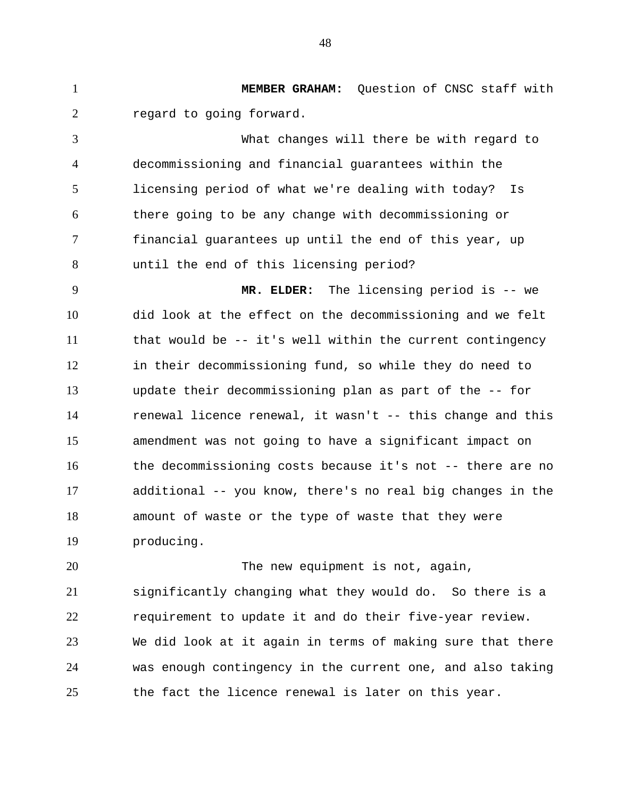1 **MEMBER GRAHAM:** Question of CNSC staff with 2 3 4 5 6 7 8 9 10 11 12 13 14 15 regard to going forward. What changes will there be with regard to decommissioning and financial guarantees within the licensing period of what we're dealing with today? Is there going to be any change with decommissioning or financial guarantees up until the end of this year, up until the end of this licensing period? **MR. ELDER:** The licensing period is -- we did look at the effect on the decommissioning and we felt that would be -- it's well within the current contingency in their decommissioning fund, so while they do need to update their decommissioning plan as part of the -- for renewal licence renewal, it wasn't -- this change and this amendment was not going to have a significant impact on

16 17 18 19 the decommissioning costs because it's not -- there are no additional -- you know, there's no real big changes in the amount of waste or the type of waste that they were producing.

20 21 22 23 24 25 The new equipment is not, again, significantly changing what they would do. So there is a requirement to update it and do their five-year review. We did look at it again in terms of making sure that there was enough contingency in the current one, and also taking the fact the licence renewal is later on this year.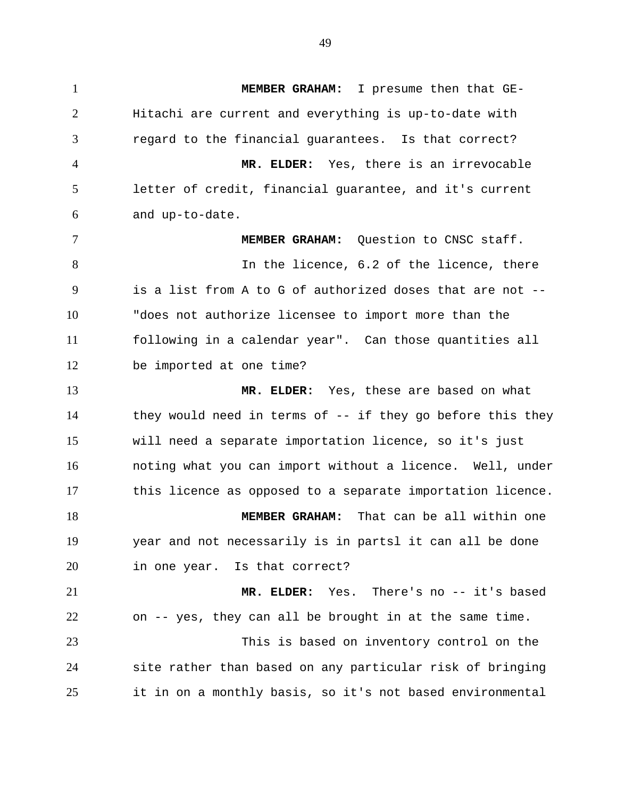1 **MEMBER GRAHAM:** I presume then that GE-2 3 4 5 6 7 8 9 10 11 12 13 14 15 16 17 18 19 20 21 22 23 24 25 Hitachi are current and everything is up-to-date with regard to the financial guarantees. Is that correct? **MR. ELDER:** Yes, there is an irrevocable letter of credit, financial guarantee, and it's current and up-to-date. **MEMBER GRAHAM:** Question to CNSC staff. In the licence, 6.2 of the licence, there is a list from A to G of authorized doses that are not -- "does not authorize licensee to import more than the following in a calendar year". Can those quantities all be imported at one time? **MR. ELDER:** Yes, these are based on what they would need in terms of -- if they go before this they will need a separate importation licence, so it's just noting what you can import without a licence. Well, under this licence as opposed to a separate importation licence. **MEMBER GRAHAM:** That can be all within one year and not necessarily is in partsl it can all be done in one year. Is that correct? **MR. ELDER:** Yes. There's no -- it's based on -- yes, they can all be brought in at the same time. This is based on inventory control on the site rather than based on any particular risk of bringing it in on a monthly basis, so it's not based environmental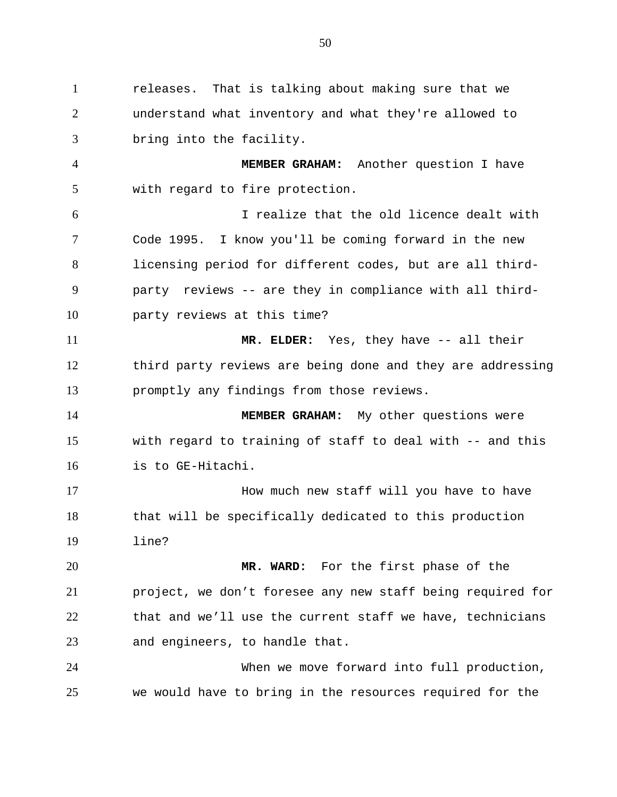1 releases. That is talking about making sure that we 2 3 understand what inventory and what they're allowed to bring into the facility.

4 5 **MEMBER GRAHAM:** Another question I have with regard to fire protection.

6 7 8 9 10 I realize that the old licence dealt with Code 1995. I know you'll be coming forward in the new licensing period for different codes, but are all thirdparty reviews -- are they in compliance with all thirdparty reviews at this time?

11 12 13 **MR. ELDER:** Yes, they have -- all their third party reviews are being done and they are addressing promptly any findings from those reviews.

14 15 16 **MEMBER GRAHAM:** My other questions were with regard to training of staff to deal with -- and this is to GE-Hitachi.

17 18 19 How much new staff will you have to have that will be specifically dedicated to this production line?

20 21 22 23 **MR. WARD:** For the first phase of the project, we don't foresee any new staff being required for that and we'll use the current staff we have, technicians and engineers, to handle that.

24 25 When we move forward into full production, we would have to bring in the resources required for the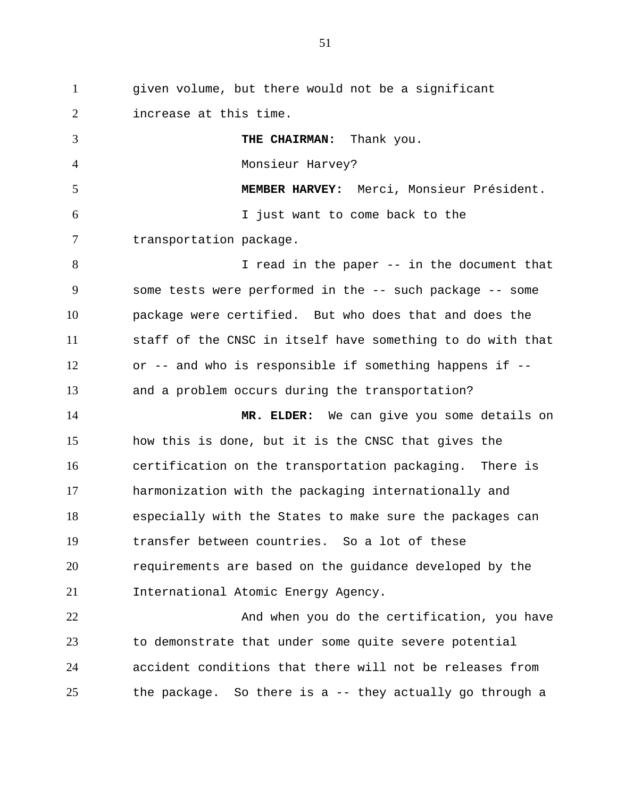1 given volume, but there would not be a significant 2 3 4 5 6 7 8 9 10 11 12 13 14 15 16 17 18 19 20 21 22 23 24 25 increase at this time. **THE CHAIRMAN:** Thank you. Monsieur Harvey? **MEMBER HARVEY:** Merci, Monsieur Président. I just want to come back to the transportation package. I read in the paper -- in the document that some tests were performed in the -- such package -- some package were certified. But who does that and does the staff of the CNSC in itself have something to do with that or -- and who is responsible if something happens if - and a problem occurs during the transportation? **MR. ELDER:** We can give you some details on how this is done, but it is the CNSC that gives the certification on the transportation packaging. There is harmonization with the packaging internationally and especially with the States to make sure the packages can transfer between countries. So a lot of these requirements are based on the guidance developed by the International Atomic Energy Agency. And when you do the certification, you have to demonstrate that under some quite severe potential accident conditions that there will not be releases from the package. So there is a -- they actually go through a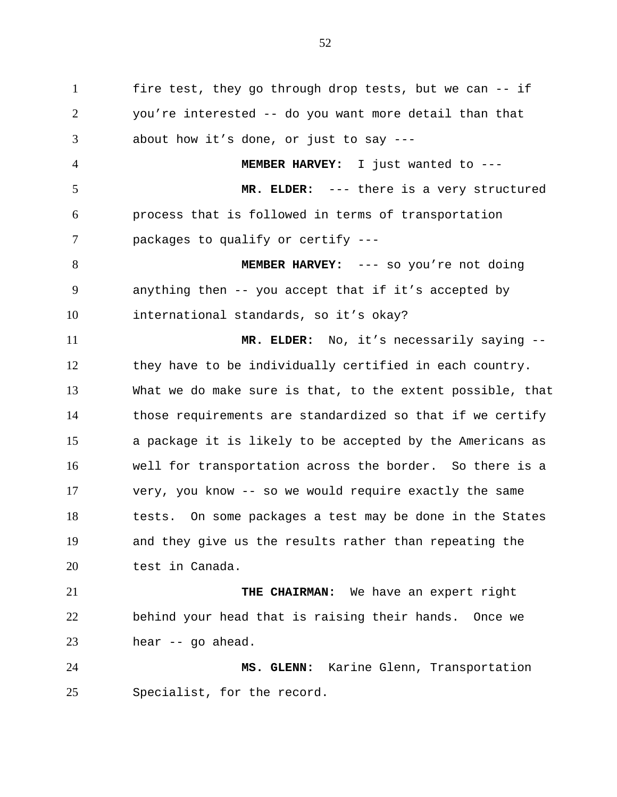1 fire test, they go through drop tests, but we can -- if 2 3 4 5 6 7 8 9 10 11 12 13 14 15 16 17 18 19 20 21 22 23 24 25 you're interested -- do you want more detail than that about how it's done, or just to say --- **MEMBER HARVEY:** I just wanted to --- **MR. ELDER:** --- there is a very structured process that is followed in terms of transportation packages to qualify or certify --- **MEMBER HARVEY:** --- so you're not doing anything then -- you accept that if it's accepted by international standards, so it's okay? **MR. ELDER:** No, it's necessarily saying - they have to be individually certified in each country. What we do make sure is that, to the extent possible, that those requirements are standardized so that if we certify a package it is likely to be accepted by the Americans as well for transportation across the border. So there is a very, you know -- so we would require exactly the same tests. On some packages a test may be done in the States and they give us the results rather than repeating the test in Canada. **THE CHAIRMAN:** We have an expert right behind your head that is raising their hands. Once we hear -- go ahead. **MS. GLENN:** Karine Glenn, Transportation Specialist, for the record.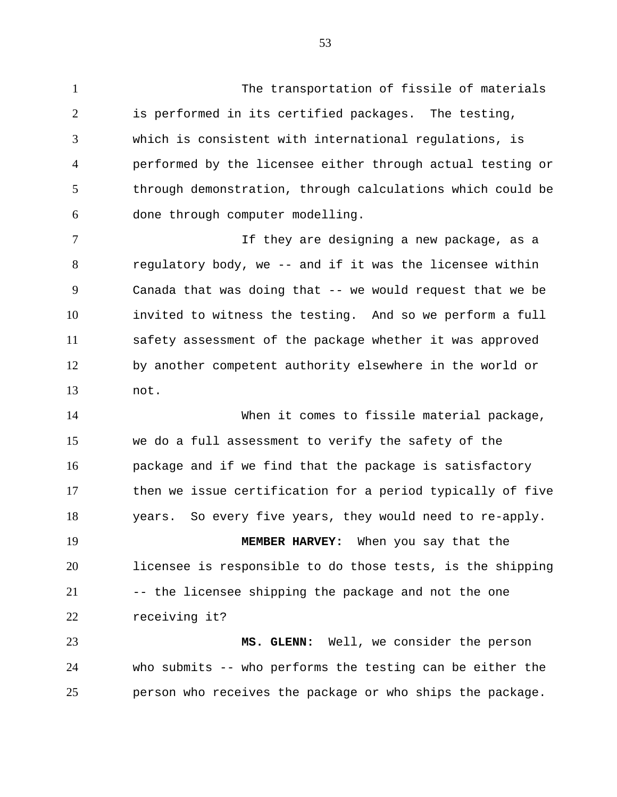1 The transportation of fissile of materials 2 3 4 5 6 is performed in its certified packages. The testing, which is consistent with international regulations, is performed by the licensee either through actual testing or through demonstration, through calculations which could be done through computer modelling.

7 8 9 10 11 12 13 If they are designing a new package, as a regulatory body, we -- and if it was the licensee within Canada that was doing that -- we would request that we be invited to witness the testing. And so we perform a full safety assessment of the package whether it was approved by another competent authority elsewhere in the world or not.

14 15 16 17 18 When it comes to fissile material package, we do a full assessment to verify the safety of the package and if we find that the package is satisfactory then we issue certification for a period typically of five years. So every five years, they would need to re-apply.

19 20 21 22 **MEMBER HARVEY:** When you say that the licensee is responsible to do those tests, is the shipping -- the licensee shipping the package and not the one receiving it?

23 24 25 **MS. GLENN:** Well, we consider the person who submits -- who performs the testing can be either the person who receives the package or who ships the package.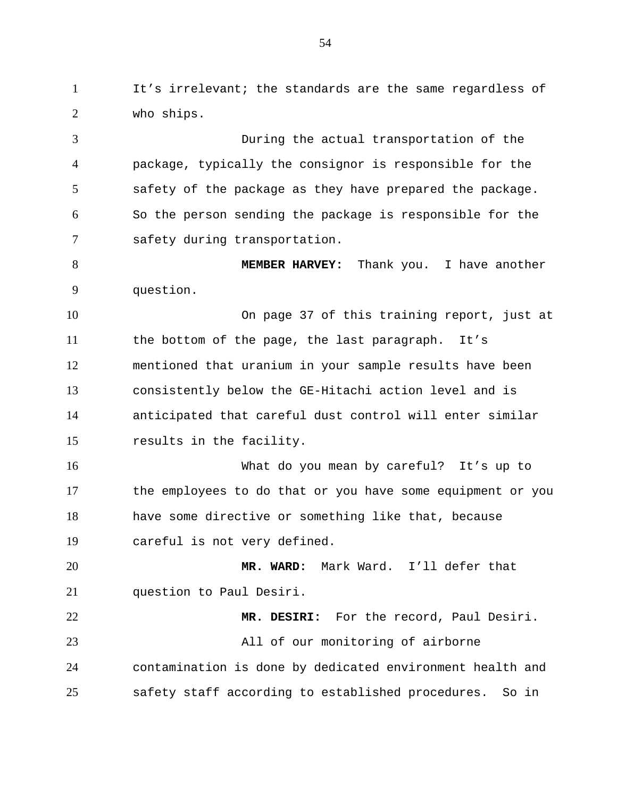1 It's irrelevant; the standards are the same regardless of 2 who ships.

3 4 5 6 7 During the actual transportation of the package, typically the consignor is responsible for the safety of the package as they have prepared the package. So the person sending the package is responsible for the safety during transportation.

8 9 **MEMBER HARVEY:** Thank you. I have another question.

10 11 12 13 14 15 On page 37 of this training report, just at the bottom of the page, the last paragraph. It's mentioned that uranium in your sample results have been consistently below the GE-Hitachi action level and is anticipated that careful dust control will enter similar results in the facility.

16 17 18 19 What do you mean by careful? It's up to the employees to do that or you have some equipment or you have some directive or something like that, because careful is not very defined.

20 21 **MR. WARD:** Mark Ward. I'll defer that question to Paul Desiri.

22 23 24 25 **MR. DESIRI:** For the record, Paul Desiri. All of our monitoring of airborne contamination is done by dedicated environment health and safety staff according to established procedures. So in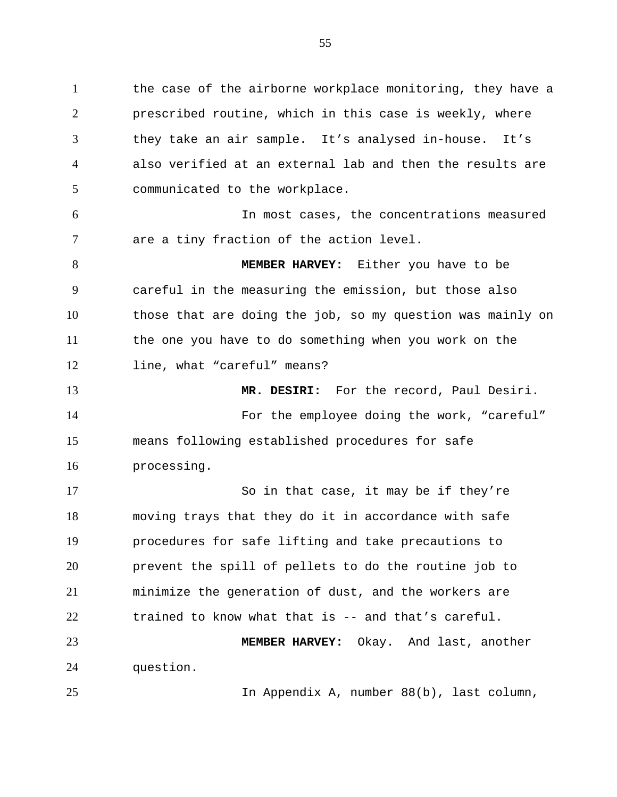1 the case of the airborne workplace monitoring, they have a 2 3 4 5 prescribed routine, which in this case is weekly, where they take an air sample. It's analysed in-house. It's also verified at an external lab and then the results are communicated to the workplace.

6 7 In most cases, the concentrations measured are a tiny fraction of the action level.

8 9 10 11 12 **MEMBER HARVEY:** Either you have to be careful in the measuring the emission, but those also those that are doing the job, so my question was mainly on the one you have to do something when you work on the line, what "careful" means?

13 14 15 16 **MR. DESIRI:** For the record, Paul Desiri. For the employee doing the work, "careful" means following established procedures for safe processing.

17 18 19 20 21 22 23 So in that case, it may be if they're moving trays that they do it in accordance with safe procedures for safe lifting and take precautions to prevent the spill of pellets to do the routine job to minimize the generation of dust, and the workers are trained to know what that is -- and that's careful. **MEMBER HARVEY:** Okay. And last, another

24 question.

25

In Appendix A, number 88(b), last column,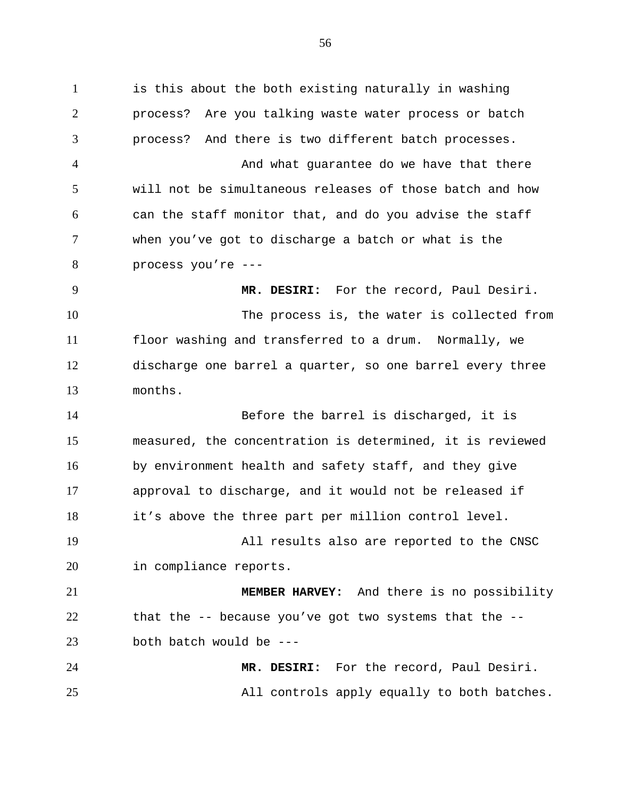1 is this about the both existing naturally in washing 2 3 4 5 6 7 8 9 10 11 12 13 14 15 16 17 18 19 20 21 22 23 24 25 process? Are you talking waste water process or batch process? And there is two different batch processes. And what guarantee do we have that there will not be simultaneous releases of those batch and how can the staff monitor that, and do you advise the staff when you've got to discharge a batch or what is the process you're --- **MR. DESIRI:** For the record, Paul Desiri. The process is, the water is collected from floor washing and transferred to a drum. Normally, we discharge one barrel a quarter, so one barrel every three months. Before the barrel is discharged, it is measured, the concentration is determined, it is reviewed by environment health and safety staff, and they give approval to discharge, and it would not be released if it's above the three part per million control level. All results also are reported to the CNSC in compliance reports. **MEMBER HARVEY:** And there is no possibility that the -- because you've got two systems that the - both batch would be --- **MR. DESIRI:** For the record, Paul Desiri. All controls apply equally to both batches.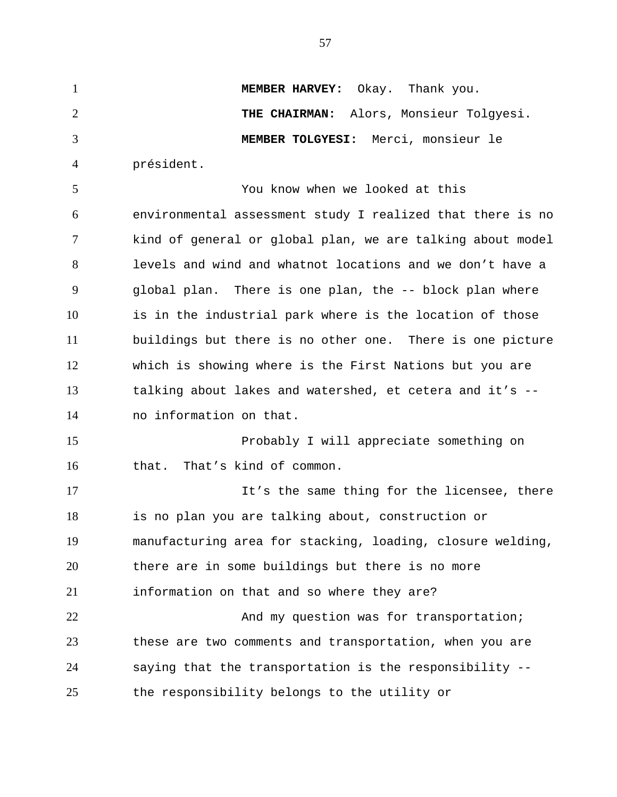1 **MEMBER HARVEY:** Okay. Thank you. 2 3 4 5 6 7 8 9 10 11 12 13 14 15 16 17 18 19 20 **THE CHAIRMAN:** Alors, Monsieur Tolgyesi. **MEMBER TOLGYESI:** Merci, monsieur le président. You know when we looked at this environmental assessment study I realized that there is no kind of general or global plan, we are talking about model levels and wind and whatnot locations and we don't have a global plan. There is one plan, the -- block plan where is in the industrial park where is the location of those buildings but there is no other one. There is one picture which is showing where is the First Nations but you are talking about lakes and watershed, et cetera and it's - no information on that. Probably I will appreciate something on that. That's kind of common. It's the same thing for the licensee, there is no plan you are talking about, construction or manufacturing area for stacking, loading, closure welding, there are in some buildings but there is no more

21 information on that and so where they are?

22 23 24 25 And my question was for transportation; these are two comments and transportation, when you are saying that the transportation is the responsibility - the responsibility belongs to the utility or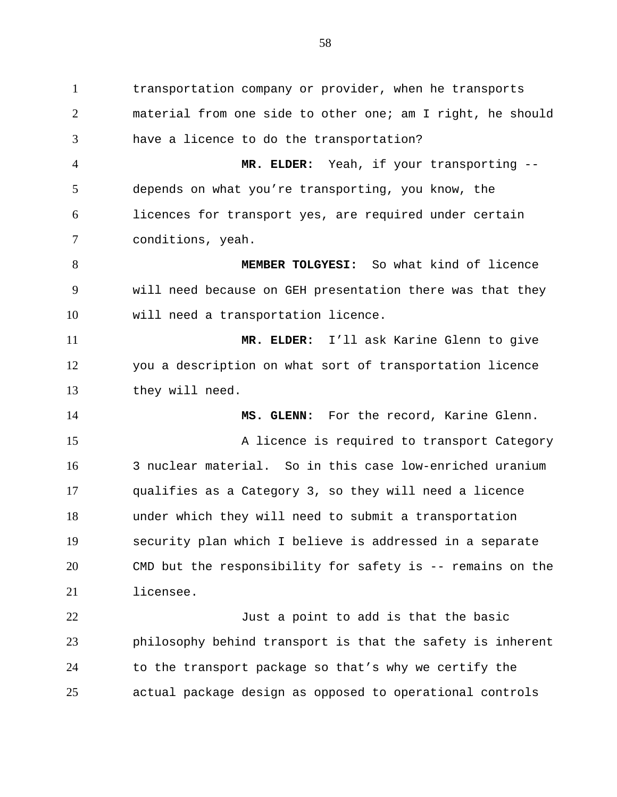1 transportation company or provider, when he transports 2 3 material from one side to other one; am I right, he should have a licence to do the transportation?

4 5 6 7 **MR. ELDER:** Yeah, if your transporting - depends on what you're transporting, you know, the licences for transport yes, are required under certain conditions, yeah.

8 9 10 **MEMBER TOLGYESI:** So what kind of licence will need because on GEH presentation there was that they will need a transportation licence.

11 12 13 **MR. ELDER:** I'll ask Karine Glenn to give you a description on what sort of transportation licence they will need.

14 15 16 17 18 19 20 21 **MS. GLENN:** For the record, Karine Glenn. A licence is required to transport Category 3 nuclear material. So in this case low-enriched uranium qualifies as a Category 3, so they will need a licence under which they will need to submit a transportation security plan which I believe is addressed in a separate CMD but the responsibility for safety is -- remains on the licensee.

22 23 24 25 Just a point to add is that the basic philosophy behind transport is that the safety is inherent to the transport package so that's why we certify the actual package design as opposed to operational controls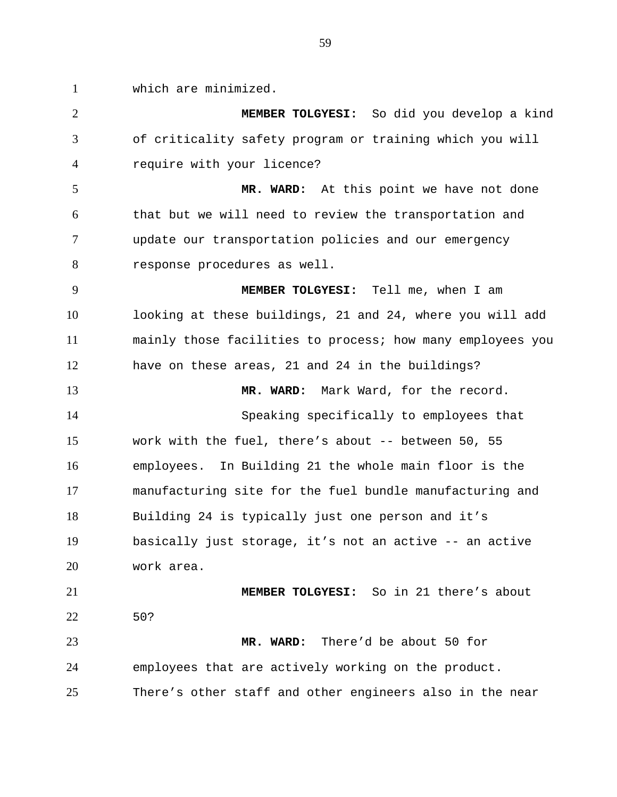1 which are minimized.

2 3 4 **MEMBER TOLGYESI:** So did you develop a kind of criticality safety program or training which you will require with your licence?

5 6 7 8 **MR. WARD:** At this point we have not done that but we will need to review the transportation and update our transportation policies and our emergency response procedures as well.

9 10 11 12 **MEMBER TOLGYESI:** Tell me, when I am looking at these buildings, 21 and 24, where you will add mainly those facilities to process; how many employees you have on these areas, 21 and 24 in the buildings?

13 14 15 16 17 18 19 20 **MR. WARD:** Mark Ward, for the record. Speaking specifically to employees that work with the fuel, there's about -- between 50, 55 employees. In Building 21 the whole main floor is the manufacturing site for the fuel bundle manufacturing and Building 24 is typically just one person and it's basically just storage, it's not an active -- an active work area.

21 22 **MEMBER TOLGYESI:** So in 21 there's about 50?

23 24 25 **MR. WARD:** There'd be about 50 for employees that are actively working on the product. There's other staff and other engineers also in the near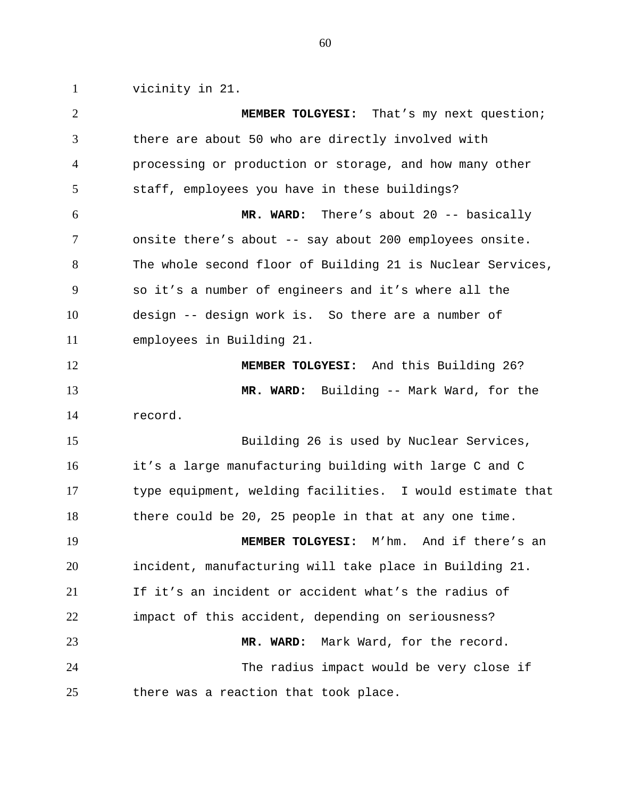1 vicinity in 21.

2 3 4 5 6 7 8 9 10 11 12 13 14 15 16 17 18 19 20 21 22 23 24 25 **MEMBER TOLGYESI:** That's my next question; there are about 50 who are directly involved with processing or production or storage, and how many other staff, employees you have in these buildings? **MR. WARD:** There's about 20 -- basically onsite there's about -- say about 200 employees onsite. The whole second floor of Building 21 is Nuclear Services, so it's a number of engineers and it's where all the design -- design work is. So there are a number of employees in Building 21. **MEMBER TOLGYESI:** And this Building 26? **MR. WARD:** Building -- Mark Ward, for the record. Building 26 is used by Nuclear Services, it's a large manufacturing building with large C and C type equipment, welding facilities. I would estimate that there could be 20, 25 people in that at any one time. **MEMBER TOLGYESI:** M'hm. And if there's an incident, manufacturing will take place in Building 21. If it's an incident or accident what's the radius of impact of this accident, depending on seriousness? **MR. WARD:** Mark Ward, for the record. The radius impact would be very close if there was a reaction that took place.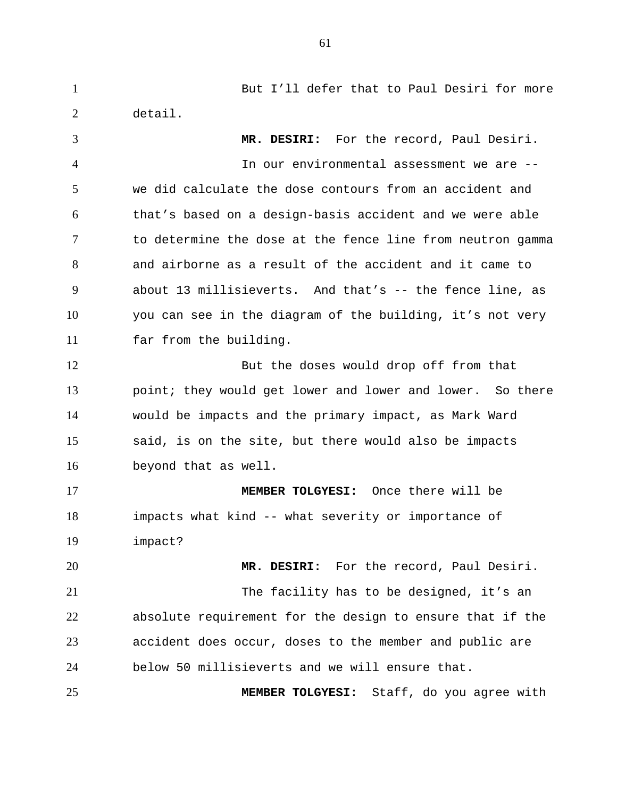1 But I'll defer that to Paul Desiri for more 2 3 4 5 6 7 8 9 10 11 12 13 14 15 16 17 18 19 20 21 22 23 24 25 detail. **MR. DESIRI:** For the record, Paul Desiri. In our environmental assessment we are - we did calculate the dose contours from an accident and that's based on a design-basis accident and we were able to determine the dose at the fence line from neutron gamma and airborne as a result of the accident and it came to about 13 millisieverts. And that's -- the fence line, as you can see in the diagram of the building, it's not very far from the building. But the doses would drop off from that point; they would get lower and lower and lower. So there would be impacts and the primary impact, as Mark Ward said, is on the site, but there would also be impacts beyond that as well. **MEMBER TOLGYESI:** Once there will be impacts what kind -- what severity or importance of impact? **MR. DESIRI:** For the record, Paul Desiri. The facility has to be designed, it's an absolute requirement for the design to ensure that if the accident does occur, doses to the member and public are below 50 millisieverts and we will ensure that. **MEMBER TOLGYESI:** Staff, do you agree with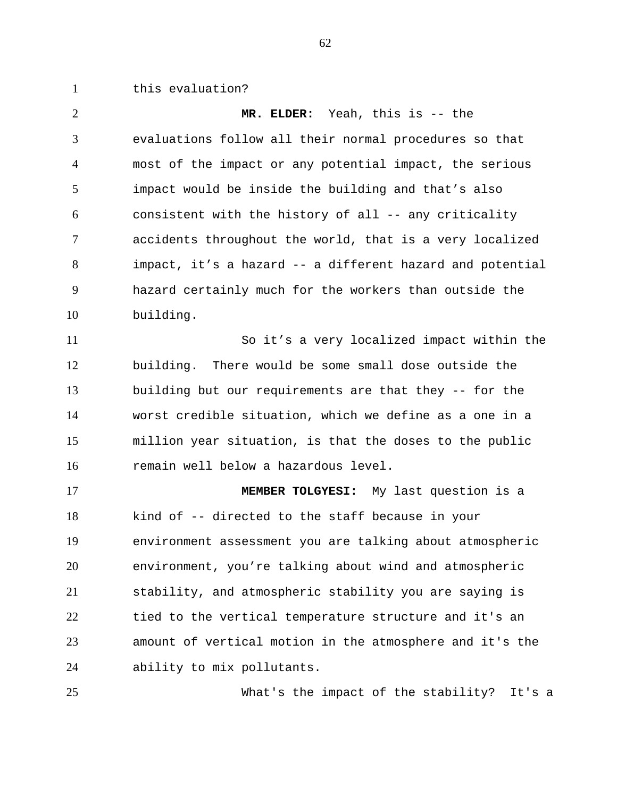1 this evaluation?

2 3 4 5 6 7 8 9 10 **MR. ELDER:** Yeah, this is -- the evaluations follow all their normal procedures so that most of the impact or any potential impact, the serious impact would be inside the building and that's also consistent with the history of all -- any criticality accidents throughout the world, that is a very localized impact, it's a hazard -- a different hazard and potential hazard certainly much for the workers than outside the building.

11 12 13 14 15 16 So it's a very localized impact within the building. There would be some small dose outside the building but our requirements are that they -- for the worst credible situation, which we define as a one in a million year situation, is that the doses to the public remain well below a hazardous level.

17 18 19 20 21 22 23 24 **MEMBER TOLGYESI:** My last question is a kind of -- directed to the staff because in your environment assessment you are talking about atmospheric environment, you're talking about wind and atmospheric stability, and atmospheric stability you are saying is tied to the vertical temperature structure and it's an amount of vertical motion in the atmosphere and it's the ability to mix pollutants.

25

What's the impact of the stability? It's a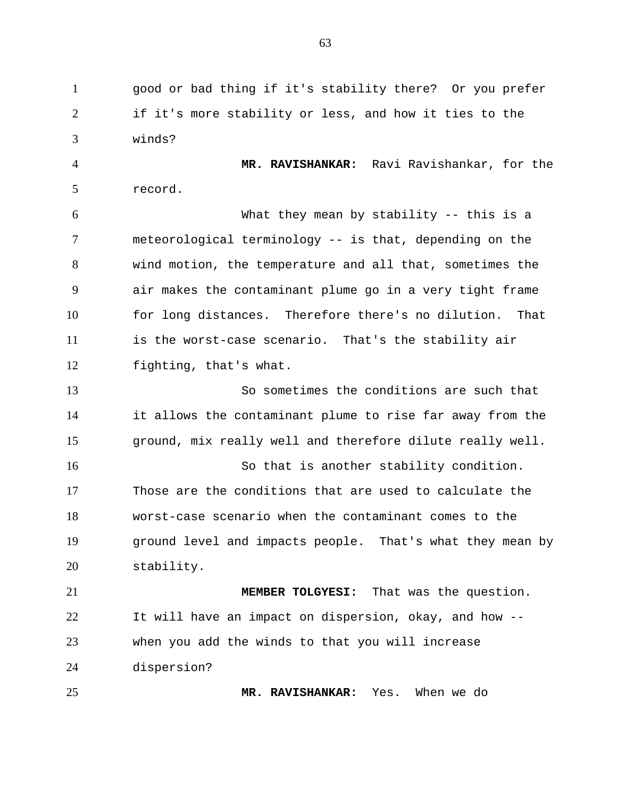1 good or bad thing if it's stability there? Or you prefer 2 3 if it's more stability or less, and how it ties to the winds?

4 5 **MR. RAVISHANKAR:** Ravi Ravishankar, for the record.

6 7 8 9 10 11 12 What they mean by stability -- this is a meteorological terminology -- is that, depending on the wind motion, the temperature and all that, sometimes the air makes the contaminant plume go in a very tight frame for long distances. Therefore there's no dilution. That is the worst-case scenario. That's the stability air fighting, that's what.

13 14 15 So sometimes the conditions are such that it allows the contaminant plume to rise far away from the ground, mix really well and therefore dilute really well.

16 17 18 19 20 So that is another stability condition. Those are the conditions that are used to calculate the worst-case scenario when the contaminant comes to the ground level and impacts people. That's what they mean by stability.

21 22 23 24 **MEMBER TOLGYESI:** That was the question. It will have an impact on dispersion, okay, and how - when you add the winds to that you will increase dispersion?

25

**MR. RAVISHANKAR:** Yes. When we do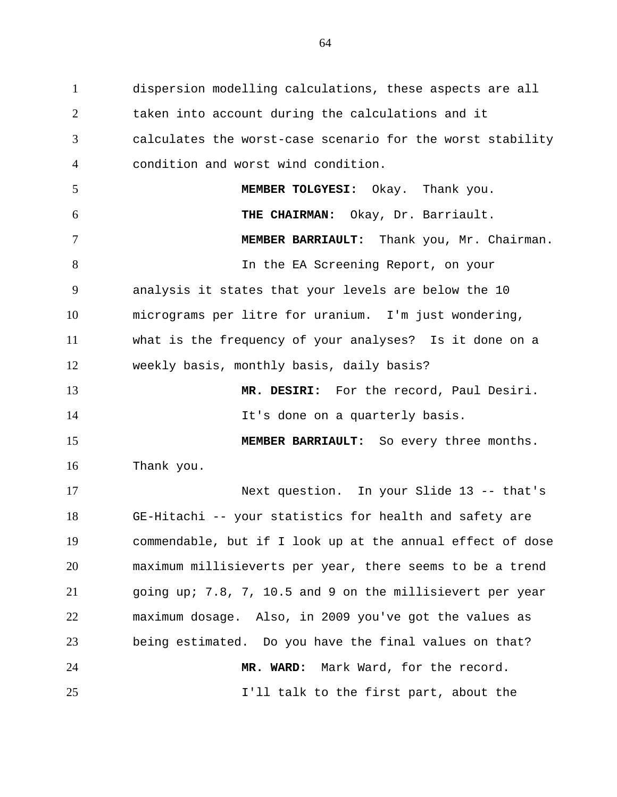1 dispersion modelling calculations, these aspects are all 2 3 4 5 6 7 8 9 10 11 12 13 14 15 16 17 18 19 20 21 22 23 24 25 taken into account during the calculations and it calculates the worst-case scenario for the worst stability condition and worst wind condition. **MEMBER TOLGYESI:** Okay. Thank you. **THE CHAIRMAN:** Okay, Dr. Barriault. **MEMBER BARRIAULT:** Thank you, Mr. Chairman. In the EA Screening Report, on your analysis it states that your levels are below the 10 micrograms per litre for uranium. I'm just wondering, what is the frequency of your analyses? Is it done on a weekly basis, monthly basis, daily basis? **MR. DESIRI:** For the record, Paul Desiri. It's done on a quarterly basis. **MEMBER BARRIAULT:** So every three months. Thank you. Next question. In your Slide 13 -- that's GE-Hitachi -- your statistics for health and safety are commendable, but if I look up at the annual effect of dose maximum millisieverts per year, there seems to be a trend going up; 7.8, 7, 10.5 and 9 on the millisievert per year maximum dosage. Also, in 2009 you've got the values as being estimated. Do you have the final values on that? **MR. WARD:** Mark Ward, for the record. I'll talk to the first part, about the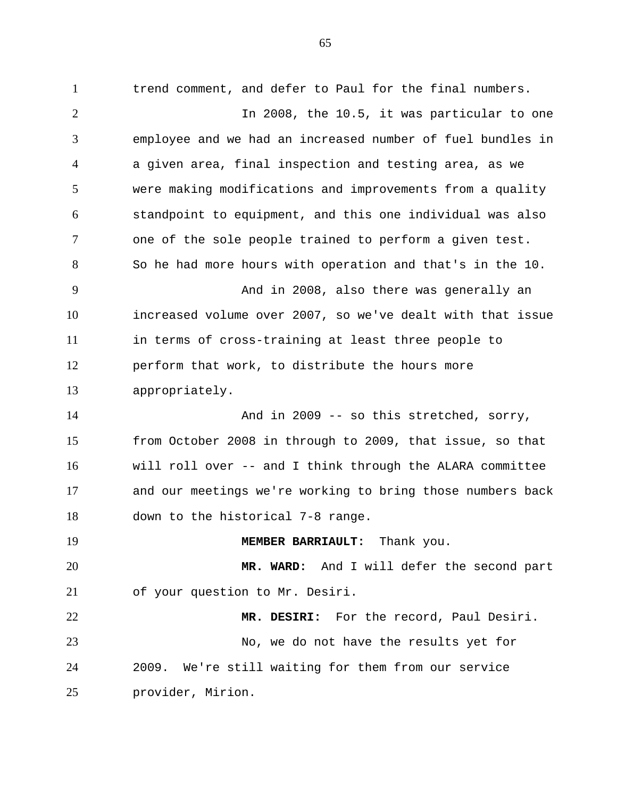1 trend comment, and defer to Paul for the final numbers. 2 3 4 5 6 7 8 9 10 11 12 13 14 15 16 17 18 19 20 21 22 23 24 In 2008, the 10.5, it was particular to one employee and we had an increased number of fuel bundles in a given area, final inspection and testing area, as we were making modifications and improvements from a quality standpoint to equipment, and this one individual was also one of the sole people trained to perform a given test. So he had more hours with operation and that's in the 10. And in 2008, also there was generally an increased volume over 2007, so we've dealt with that issue in terms of cross-training at least three people to perform that work, to distribute the hours more appropriately. And in 2009 -- so this stretched, sorry, from October 2008 in through to 2009, that issue, so that will roll over -- and I think through the ALARA committee and our meetings we're working to bring those numbers back down to the historical 7-8 range. **MEMBER BARRIAULT:** Thank you. **MR. WARD:** And I will defer the second part of your question to Mr. Desiri. **MR. DESIRI:** For the record, Paul Desiri. No, we do not have the results yet for 2009. We're still waiting for them from our service

25 provider, Mirion.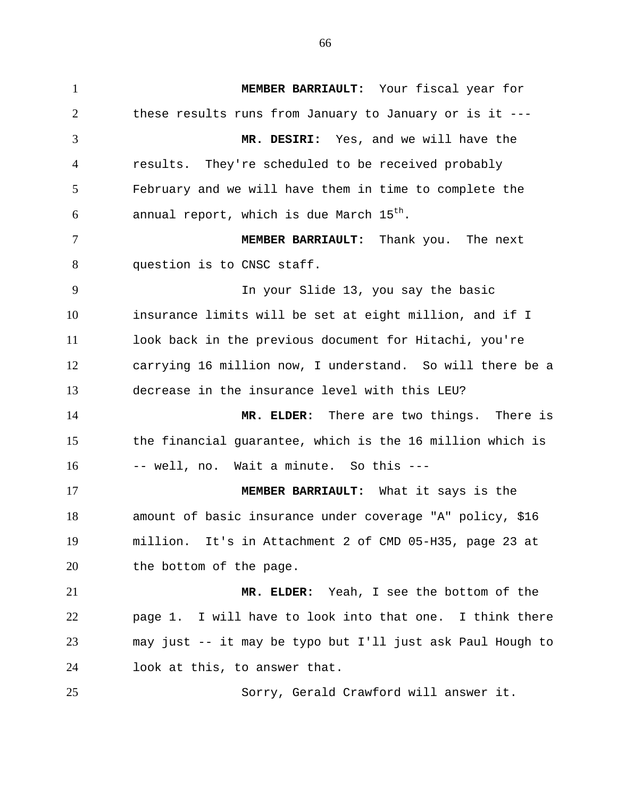1 **MEMBER BARRIAULT:** Your fiscal year for 2 3 4 5 6 7 8 9 10 11 12 13 14 15 16 17 18 19 20 21 22 23 24 25 these results runs from January to January or is it --- **MR. DESIRI:** Yes, and we will have the results. They're scheduled to be received probably February and we will have them in time to complete the annual report, which is due March  $15^{th}$ . **MEMBER BARRIAULT:** Thank you. The next question is to CNSC staff. In your Slide 13, you say the basic insurance limits will be set at eight million, and if I look back in the previous document for Hitachi, you're carrying 16 million now, I understand. So will there be a decrease in the insurance level with this LEU? **MR. ELDER:** There are two things. There is the financial guarantee, which is the 16 million which is -- well, no. Wait a minute. So this --- **MEMBER BARRIAULT:** What it says is the amount of basic insurance under coverage "A" policy, \$16 million. It's in Attachment 2 of CMD 05-H35, page 23 at the bottom of the page. **MR. ELDER:** Yeah, I see the bottom of the page 1. I will have to look into that one. I think there may just -- it may be typo but I'll just ask Paul Hough to look at this, to answer that. Sorry, Gerald Crawford will answer it.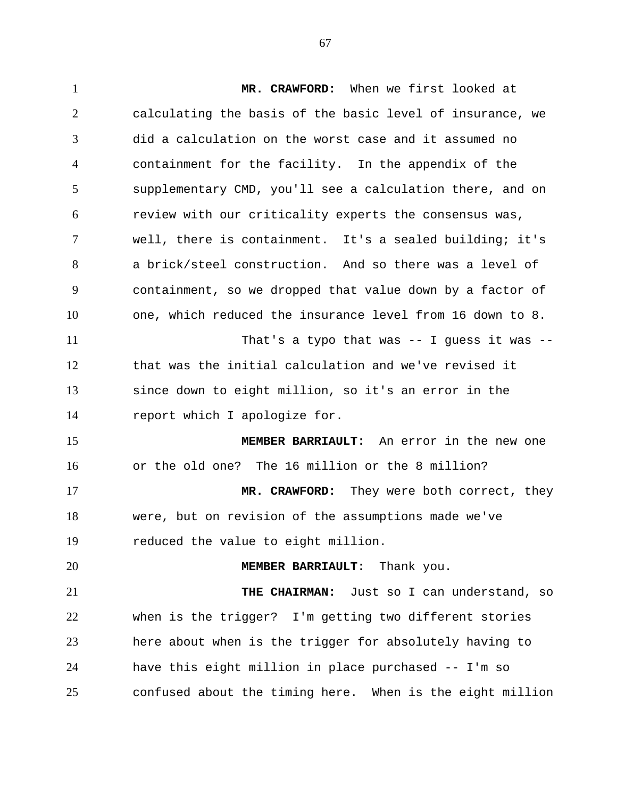1 **MR. CRAWFORD:** When we first looked at 2 3 4 5 6 7 8 9 10 11 12 13 14 15 16 17 18 19 20 21 22 23 24 25 calculating the basis of the basic level of insurance, we did a calculation on the worst case and it assumed no containment for the facility. In the appendix of the supplementary CMD, you'll see a calculation there, and on review with our criticality experts the consensus was, well, there is containment. It's a sealed building; it's a brick/steel construction. And so there was a level of containment, so we dropped that value down by a factor of one, which reduced the insurance level from 16 down to 8. That's a typo that was -- I guess it was - that was the initial calculation and we've revised it since down to eight million, so it's an error in the report which I apologize for. **MEMBER BARRIAULT:** An error in the new one or the old one? The 16 million or the 8 million? **MR. CRAWFORD:** They were both correct, they were, but on revision of the assumptions made we've reduced the value to eight million. **MEMBER BARRIAULT:** Thank you. **THE CHAIRMAN:** Just so I can understand, so when is the trigger? I'm getting two different stories here about when is the trigger for absolutely having to have this eight million in place purchased -- I'm so confused about the timing here. When is the eight million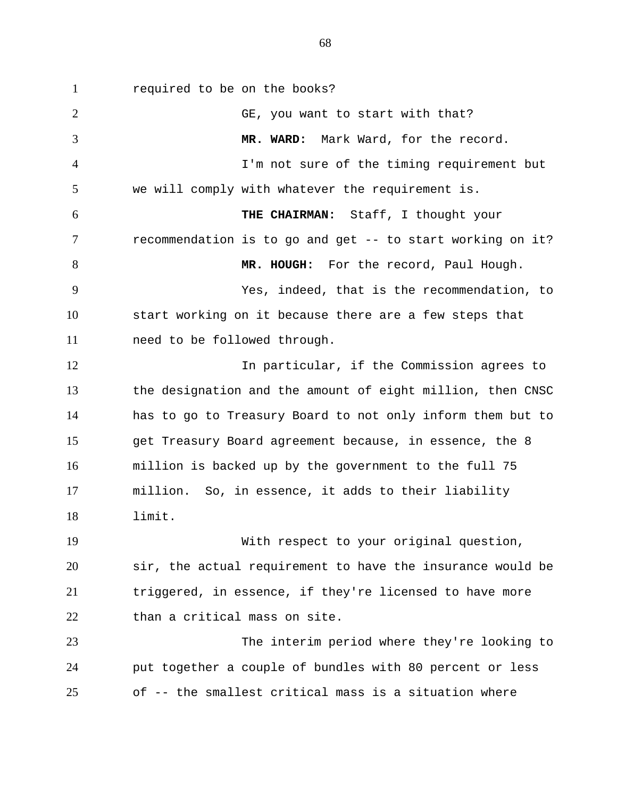1 required to be on the books? 2 3 4 5 6 7 8 9 10 11 12 13 14 15 16 17 18 19 20 21 22 23 GE, you want to start with that? **MR. WARD:** Mark Ward, for the record. I'm not sure of the timing requirement but we will comply with whatever the requirement is. **THE CHAIRMAN:** Staff, I thought your recommendation is to go and get -- to start working on it? **MR. HOUGH:** For the record, Paul Hough. Yes, indeed, that is the recommendation, to start working on it because there are a few steps that need to be followed through. In particular, if the Commission agrees to the designation and the amount of eight million, then CNSC has to go to Treasury Board to not only inform them but to get Treasury Board agreement because, in essence, the 8 million is backed up by the government to the full 75 million. So, in essence, it adds to their liability limit. With respect to your original question, sir, the actual requirement to have the insurance would be triggered, in essence, if they're licensed to have more than a critical mass on site. The interim period where they're looking to

24 25 put together a couple of bundles with 80 percent or less of -- the smallest critical mass is a situation where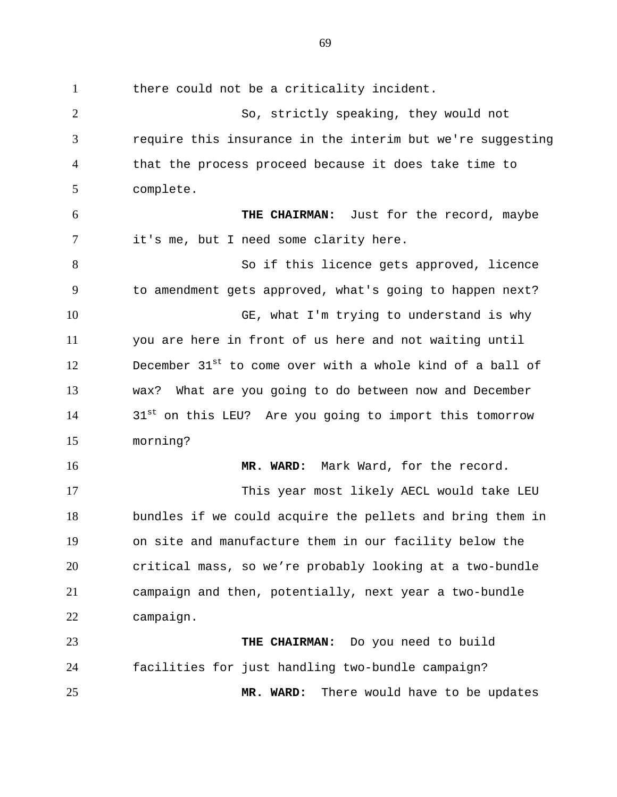1 there could not be a criticality incident. 2 3 4 5 6 7 8 9 10 11 12 13 14 15 16 17 18 19 20 21 22 23 24 25 So, strictly speaking, they would not require this insurance in the interim but we're suggesting that the process proceed because it does take time to complete. **THE CHAIRMAN:** Just for the record, maybe it's me, but I need some clarity here. So if this licence gets approved, licence to amendment gets approved, what's going to happen next? GE, what I'm trying to understand is why you are here in front of us here and not waiting until December 31<sup>st</sup> to come over with a whole kind of a ball of wax? What are you going to do between now and December  $31<sup>st</sup>$  on this LEU? Are you going to import this tomorrow morning? **MR. WARD:** Mark Ward, for the record. This year most likely AECL would take LEU bundles if we could acquire the pellets and bring them in on site and manufacture them in our facility below the critical mass, so we're probably looking at a two-bundle campaign and then, potentially, next year a two-bundle campaign. **THE CHAIRMAN:** Do you need to build facilities for just handling two-bundle campaign? **MR. WARD:** There would have to be updates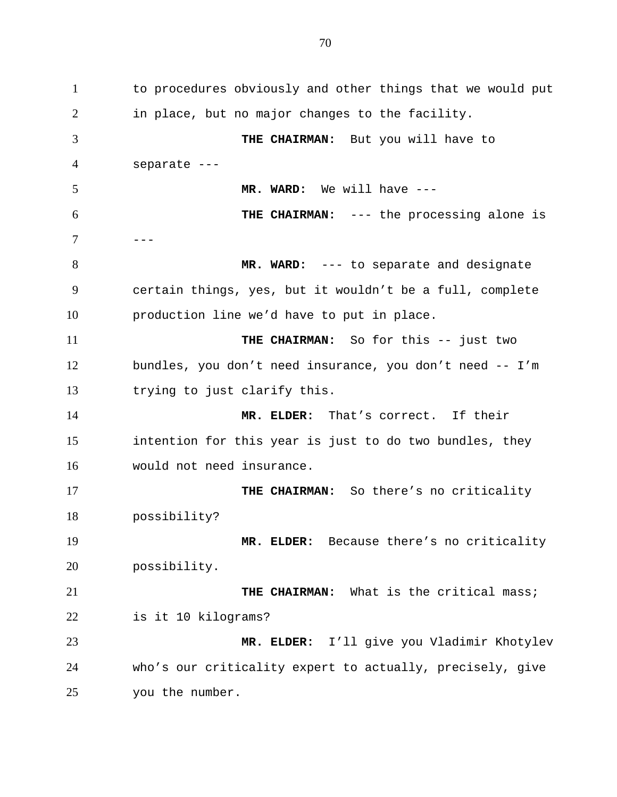1 to procedures obviously and other things that we would put 2 3 4 5 6 7 8 9 10 11 12 13 14 15 16 17 18 19 20 21 22 23 24 25 in place, but no major changes to the facility. **THE CHAIRMAN:** But you will have to separate --- **MR. WARD:** We will have --- **THE CHAIRMAN:** --- the processing alone is --- **MR. WARD:** --- to separate and designate certain things, yes, but it wouldn't be a full, complete production line we'd have to put in place. **THE CHAIRMAN:** So for this -- just two bundles, you don't need insurance, you don't need -- I'm trying to just clarify this. **MR. ELDER:** That's correct. If their intention for this year is just to do two bundles, they would not need insurance. **THE CHAIRMAN:** So there's no criticality possibility? **MR. ELDER:** Because there's no criticality possibility. **THE CHAIRMAN:** What is the critical mass; is it 10 kilograms? **MR. ELDER:** I'll give you Vladimir Khotylev who's our criticality expert to actually, precisely, give you the number.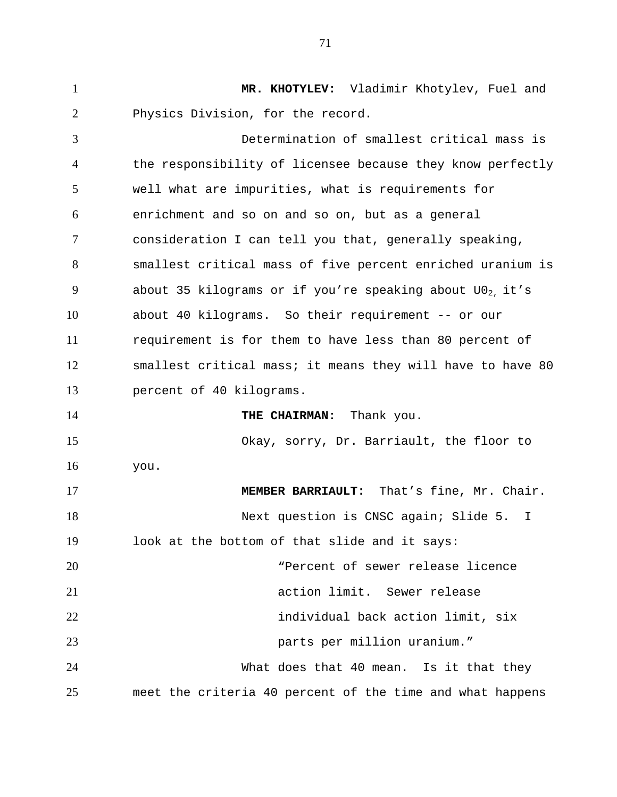1 **MR. KHOTYLEV:** Vladimir Khotylev, Fuel and 2 3 4 5 6 7 8 9 10 11 12 13 14 15 16 17 18 19 20 21 22 23 24 25 Physics Division, for the record. Determination of smallest critical mass is the responsibility of licensee because they know perfectly well what are impurities, what is requirements for enrichment and so on and so on, but as a general consideration I can tell you that, generally speaking, smallest critical mass of five percent enriched uranium is about 35 kilograms or if you're speaking about  $U0<sub>2</sub>$ , it's about 40 kilograms. So their requirement -- or our requirement is for them to have less than 80 percent of smallest critical mass; it means they will have to have 80 percent of 40 kilograms. **THE CHAIRMAN:** Thank you. Okay, sorry, Dr. Barriault, the floor to you. **MEMBER BARRIAULT:** That's fine, Mr. Chair. Next question is CNSC again; Slide 5. I look at the bottom of that slide and it says: "Percent of sewer release licence action limit. Sewer release individual back action limit, six parts per million uranium." What does that 40 mean. Is it that they meet the criteria 40 percent of the time and what happens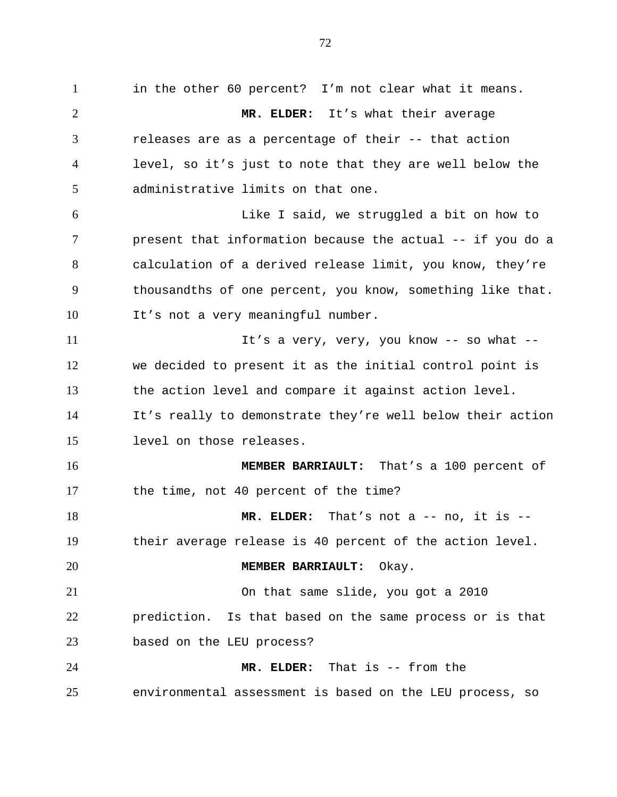1 in the other 60 percent? I'm not clear what it means. 2 3 4 5 6 7 8 9 10 11 12 13 14 15 16 17 18 19 20 21 22 23 24 25 **MR. ELDER:** It's what their average releases are as a percentage of their -- that action level, so it's just to note that they are well below the administrative limits on that one. Like I said, we struggled a bit on how to present that information because the actual -- if you do a calculation of a derived release limit, you know, they're thousandths of one percent, you know, something like that. It's not a very meaningful number. It's a very, very, you know -- so what - we decided to present it as the initial control point is the action level and compare it against action level. It's really to demonstrate they're well below their action level on those releases. **MEMBER BARRIAULT:** That's a 100 percent of the time, not 40 percent of the time? **MR. ELDER:** That's not a -- no, it is - their average release is 40 percent of the action level. **MEMBER BARRIAULT:** Okay. On that same slide, you got a 2010 prediction. Is that based on the same process or is that based on the LEU process? **MR. ELDER:** That is -- from the environmental assessment is based on the LEU process, so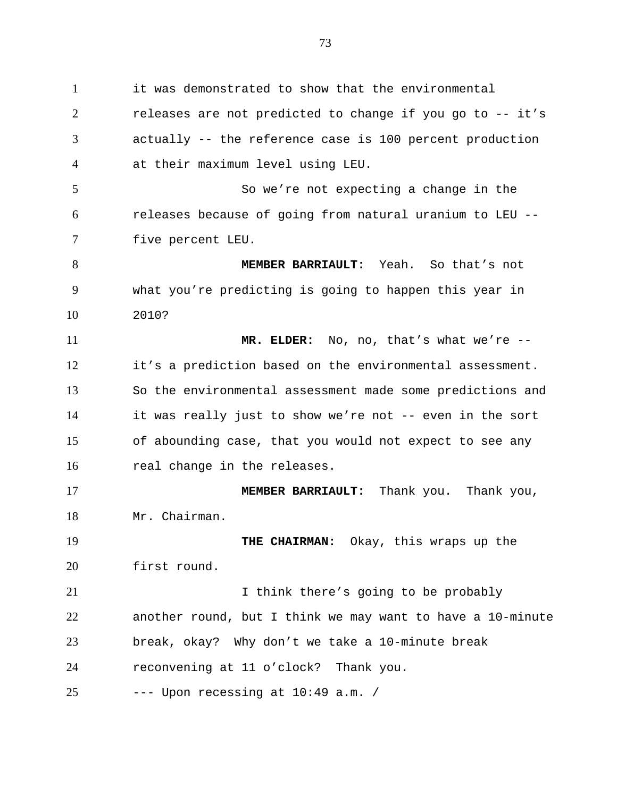1 it was demonstrated to show that the environmental 2 3 4 5 6 7 8 9 10 11 12 13 14 15 16 17 18 19 20 21 22 23 24 25 releases are not predicted to change if you go to -- it's actually -- the reference case is 100 percent production at their maximum level using LEU. So we're not expecting a change in the releases because of going from natural uranium to LEU - five percent LEU. **MEMBER BARRIAULT:** Yeah. So that's not what you're predicting is going to happen this year in 2010? **MR. ELDER:** No, no, that's what we're - it's a prediction based on the environmental assessment. So the environmental assessment made some predictions and it was really just to show we're not -- even in the sort of abounding case, that you would not expect to see any real change in the releases. **MEMBER BARRIAULT:** Thank you. Thank you, Mr. Chairman. **THE CHAIRMAN:** Okay, this wraps up the first round. I think there's going to be probably another round, but I think we may want to have a 10-minute break, okay? Why don't we take a 10-minute break reconvening at 11 o'clock? Thank you. --- Upon recessing at 10:49 a.m. /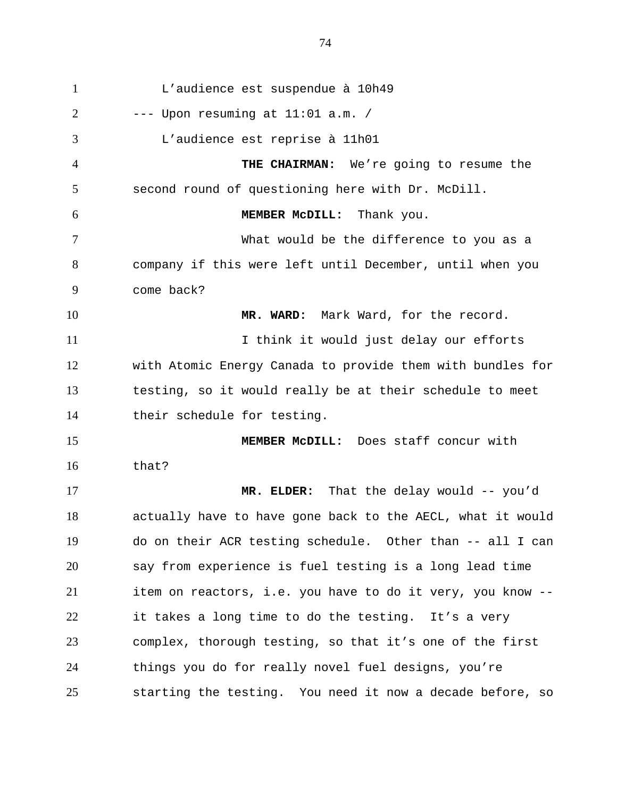1 L'audience est suspendue à 10h49 2 3 4 5 6 7 8 9 10 11 12 13 14 15 16 17 18 19 20 21 22 23 24 25  $---$  Upon resuming at  $11:01$  a.m. / L'audience est reprise à 11h01 **THE CHAIRMAN:** We're going to resume the second round of questioning here with Dr. McDill. **MEMBER McDILL:** Thank you. What would be the difference to you as a company if this were left until December, until when you come back? **MR. WARD:** Mark Ward, for the record. I think it would just delay our efforts with Atomic Energy Canada to provide them with bundles for testing, so it would really be at their schedule to meet their schedule for testing. **MEMBER McDILL:** Does staff concur with that? **MR. ELDER:** That the delay would -- you'd actually have to have gone back to the AECL, what it would do on their ACR testing schedule. Other than -- all I can say from experience is fuel testing is a long lead time item on reactors, i.e. you have to do it very, you know - it takes a long time to do the testing. It's a very complex, thorough testing, so that it's one of the first things you do for really novel fuel designs, you're starting the testing. You need it now a decade before, so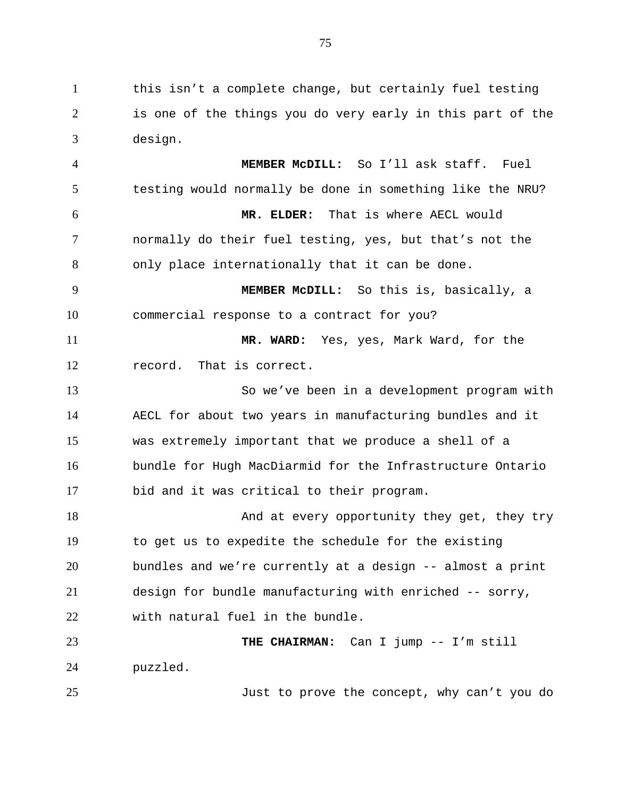1 this isn't a complete change, but certainly fuel testing 2 3 is one of the things you do very early in this part of the design.

4 5 6 7 8 9 10 11 12 13 14 15 16 17 18 19 20 **MEMBER McDILL:** So I'll ask staff. Fuel testing would normally be done in something like the NRU? **MR. ELDER:** That is where AECL would normally do their fuel testing, yes, but that's not the only place internationally that it can be done. **MEMBER McDILL:** So this is, basically, a commercial response to a contract for you? **MR. WARD:** Yes, yes, Mark Ward, for the record. That is correct. So we've been in a development program with AECL for about two years in manufacturing bundles and it was extremely important that we produce a shell of a bundle for Hugh MacDiarmid for the Infrastructure Ontario bid and it was critical to their program. And at every opportunity they get, they try to get us to expedite the schedule for the existing bundles and we're currently at a design -- almost a print

21 22 design for bundle manufacturing with enriched -- sorry, with natural fuel in the bundle.

23 24 **THE CHAIRMAN:** Can I jump -- I'm still puzzled.

25

Just to prove the concept, why can't you do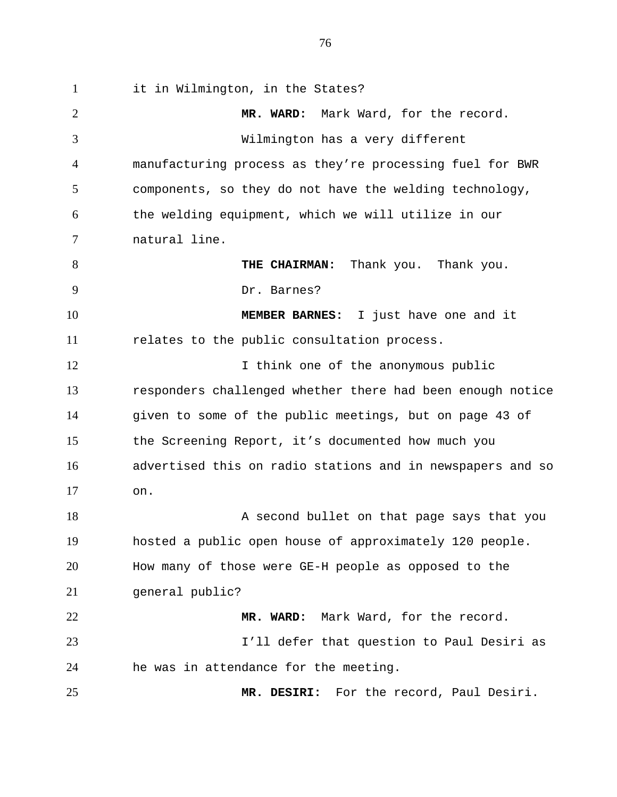1 it in Wilmington, in the States? 2 3 4 5 6 7 8 9 10 11 12 13 14 15 16 17 18 19 20 21 22 23 24 25 **MR. WARD:** Mark Ward, for the record. Wilmington has a very different manufacturing process as they're processing fuel for BWR components, so they do not have the welding technology, the welding equipment, which we will utilize in our natural line. **THE CHAIRMAN:** Thank you. Thank you. Dr. Barnes? **MEMBER BARNES:** I just have one and it relates to the public consultation process. I think one of the anonymous public responders challenged whether there had been enough notice given to some of the public meetings, but on page 43 of the Screening Report, it's documented how much you advertised this on radio stations and in newspapers and so on. A second bullet on that page says that you hosted a public open house of approximately 120 people. How many of those were GE-H people as opposed to the general public? **MR. WARD:** Mark Ward, for the record. I'll defer that question to Paul Desiri as he was in attendance for the meeting. **MR. DESIRI:** For the record, Paul Desiri.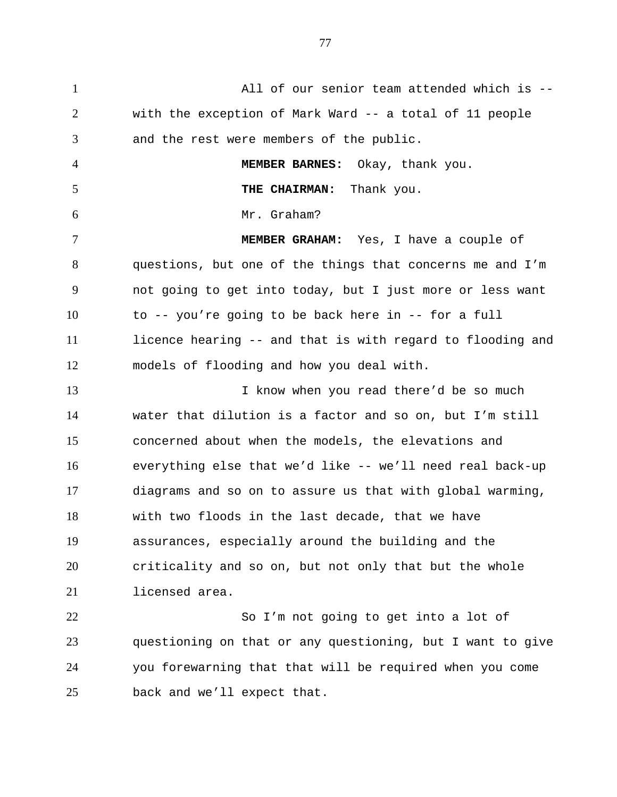1 All of our senior team attended which is -- 2 3 4 5 6 7 8 9 10 11 12 13 14 15 16 17 18 19 20 21 22 23 24 with the exception of Mark Ward -- a total of 11 people and the rest were members of the public. **MEMBER BARNES:** Okay, thank you. **THE CHAIRMAN:** Thank you. Mr. Graham? **MEMBER GRAHAM:** Yes, I have a couple of questions, but one of the things that concerns me and I'm not going to get into today, but I just more or less want to -- you're going to be back here in -- for a full licence hearing -- and that is with regard to flooding and models of flooding and how you deal with. I know when you read there'd be so much water that dilution is a factor and so on, but I'm still concerned about when the models, the elevations and everything else that we'd like -- we'll need real back-up diagrams and so on to assure us that with global warming, with two floods in the last decade, that we have assurances, especially around the building and the criticality and so on, but not only that but the whole licensed area. So I'm not going to get into a lot of questioning on that or any questioning, but I want to give you forewarning that that will be required when you come

25 back and we'll expect that.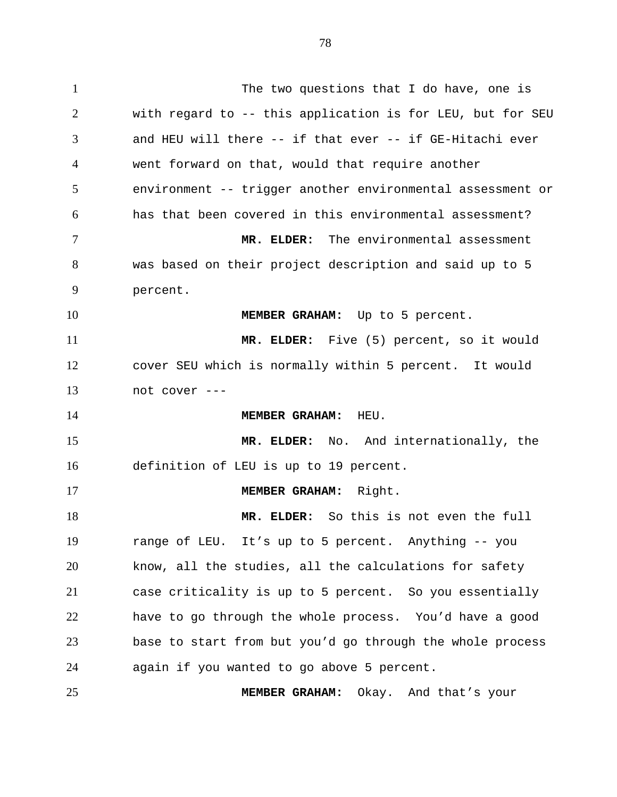78

1 The two questions that I do have, one is 2 3 4 5 6 7 8 9 10 11 12 13 14 15 16 17 18 19 20 21 22 23 24 25 with regard to -- this application is for LEU, but for SEU and HEU will there -- if that ever -- if GE-Hitachi ever went forward on that, would that require another environment -- trigger another environmental assessment or has that been covered in this environmental assessment? **MR. ELDER:** The environmental assessment was based on their project description and said up to 5 percent. **MEMBER GRAHAM:** Up to 5 percent. **MR. ELDER:** Five (5) percent, so it would cover SEU which is normally within 5 percent. It would not cover --- **MEMBER GRAHAM:** HEU. **MR. ELDER:** No. And internationally, the definition of LEU is up to 19 percent. **MEMBER GRAHAM:** Right. **MR. ELDER:** So this is not even the full range of LEU. It's up to 5 percent. Anything -- you know, all the studies, all the calculations for safety case criticality is up to 5 percent. So you essentially have to go through the whole process. You'd have a good base to start from but you'd go through the whole process again if you wanted to go above 5 percent. **MEMBER GRAHAM:** Okay. And that's your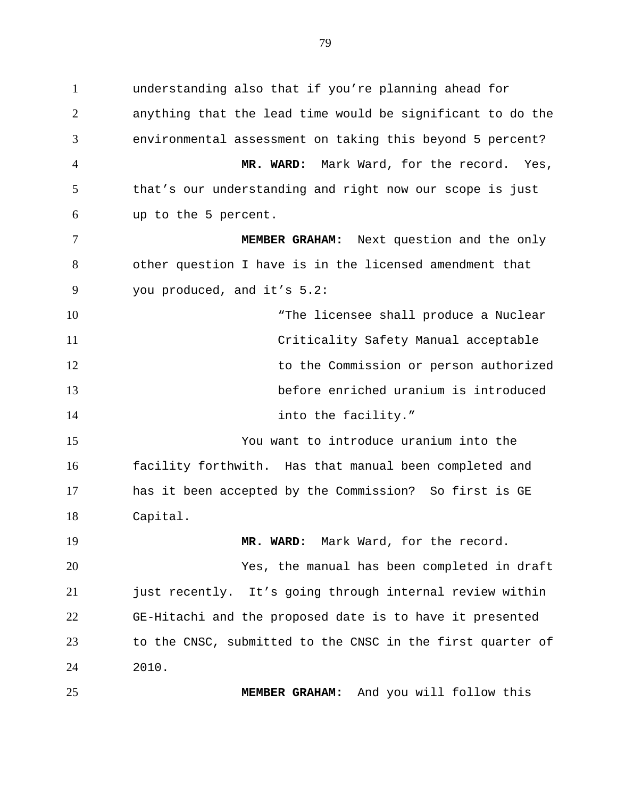1 understanding also that if you're planning ahead for 2 3 4 5 6 7 8 9 10 11 12 13 14 15 16 17 18 19 anything that the lead time would be significant to do the environmental assessment on taking this beyond 5 percent? **MR. WARD:** Mark Ward, for the record. Yes, that's our understanding and right now our scope is just up to the 5 percent. **MEMBER GRAHAM:** Next question and the only other question I have is in the licensed amendment that you produced, and it's 5.2: "The licensee shall produce a Nuclear Criticality Safety Manual acceptable to the Commission or person authorized before enriched uranium is introduced into the facility." You want to introduce uranium into the facility forthwith. Has that manual been completed and has it been accepted by the Commission? So first is GE Capital. **MR. WARD:** Mark Ward, for the record.

20 21 22 23 24 Yes, the manual has been completed in draft just recently. It's going through internal review within GE-Hitachi and the proposed date is to have it presented to the CNSC, submitted to the CNSC in the first quarter of 2010.

**MEMBER GRAHAM:** And you will follow this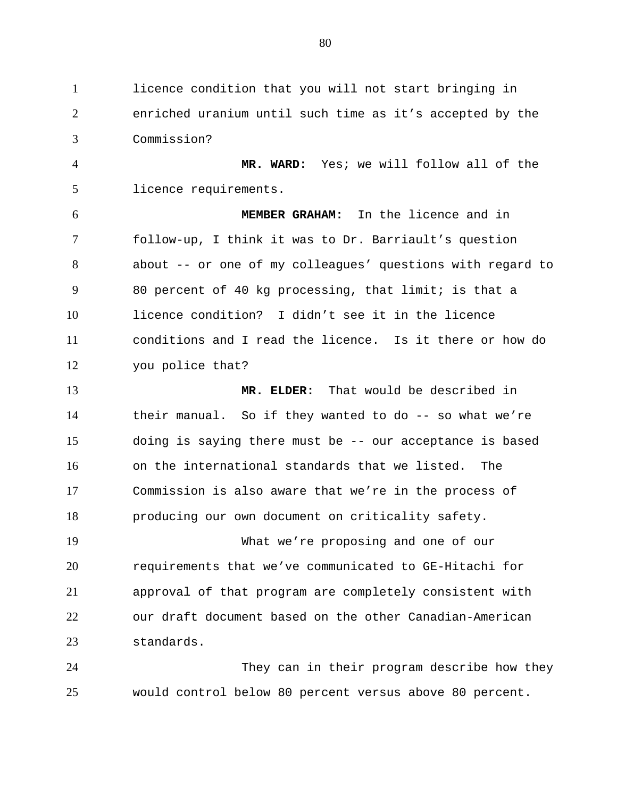1 licence condition that you will not start bringing in 2 3 enriched uranium until such time as it's accepted by the Commission?

4 5 **MR. WARD:** Yes; we will follow all of the licence requirements.

6 7 8 9 10 11 12 **MEMBER GRAHAM:** In the licence and in follow-up, I think it was to Dr. Barriault's question about -- or one of my colleagues' questions with regard to 80 percent of 40 kg processing, that limit; is that a licence condition? I didn't see it in the licence conditions and I read the licence. Is it there or how do you police that?

13 14 15 16 17 18 **MR. ELDER:** That would be described in their manual. So if they wanted to do  $-$ - so what we're doing is saying there must be -- our acceptance is based on the international standards that we listed. The Commission is also aware that we're in the process of producing our own document on criticality safety.

19 20 21 22 23 What we're proposing and one of our requirements that we've communicated to GE-Hitachi for approval of that program are completely consistent with our draft document based on the other Canadian-American standards.

24 25 They can in their program describe how they would control below 80 percent versus above 80 percent.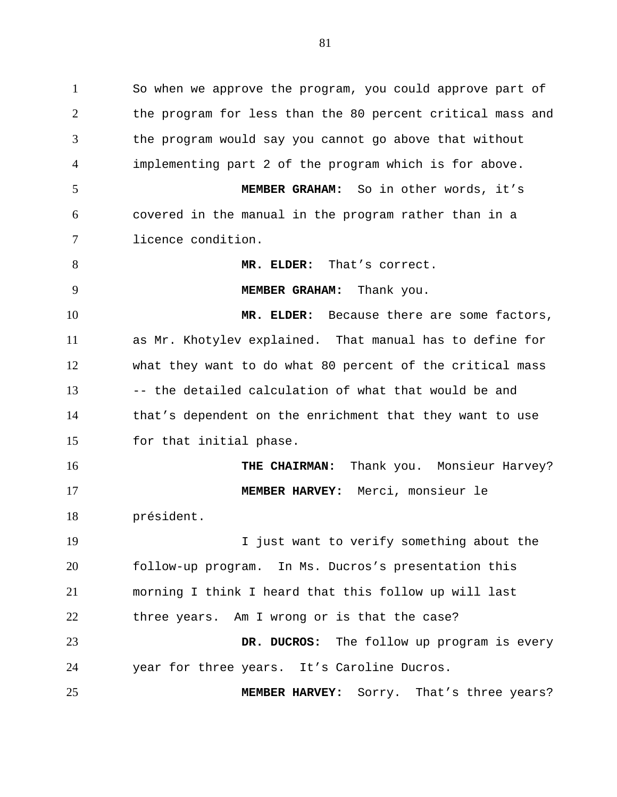1 So when we approve the program, you could approve part of 2 3 4 5 6 7 8 9 10 11 12 13 14 15 16 17 18 19 20 21 22 23 24 the program for less than the 80 percent critical mass and the program would say you cannot go above that without implementing part 2 of the program which is for above. **MEMBER GRAHAM:** So in other words, it's covered in the manual in the program rather than in a licence condition. **MR. ELDER:** That's correct. **MEMBER GRAHAM:** Thank you. **MR. ELDER:** Because there are some factors, as Mr. Khotylev explained. That manual has to define for what they want to do what 80 percent of the critical mass -- the detailed calculation of what that would be and that's dependent on the enrichment that they want to use for that initial phase. **THE CHAIRMAN:** Thank you. Monsieur Harvey? **MEMBER HARVEY:** Merci, monsieur le président. I just want to verify something about the follow-up program. In Ms. Ducros's presentation this morning I think I heard that this follow up will last three years. Am I wrong or is that the case? **DR. DUCROS:** The follow up program is every year for three years. It's Caroline Ducros.

**MEMBER HARVEY:** Sorry. That's three years?

25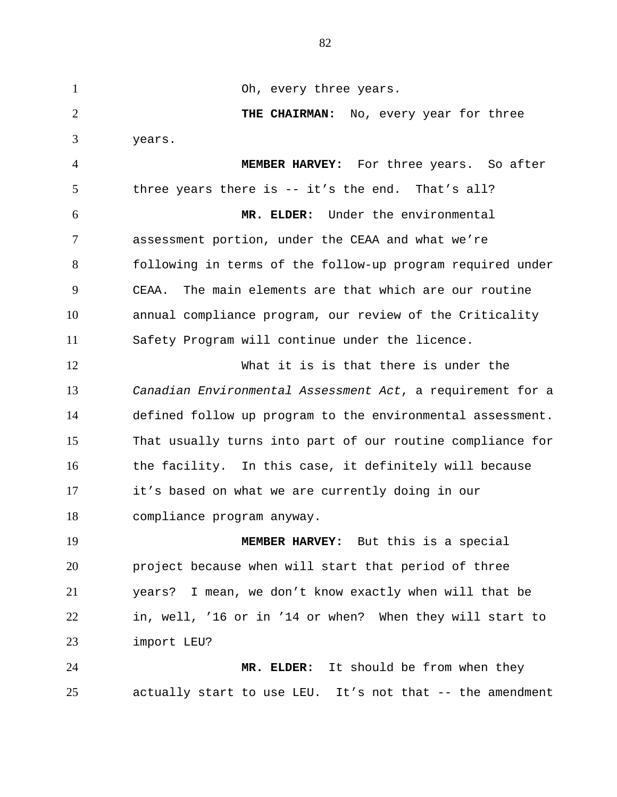1 Oh, every three years. 2 3 4 5 6 7 8 9 10 11 12 13 14 15 16 17 18 19 20 21 22 23 24 25 **THE CHAIRMAN:** No, every year for three years. **MEMBER HARVEY:** For three years. So after three years there is -- it's the end. That's all? **MR. ELDER:** Under the environmental assessment portion, under the CEAA and what we're following in terms of the follow-up program required under CEAA. The main elements are that which are our routine annual compliance program, our review of the Criticality Safety Program will continue under the licence. What it is is that there is under the *Canadian Environmental Assessment Act*, a requirement for a defined follow up program to the environmental assessment. That usually turns into part of our routine compliance for the facility. In this case, it definitely will because it's based on what we are currently doing in our compliance program anyway. **MEMBER HARVEY:** But this is a special project because when will start that period of three years? I mean, we don't know exactly when will that be in, well, '16 or in '14 or when? When they will start to import LEU? **MR. ELDER:** It should be from when they actually start to use LEU. It's not that -- the amendment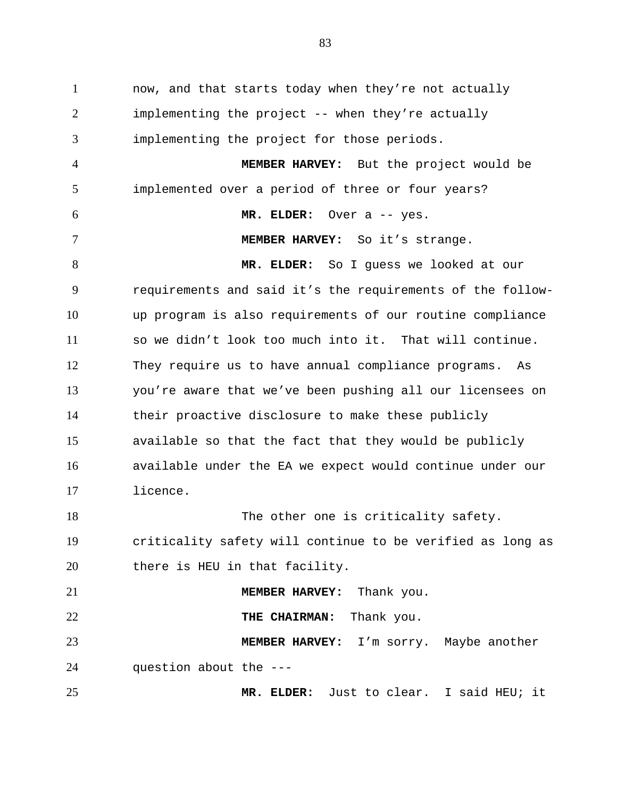1 now, and that starts today when they're not actually 2 3 4 5 6 7 8 9 10 11 12 13 14 15 16 17 18 19 20 21 22 23 24 25 implementing the project -- when they're actually implementing the project for those periods. **MEMBER HARVEY:** But the project would be implemented over a period of three or four years? **MR. ELDER:** Over a -- yes. **MEMBER HARVEY:** So it's strange. **MR. ELDER:** So I guess we looked at our requirements and said it's the requirements of the followup program is also requirements of our routine compliance so we didn't look too much into it. That will continue. They require us to have annual compliance programs. As you're aware that we've been pushing all our licensees on their proactive disclosure to make these publicly available so that the fact that they would be publicly available under the EA we expect would continue under our licence. The other one is criticality safety. criticality safety will continue to be verified as long as there is HEU in that facility. **MEMBER HARVEY:** Thank you. **THE CHAIRMAN:** Thank you. **MEMBER HARVEY:** I'm sorry. Maybe another question about the --- **MR. ELDER:** Just to clear. I said HEU; it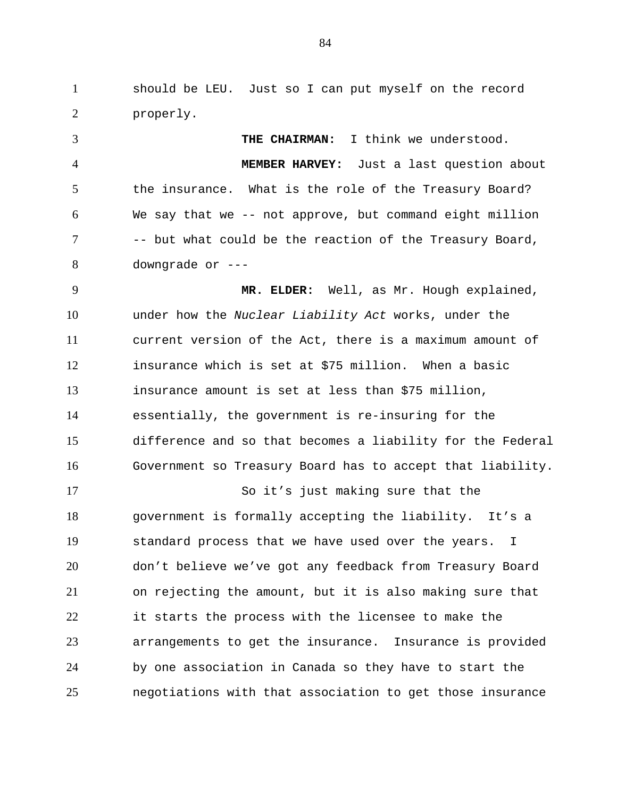1 should be LEU. Just so I can put myself on the record 2 properly.

3 4 5 6 7 8 **THE CHAIRMAN:** I think we understood. **MEMBER HARVEY:** Just a last question about the insurance. What is the role of the Treasury Board? We say that we -- not approve, but command eight million -- but what could be the reaction of the Treasury Board, downgrade or ---

9 10 11 12 13 14 15 16 **MR. ELDER:** Well, as Mr. Hough explained, under how the *Nuclear Liability Act* works, under the current version of the Act, there is a maximum amount of insurance which is set at \$75 million. When a basic insurance amount is set at less than \$75 million, essentially, the government is re-insuring for the difference and so that becomes a liability for the Federal Government so Treasury Board has to accept that liability.

17 18 19 20 21 22 23 24 25 So it's just making sure that the government is formally accepting the liability. It's a standard process that we have used over the years. I don't believe we've got any feedback from Treasury Board on rejecting the amount, but it is also making sure that it starts the process with the licensee to make the arrangements to get the insurance. Insurance is provided by one association in Canada so they have to start the negotiations with that association to get those insurance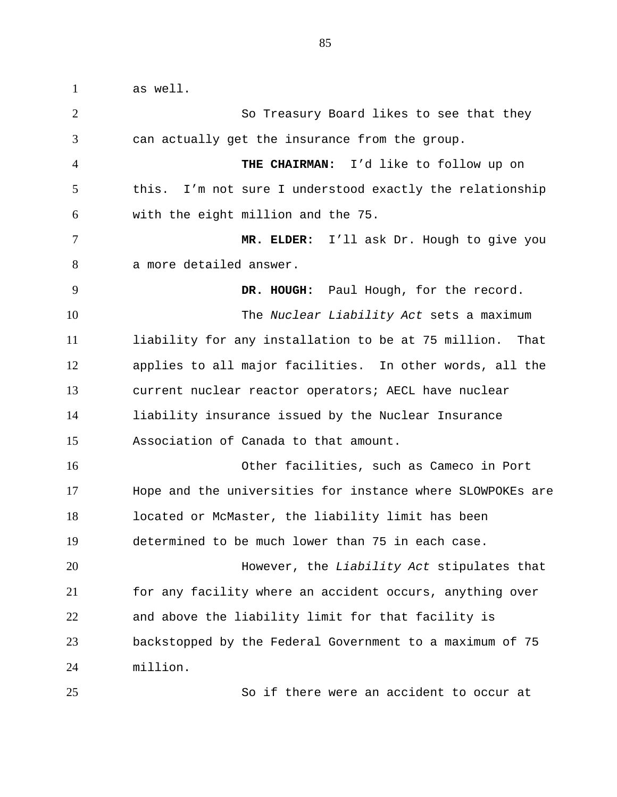1 as well. 2 3 4 5 6 7 8 9 10 11 12 13 14 15 16 17 18 19 20 21 22 23 24 So Treasury Board likes to see that they can actually get the insurance from the group. **THE CHAIRMAN:** I'd like to follow up on this. I'm not sure I understood exactly the relationship with the eight million and the 75. **MR. ELDER:** I'll ask Dr. Hough to give you a more detailed answer. **DR. HOUGH:** Paul Hough, for the record. The *Nuclear Liability Act* sets a maximum liability for any installation to be at 75 million. That applies to all major facilities. In other words, all the current nuclear reactor operators; AECL have nuclear liability insurance issued by the Nuclear Insurance Association of Canada to that amount. Other facilities, such as Cameco in Port Hope and the universities for instance where SLOWPOKEs are located or McMaster, the liability limit has been determined to be much lower than 75 in each case. However, the *Liability Act* stipulates that for any facility where an accident occurs, anything over and above the liability limit for that facility is backstopped by the Federal Government to a maximum of 75 million.

25

So if there were an accident to occur at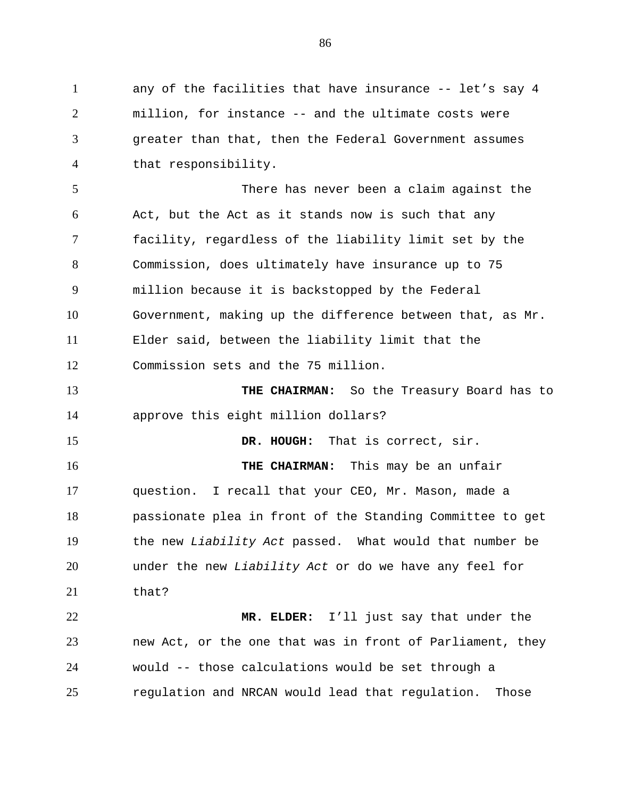1 any of the facilities that have insurance -- let's say 4 2 3 4 5 6 7 8 9 10 11 12 13 14 15 16 17 18 19 20 21 22 23 24 25 million, for instance -- and the ultimate costs were greater than that, then the Federal Government assumes that responsibility. There has never been a claim against the Act, but the Act as it stands now is such that any facility, regardless of the liability limit set by the Commission, does ultimately have insurance up to 75 million because it is backstopped by the Federal Government, making up the difference between that, as Mr. Elder said, between the liability limit that the Commission sets and the 75 million. **THE CHAIRMAN:** So the Treasury Board has to approve this eight million dollars? **DR. HOUGH:** That is correct, sir. **THE CHAIRMAN:** This may be an unfair question. I recall that your CEO, Mr. Mason, made a passionate plea in front of the Standing Committee to get the new *Liability Act* passed. What would that number be under the new *Liability Act* or do we have any feel for that? **MR. ELDER:** I'll just say that under the new Act, or the one that was in front of Parliament, they would -- those calculations would be set through a regulation and NRCAN would lead that regulation. Those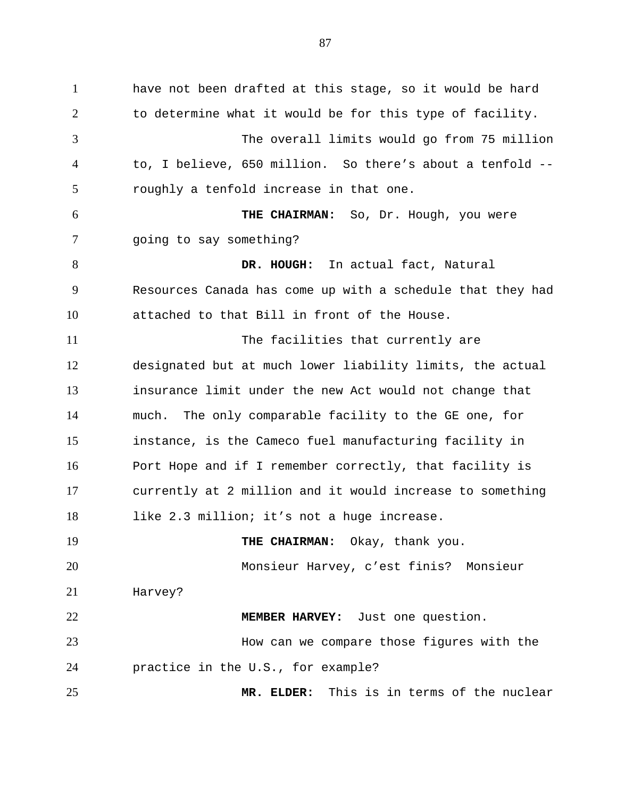1 have not been drafted at this stage, so it would be hard 2 3 4 5 6 7 8 9 10 11 12 13 14 15 16 17 18 19 20 21 22 23 24 25 to determine what it would be for this type of facility. The overall limits would go from 75 million to, I believe, 650 million. So there's about a tenfold - roughly a tenfold increase in that one. **THE CHAIRMAN:** So, Dr. Hough, you were going to say something? **DR. HOUGH:** In actual fact, Natural Resources Canada has come up with a schedule that they had attached to that Bill in front of the House. The facilities that currently are designated but at much lower liability limits, the actual insurance limit under the new Act would not change that much. The only comparable facility to the GE one, for instance, is the Cameco fuel manufacturing facility in Port Hope and if I remember correctly, that facility is currently at 2 million and it would increase to something like 2.3 million; it's not a huge increase. **THE CHAIRMAN:** Okay, thank you. Monsieur Harvey, c'est finis? Monsieur Harvey? **MEMBER HARVEY:** Just one question. How can we compare those figures with the practice in the U.S., for example? **MR. ELDER:** This is in terms of the nuclear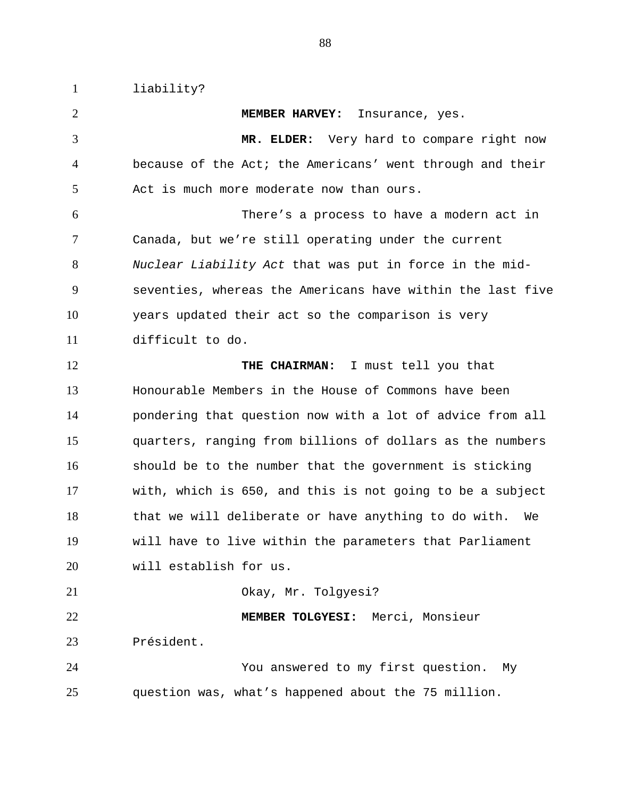1 liability? 2 3 4 5 6 7 8 9 10 11 12 13 14 15 16 17 18 19 20 21 22 23 24 25 **MEMBER HARVEY:** Insurance, yes. **MR. ELDER:** Very hard to compare right now because of the Act; the Americans' went through and their Act is much more moderate now than ours. There's a process to have a modern act in Canada, but we're still operating under the current *Nuclear Liability Act* that was put in force in the midseventies, whereas the Americans have within the last five years updated their act so the comparison is very difficult to do. **THE CHAIRMAN:** I must tell you that Honourable Members in the House of Commons have been pondering that question now with a lot of advice from all quarters, ranging from billions of dollars as the numbers should be to the number that the government is sticking with, which is 650, and this is not going to be a subject that we will deliberate or have anything to do with. We will have to live within the parameters that Parliament will establish for us. Okay, Mr. Tolgyesi? **MEMBER TOLGYESI:** Merci, Monsieur Président. You answered to my first question. My question was, what's happened about the 75 million.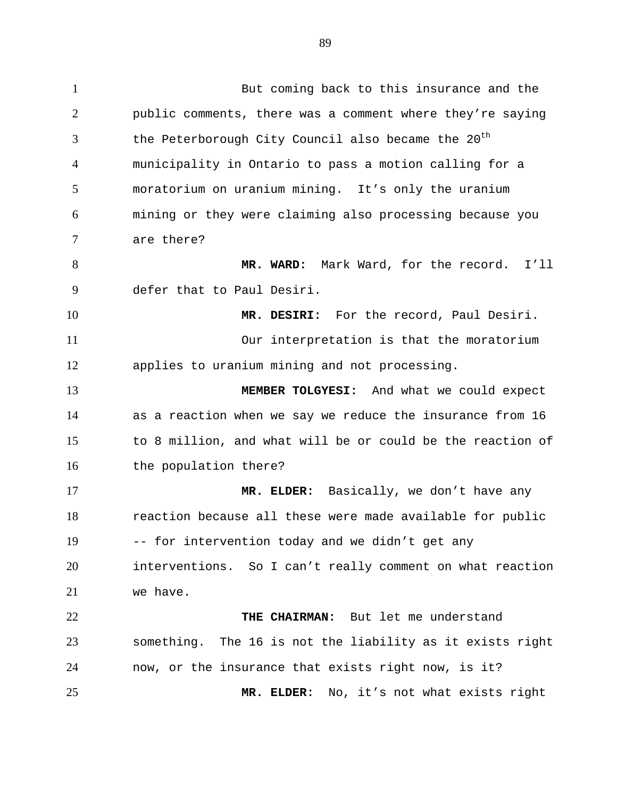1 But coming back to this insurance and the 2 3 4 5 6 7 8 9 10 11 12 13 14 15 16 17 18 19 20 21 public comments, there was a comment where they're saying the Peterborough City Council also became the  $20<sup>th</sup>$ municipality in Ontario to pass a motion calling for a moratorium on uranium mining. It's only the uranium mining or they were claiming also processing because you are there? **MR. WARD:** Mark Ward, for the record. I'll defer that to Paul Desiri. **MR. DESIRI:** For the record, Paul Desiri. Our interpretation is that the moratorium applies to uranium mining and not processing. **MEMBER TOLGYESI:** And what we could expect as a reaction when we say we reduce the insurance from 16 to 8 million, and what will be or could be the reaction of the population there? **MR. ELDER:** Basically, we don't have any reaction because all these were made available for public -- for intervention today and we didn't get any interventions. So I can't really comment on what reaction we have.

22 23 24 25 **THE CHAIRMAN:** But let me understand something. The 16 is not the liability as it exists right now, or the insurance that exists right now, is it? **MR. ELDER:** No, it's not what exists right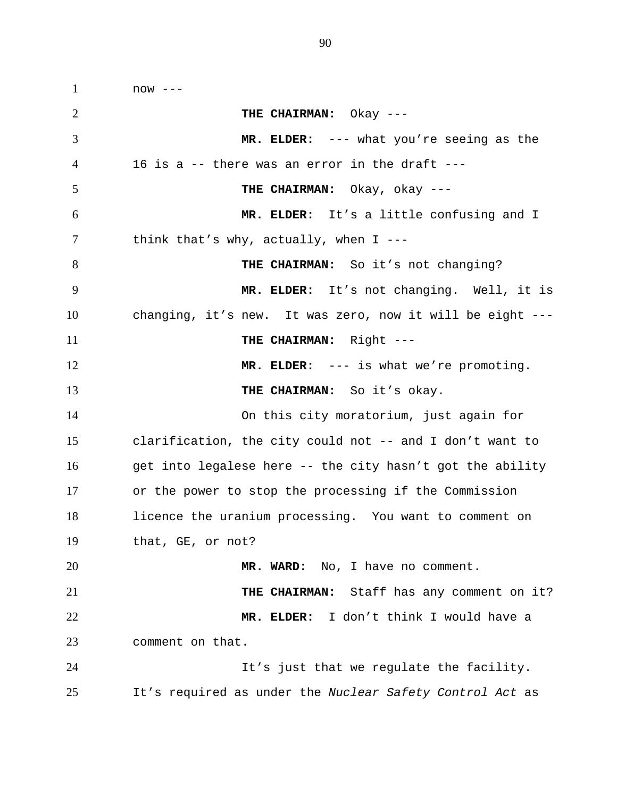1 now --- 2 3 4 5 6 7 8 9 10 11 12 13 14 15 16 17 18 19 20 21 22 23 24 25 **THE CHAIRMAN:** Okay --- **MR. ELDER:** --- what you're seeing as the 16 is a -- there was an error in the draft --- **THE CHAIRMAN:** Okay, okay --- **MR. ELDER:** It's a little confusing and I think that's why, actually, when  $I$  ---THE CHAIRMAN: So it's not changing? **MR. ELDER:** It's not changing. Well, it is changing, it's new. It was zero, now it will be eight --- **THE CHAIRMAN:** Right --- **MR. ELDER:** --- is what we're promoting. **THE CHAIRMAN:** So it's okay. On this city moratorium, just again for clarification, the city could not -- and I don't want to get into legalese here -- the city hasn't got the ability or the power to stop the processing if the Commission licence the uranium processing. You want to comment on that, GE, or not? **MR. WARD:** No, I have no comment. **THE CHAIRMAN:** Staff has any comment on it? **MR. ELDER:** I don't think I would have a comment on that. It's just that we regulate the facility. It's required as under the *Nuclear Safety Control Act* as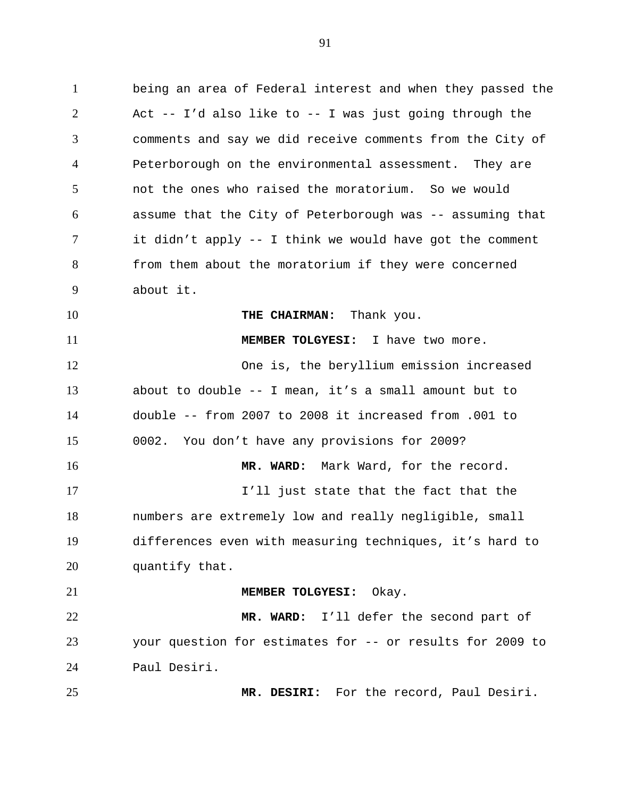1 being an area of Federal interest and when they passed the 2 3 4 5 6 7 8 9 10 11 12 13 14 15 16 17 18 19 20 21 22 23 24 25 Act  $--$  I'd also like to  $--$  I was just going through the comments and say we did receive comments from the City of Peterborough on the environmental assessment. They are not the ones who raised the moratorium. So we would assume that the City of Peterborough was -- assuming that it didn't apply -- I think we would have got the comment from them about the moratorium if they were concerned about it. **THE CHAIRMAN:** Thank you. **MEMBER TOLGYESI:** I have two more. One is, the beryllium emission increased about to double -- I mean, it's a small amount but to double -- from 2007 to 2008 it increased from .001 to 0002. You don't have any provisions for 2009? **MR. WARD:** Mark Ward, for the record. I'll just state that the fact that the numbers are extremely low and really negligible, small differences even with measuring techniques, it's hard to quantify that. **MEMBER TOLGYESI:** Okay. **MR. WARD:** I'll defer the second part of your question for estimates for -- or results for 2009 to Paul Desiri. **MR. DESIRI:** For the record, Paul Desiri.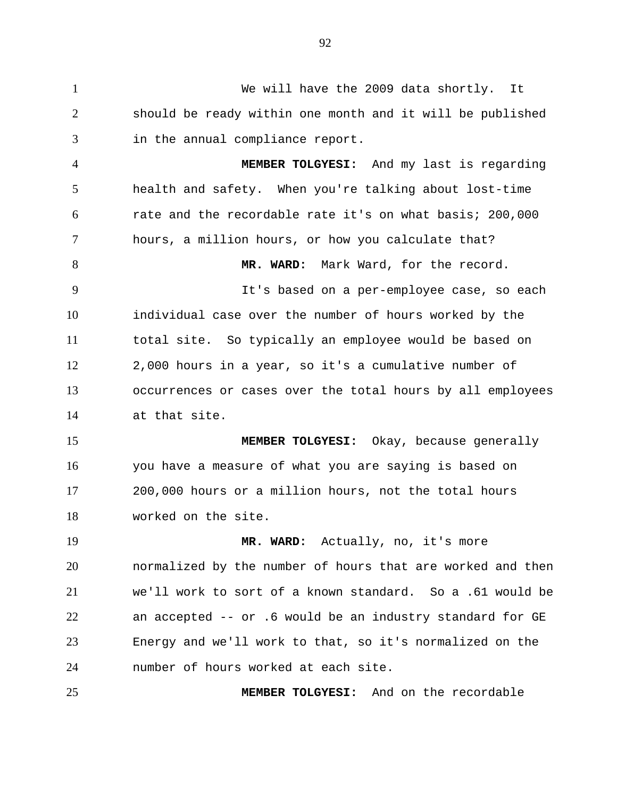1 We will have the 2009 data shortly. It 2 3 should be ready within one month and it will be published in the annual compliance report.

4 5 6 7 8 9 10 11 12 13 14 **MEMBER TOLGYESI:** And my last is regarding health and safety. When you're talking about lost-time rate and the recordable rate it's on what basis; 200,000 hours, a million hours, or how you calculate that? **MR. WARD:** Mark Ward, for the record. It's based on a per-employee case, so each individual case over the number of hours worked by the total site. So typically an employee would be based on 2,000 hours in a year, so it's a cumulative number of occurrences or cases over the total hours by all employees at that site.

15 16 17 18 **MEMBER TOLGYESI:** Okay, because generally you have a measure of what you are saying is based on 200,000 hours or a million hours, not the total hours worked on the site.

19 20 21 22 23 24 **MR. WARD:** Actually, no, it's more normalized by the number of hours that are worked and then we'll work to sort of a known standard. So a .61 would be an accepted -- or .6 would be an industry standard for GE Energy and we'll work to that, so it's normalized on the number of hours worked at each site.

25 **MEMBER TOLGYESI:** And on the recordable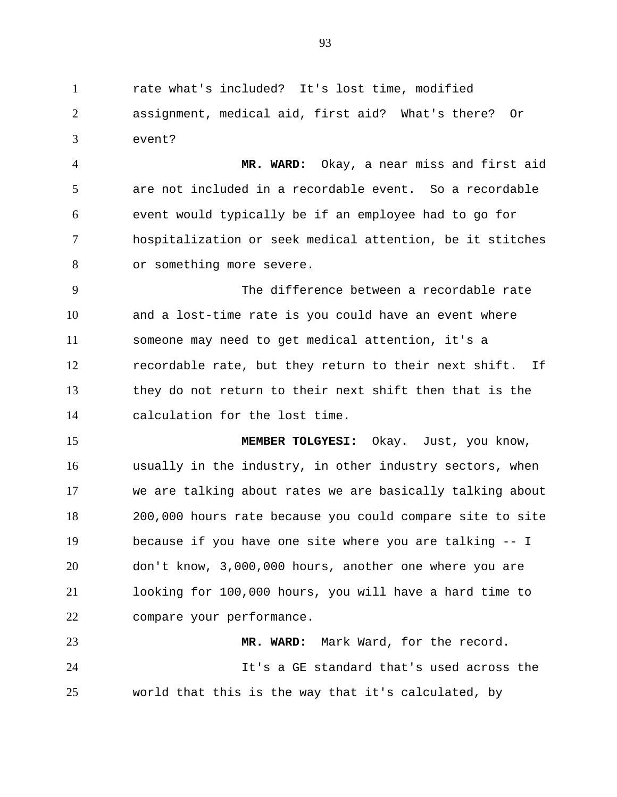1 rate what's included? It's lost time, modified 2 3 assignment, medical aid, first aid? What's there? Or event?

4 5 6 7 8 **MR. WARD:** Okay, a near miss and first aid are not included in a recordable event. So a recordable event would typically be if an employee had to go for hospitalization or seek medical attention, be it stitches or something more severe.

9 10 11 12 13 14 The difference between a recordable rate and a lost-time rate is you could have an event where someone may need to get medical attention, it's a recordable rate, but they return to their next shift. If they do not return to their next shift then that is the calculation for the lost time.

15 16 17 18 19 20 21 22 **MEMBER TOLGYESI:** Okay. Just, you know, usually in the industry, in other industry sectors, when we are talking about rates we are basically talking about 200,000 hours rate because you could compare site to site because if you have one site where you are talking -- I don't know, 3,000,000 hours, another one where you are looking for 100,000 hours, you will have a hard time to compare your performance.

23 24 25 **MR. WARD:** Mark Ward, for the record. It's a GE standard that's used across the world that this is the way that it's calculated, by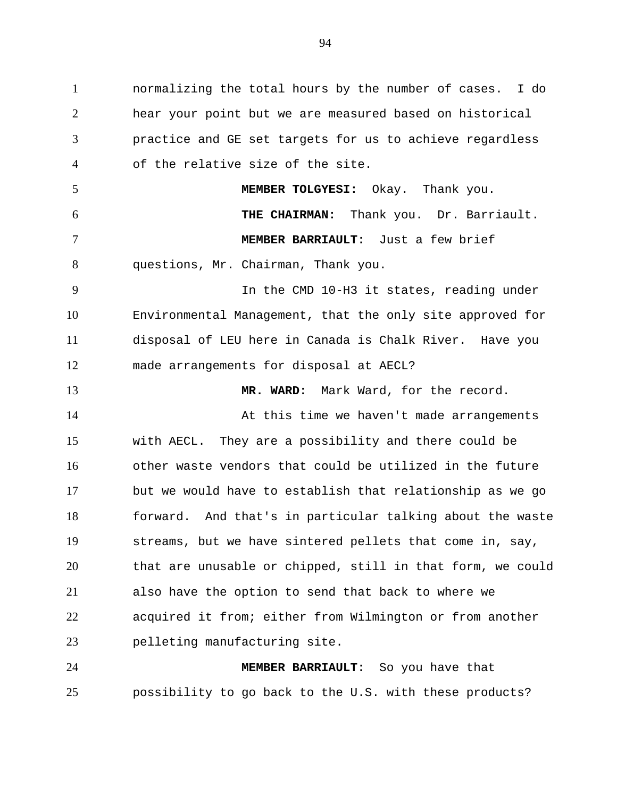1 normalizing the total hours by the number of cases. I do 2 3 4 5 6 7 8 9 10 11 12 13 14 15 16 17 18 19 20 21 22 23 24 hear your point but we are measured based on historical practice and GE set targets for us to achieve regardless of the relative size of the site. **MEMBER TOLGYESI:** Okay. Thank you. **THE CHAIRMAN:** Thank you. Dr. Barriault. **MEMBER BARRIAULT:** Just a few brief questions, Mr. Chairman, Thank you. In the CMD 10-H3 it states, reading under Environmental Management, that the only site approved for disposal of LEU here in Canada is Chalk River. Have you made arrangements for disposal at AECL? **MR. WARD:** Mark Ward, for the record. At this time we haven't made arrangements with AECL. They are a possibility and there could be other waste vendors that could be utilized in the future but we would have to establish that relationship as we go forward. And that's in particular talking about the waste streams, but we have sintered pellets that come in, say, that are unusable or chipped, still in that form, we could also have the option to send that back to where we acquired it from; either from Wilmington or from another pelleting manufacturing site. **MEMBER BARRIAULT:** So you have that

possibility to go back to the U.S. with these products?

25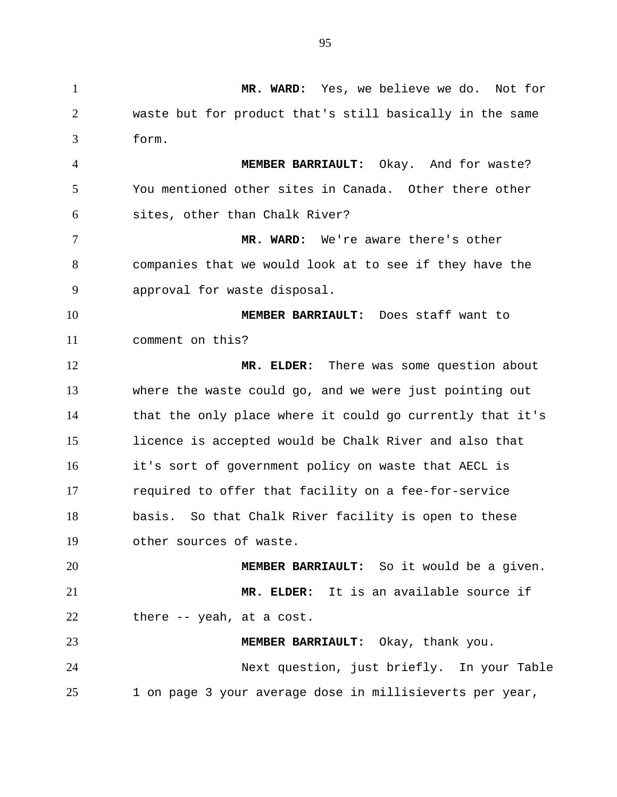1 **MR. WARD:** Yes, we believe we do. Not for 2 3 4 5 6 7 8 9 10 11 12 13 14 15 16 17 18 19 20 21 22 23 24 25 waste but for product that's still basically in the same form. **MEMBER BARRIAULT:** Okay. And for waste? You mentioned other sites in Canada. Other there other sites, other than Chalk River? **MR. WARD:** We're aware there's other companies that we would look at to see if they have the approval for waste disposal. **MEMBER BARRIAULT:** Does staff want to comment on this? **MR. ELDER:** There was some question about where the waste could go, and we were just pointing out that the only place where it could go currently that it's licence is accepted would be Chalk River and also that it's sort of government policy on waste that AECL is required to offer that facility on a fee-for-service basis. So that Chalk River facility is open to these other sources of waste. **MEMBER BARRIAULT:** So it would be a given. **MR. ELDER:** It is an available source if there -- yeah, at a cost. **MEMBER BARRIAULT:** Okay, thank you. Next question, just briefly. In your Table 1 on page 3 your average dose in millisieverts per year,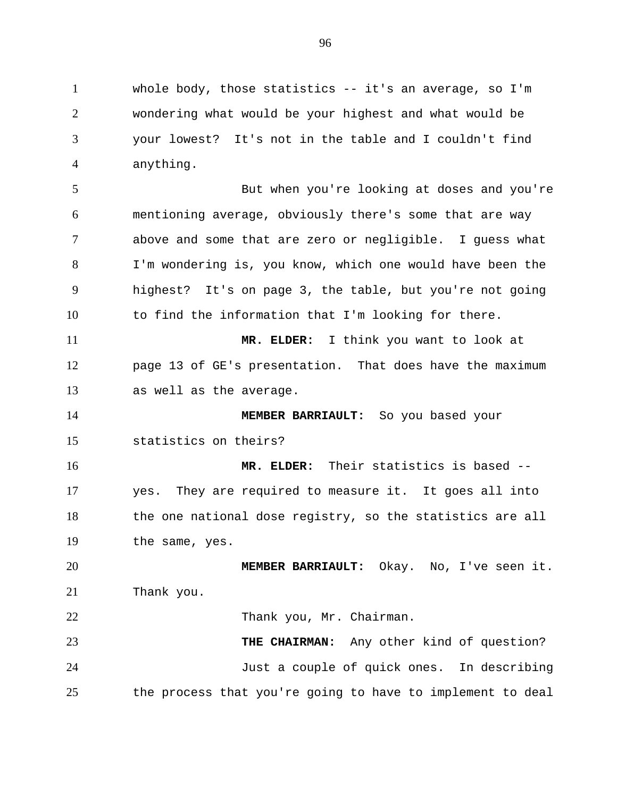1 whole body, those statistics -- it's an average, so I'm 2 3 4 wondering what would be your highest and what would be your lowest? It's not in the table and I couldn't find anything.

5 6 7 8 9 10 But when you're looking at doses and you're mentioning average, obviously there's some that are way above and some that are zero or negligible. I guess what I'm wondering is, you know, which one would have been the highest? It's on page 3, the table, but you're not going to find the information that I'm looking for there.

11 12 13 **MR. ELDER:** I think you want to look at page 13 of GE's presentation. That does have the maximum as well as the average.

14 15 **MEMBER BARRIAULT:** So you based your statistics on theirs?

16 17 18 19 **MR. ELDER:** Their statistics is based - yes. They are required to measure it. It goes all into the one national dose registry, so the statistics are all the same, yes.

20 21 **MEMBER BARRIAULT:** Okay. No, I've seen it. Thank you.

22 Thank you, Mr. Chairman.

23 24 25 **THE CHAIRMAN:** Any other kind of question? Just a couple of quick ones. In describing the process that you're going to have to implement to deal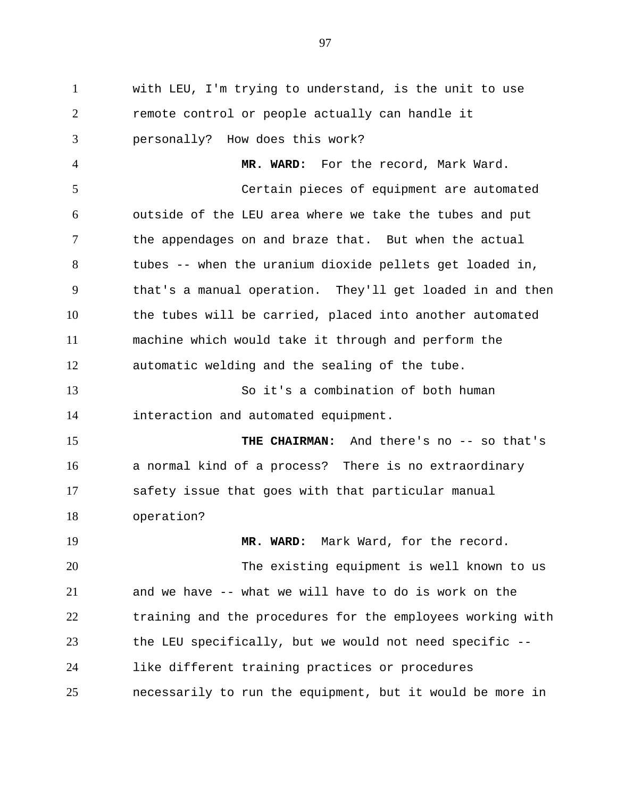1 with LEU, I'm trying to understand, is the unit to use 2 3 remote control or people actually can handle it personally? How does this work?

4 5 6 7 8 9 10 11 12 **MR. WARD:** For the record, Mark Ward. Certain pieces of equipment are automated outside of the LEU area where we take the tubes and put the appendages on and braze that. But when the actual tubes -- when the uranium dioxide pellets get loaded in, that's a manual operation. They'll get loaded in and then the tubes will be carried, placed into another automated machine which would take it through and perform the automatic welding and the sealing of the tube.

13 14 So it's a combination of both human interaction and automated equipment.

15 16 17 18 THE CHAIRMAN: And there's no -- so that's a normal kind of a process? There is no extraordinary safety issue that goes with that particular manual operation?

19 20 21 22 23 24 25 **MR. WARD:** Mark Ward, for the record. The existing equipment is well known to us and we have -- what we will have to do is work on the training and the procedures for the employees working with the LEU specifically, but we would not need specific - like different training practices or procedures necessarily to run the equipment, but it would be more in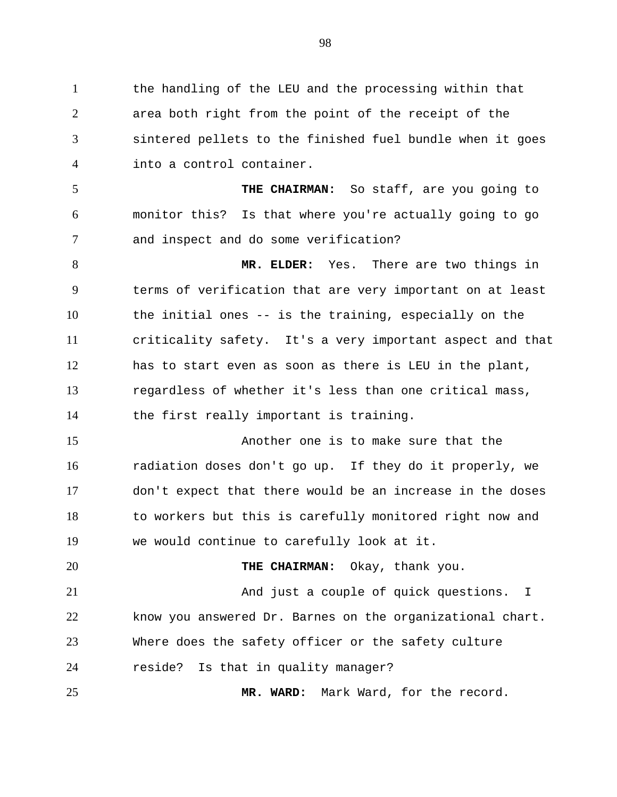1 the handling of the LEU and the processing within that 2 3 4 area both right from the point of the receipt of the sintered pellets to the finished fuel bundle when it goes into a control container.

5 6 7 **THE CHAIRMAN:** So staff, are you going to monitor this? Is that where you're actually going to go and inspect and do some verification?

8 9 10 11 12 13 14 **MR. ELDER:** Yes. There are two things in terms of verification that are very important on at least the initial ones -- is the training, especially on the criticality safety. It's a very important aspect and that has to start even as soon as there is LEU in the plant, regardless of whether it's less than one critical mass, the first really important is training.

15 16 17 18 19 Another one is to make sure that the radiation doses don't go up. If they do it properly, we don't expect that there would be an increase in the doses to workers but this is carefully monitored right now and we would continue to carefully look at it.

20 21 22 23 24 **THE CHAIRMAN:** Okay, thank you. And just a couple of quick questions. I know you answered Dr. Barnes on the organizational chart. Where does the safety officer or the safety culture reside? Is that in quality manager?

**MR. WARD:** Mark Ward, for the record.

25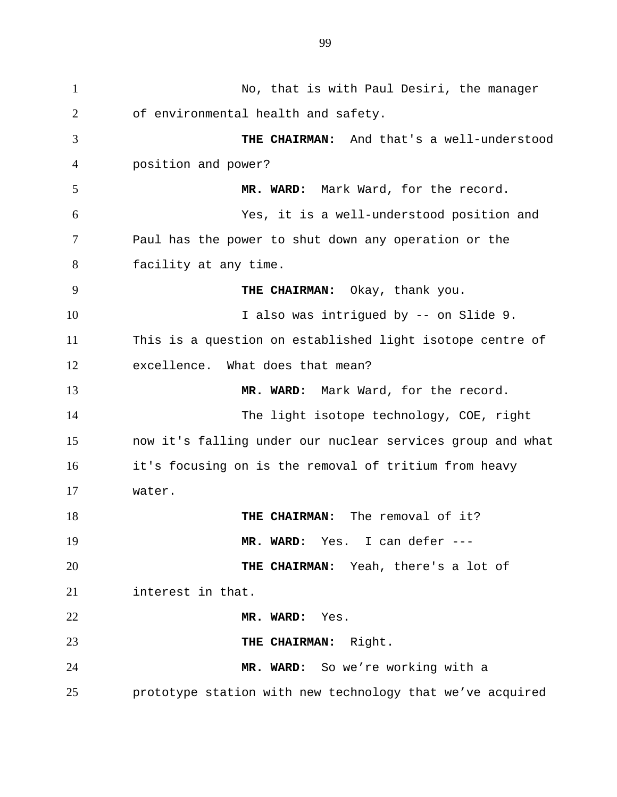1 No, that is with Paul Desiri, the manager 2 3 4 5 6 7 8 9 10 11 12 13 14 15 16 17 18 19 20 21 22 23 24 25 of environmental health and safety. **THE CHAIRMAN:** And that's a well-understood position and power? **MR. WARD:** Mark Ward, for the record. Yes, it is a well-understood position and Paul has the power to shut down any operation or the facility at any time. **THE CHAIRMAN:** Okay, thank you. I also was intrigued by -- on Slide 9. This is a question on established light isotope centre of excellence. What does that mean? **MR. WARD:** Mark Ward, for the record. The light isotope technology, COE, right now it's falling under our nuclear services group and what it's focusing on is the removal of tritium from heavy water. **THE CHAIRMAN:** The removal of it? **MR. WARD:** Yes. I can defer --- **THE CHAIRMAN:** Yeah, there's a lot of interest in that. **MR. WARD:** Yes. **THE CHAIRMAN:** Right. **MR. WARD:** So we're working with a prototype station with new technology that we've acquired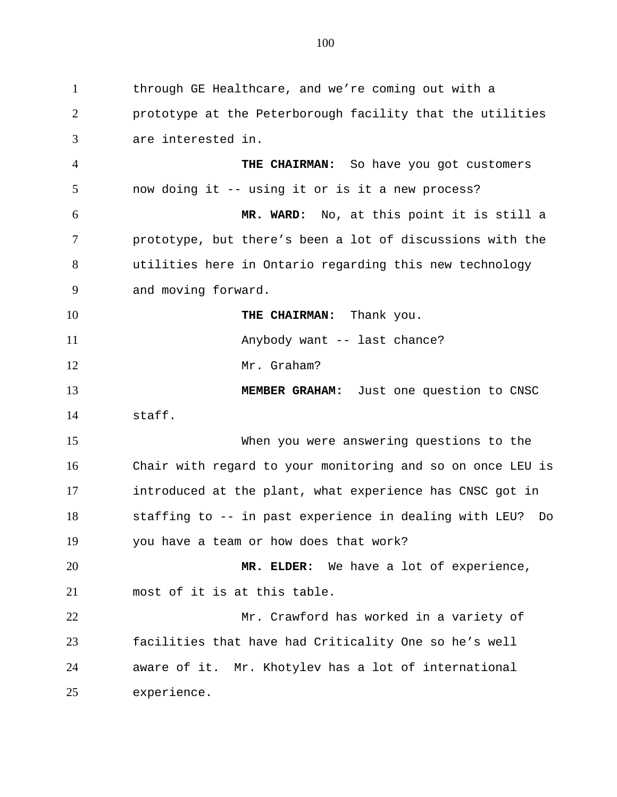1 through GE Healthcare, and we're coming out with a 2 3 prototype at the Peterborough facility that the utilities are interested in.

4 5 6 7 **THE CHAIRMAN:** So have you got customers now doing it -- using it or is it a new process? **MR. WARD:** No, at this point it is still a prototype, but there's been a lot of discussions with the

8 9 utilities here in Ontario regarding this new technology and moving forward.

**THE CHAIRMAN:** Thank you.

10

11

12

Anybody want -- last chance?

Mr. Graham?

13 14 **MEMBER GRAHAM:** Just one question to CNSC staff.

15 16 17 18 19 When you were answering questions to the Chair with regard to your monitoring and so on once LEU is introduced at the plant, what experience has CNSC got in staffing to -- in past experience in dealing with LEU? Do you have a team or how does that work?

20 21 **MR. ELDER:** We have a lot of experience, most of it is at this table.

22 23 24 25 Mr. Crawford has worked in a variety of facilities that have had Criticality One so he's well aware of it. Mr. Khotylev has a lot of international experience.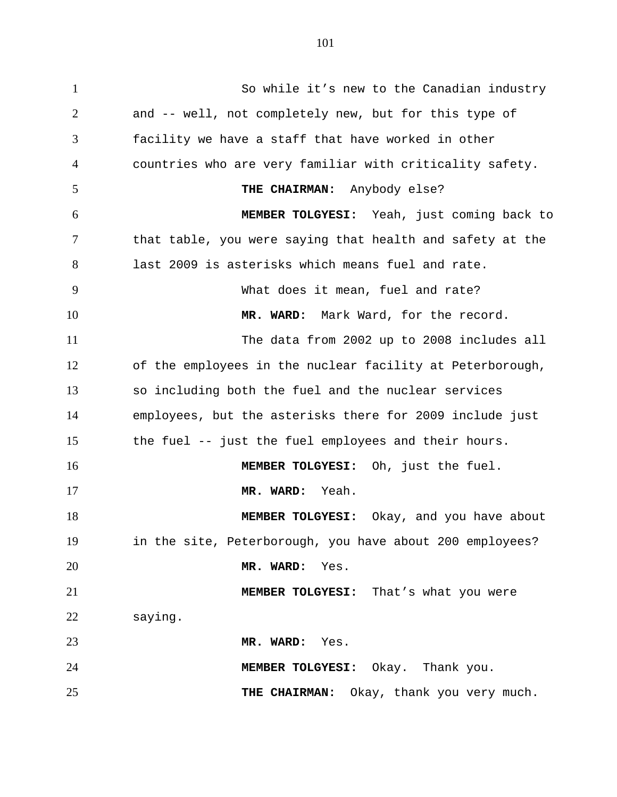1 So while it's new to the Canadian industry 2 3 4 5 6 7 8 9 10 11 12 13 14 15 16 17 18 19 20 21 22 23 24 25 and -- well, not completely new, but for this type of facility we have a staff that have worked in other countries who are very familiar with criticality safety. **THE CHAIRMAN:** Anybody else? **MEMBER TOLGYESI:** Yeah, just coming back to that table, you were saying that health and safety at the last 2009 is asterisks which means fuel and rate. What does it mean, fuel and rate? **MR. WARD:** Mark Ward, for the record. The data from 2002 up to 2008 includes all of the employees in the nuclear facility at Peterborough, so including both the fuel and the nuclear services employees, but the asterisks there for 2009 include just the fuel -- just the fuel employees and their hours. **MEMBER TOLGYESI:** Oh, just the fuel. **MR. WARD:** Yeah. **MEMBER TOLGYESI:** Okay, and you have about in the site, Peterborough, you have about 200 employees? **MR. WARD:** Yes. **MEMBER TOLGYESI:** That's what you were saying. **MR. WARD:** Yes. **MEMBER TOLGYESI:** Okay. Thank you. **THE CHAIRMAN:** Okay, thank you very much.